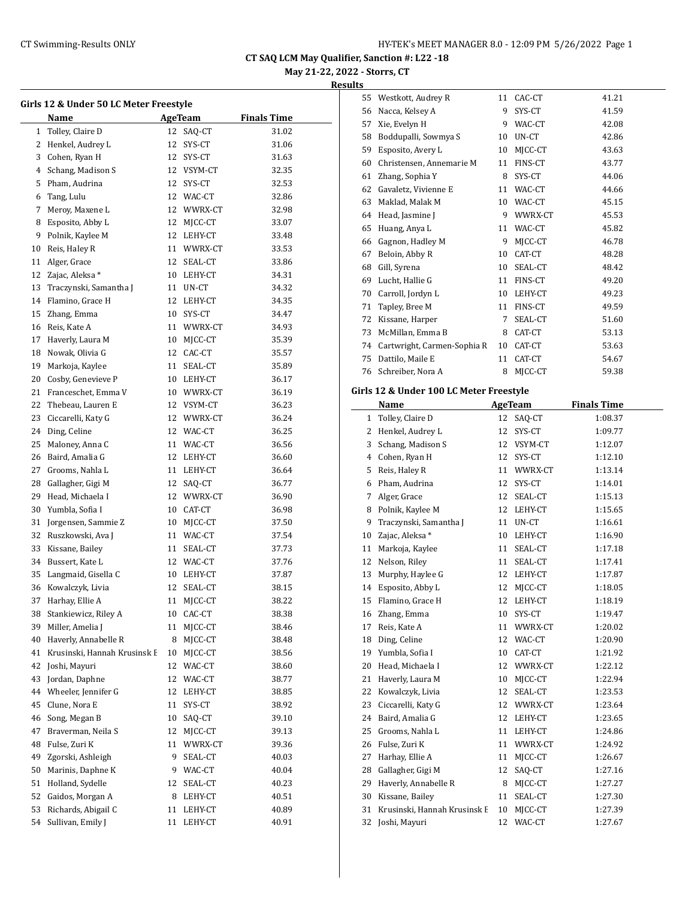# **May 21-22, 2022 - Storrs, CT**

| Girls 12 & Under 50 LC Meter Freestyle |                              |    |                         |                    |  |  |
|----------------------------------------|------------------------------|----|-------------------------|--------------------|--|--|
|                                        | Name                         |    | <b>AgeTeam</b>          | <b>Finals Time</b> |  |  |
| 1                                      | Tolley, Claire D             |    | 12 SAQ-CT               | 31.02              |  |  |
| 2                                      | Henkel, Audrey L             | 12 | SYS-CT                  | 31.06              |  |  |
| 3                                      | Cohen, Ryan H                | 12 | SYS-CT                  | 31.63              |  |  |
| 4                                      | Schang, Madison S            |    | 12 VSYM-CT              | 32.35              |  |  |
| 5                                      | Pham, Audrina                |    | 12 SYS-CT               | 32.53              |  |  |
| 6                                      | Tang, Lulu                   |    | 12 WAC-CT               | 32.86              |  |  |
| 7                                      | Meroy, Maxene L              |    | 12 WWRX-CT              | 32.98              |  |  |
| 8                                      | Esposito, Abby L             | 12 | MJCC-CT                 | 33.07              |  |  |
| 9                                      | Polnik, Kaylee M             |    | 12 LEHY-CT              | 33.48              |  |  |
| 10                                     | Reis, Haley R                |    | 11 WWRX-CT              | 33.53              |  |  |
| 11                                     | Alger, Grace                 |    | 12 SEAL-CT              | 33.86              |  |  |
| 12                                     | Zajac, Aleksa *              |    | 10 LEHY-CT              | 34.31              |  |  |
| 13                                     | Traczynski, Samantha J       |    | 11 UN-CT                | 34.32              |  |  |
| 14                                     | Flamino, Grace H             | 12 | LEHY-CT                 | 34.35              |  |  |
| 15                                     | Zhang, Emma                  | 10 | SYS-CT                  | 34.47              |  |  |
| 16                                     | Reis, Kate A                 |    | 11 WWRX-CT              | 34.93              |  |  |
| 17                                     |                              |    |                         |                    |  |  |
|                                        | Haverly, Laura M             |    | 10 MJCC-CT<br>12 CAC-CT | 35.39              |  |  |
| 18                                     | Nowak, Olivia G              |    |                         | 35.57              |  |  |
| 19                                     | Markoja, Kaylee              | 11 | SEAL-CT                 | 35.89              |  |  |
| 20                                     | Cosby, Genevieve P           |    | 10 LEHY-CT              | 36.17              |  |  |
| 21                                     | Franceschet, Emma V          |    | 10 WWRX-CT              | 36.19              |  |  |
| 22                                     | Thebeau, Lauren E            |    | 12 VSYM-CT              | 36.23              |  |  |
| 23                                     | Ciccarelli, Katy G           |    | 12 WWRX-CT              | 36.24              |  |  |
| 24                                     | Ding, Celine                 |    | 12 WAC-CT               | 36.25              |  |  |
| 25                                     | Maloney, Anna C              |    | 11 WAC-CT               | 36.56              |  |  |
| 26                                     | Baird, Amalia G              |    | 12 LEHY-CT              | 36.60              |  |  |
| 27                                     | Grooms, Nahla L              |    | 11 LEHY-CT              | 36.64              |  |  |
| 28                                     | Gallagher, Gigi M            | 12 | SAQ-CT                  | 36.77              |  |  |
| 29                                     | Head, Michaela I             |    | 12 WWRX-CT              | 36.90              |  |  |
| 30                                     | Yumbla, Sofia I              |    | 10 CAT-CT               | 36.98              |  |  |
| 31                                     | Jorgensen, Sammie Z          | 10 | MJCC-CT                 | 37.50              |  |  |
| 32                                     | Ruszkowski, Ava J            | 11 | WAC-CT                  | 37.54              |  |  |
| 33                                     | Kissane, Bailey              | 11 | SEAL-CT                 | 37.73              |  |  |
| 34                                     | Bussert, Kate L              |    | 12 WAC-CT               | 37.76              |  |  |
| 35                                     | Langmaid, Gisella C          |    | 10 LEHY-CT              | 37.87              |  |  |
| 36                                     | Kowalczyk, Livia             | 12 | SEAL-CT                 | 38.15              |  |  |
|                                        | 37 Harhay, Ellie A           |    | 11 MJCC-CT              | 38.22              |  |  |
| 38                                     | Stankiewicz, Riley A         | 10 | CAC-CT                  | 38.38              |  |  |
| 39                                     | Miller, Amelia J             | 11 | MJCC-CT                 | 38.46              |  |  |
| 40                                     | Haverly, Annabelle R         | 8  | MJCC-CT                 | 38.48              |  |  |
| 41                                     | Krusinski, Hannah Krusinsk E | 10 | MJCC-CT                 | 38.56              |  |  |
| 42                                     | Joshi, Mayuri                | 12 | WAC-CT                  | 38.60              |  |  |
| 43                                     | Jordan, Daphne               | 12 | WAC-CT                  | 38.77              |  |  |
| 44                                     | Wheeler, Jennifer G          | 12 | LEHY-CT                 | 38.85              |  |  |
| 45                                     | Clune, Nora E                | 11 | SYS-CT                  | 38.92              |  |  |
| 46                                     | Song, Megan B                | 10 | SAQ-CT                  | 39.10              |  |  |
| 47                                     | Braverman, Neila S           | 12 | MJCC-CT                 | 39.13              |  |  |
| 48                                     | Fulse, Zuri K                | 11 | WWRX-CT                 | 39.36              |  |  |
| 49                                     | Zgorski, Ashleigh            | 9  | SEAL-CT                 | 40.03              |  |  |
| 50                                     | Marinis, Daphne K            | 9  | WAC-CT                  | 40.04              |  |  |
| 51                                     | Holland, Sydelle             | 12 | SEAL-CT                 | 40.23              |  |  |
| 52                                     | Gaidos, Morgan A             | 8  | LEHY-CT                 | 40.51              |  |  |
| 53                                     | Richards, Abigail C          | 11 | LEHY-CT                 | 40.89              |  |  |
| 54                                     | Sullivan, Emily J            | 11 | LEHY-CT                 | 40.91              |  |  |
|                                        |                              |    |                         |                    |  |  |

| 55           | Westkott, Audrey R                            | 11       | CAC-CT            | 41.21              |
|--------------|-----------------------------------------------|----------|-------------------|--------------------|
| 56           | Nacca, Kelsey A                               | 9        | SYS-CT            | 41.59              |
| 57           | Xie, Evelyn H                                 | 9        | WAC-CT            | 42.08              |
|              | 58 Boddupalli, Sowmya S                       | 10       | UN-CT             | 42.86              |
| 59           | Esposito, Avery L                             | 10       | MJCC-CT           | 43.63              |
|              | 60 Christensen, Annemarie M                   | 11       | FINS-CT           | 43.77              |
| 61           | Zhang, Sophia Y                               | 8        | SYS-CT            | 44.06              |
|              | 62 Gavaletz, Vivienne E                       | 11       | WAC-CT            | 44.66              |
| 63           | Maklad, Malak M                               | 10       | WAC-CT            | 45.15              |
|              | 64 Head, Jasmine J                            | 9.       | WWRX-CT           | 45.53              |
| 65           | Huang, Anya L                                 | 11       | WAC-CT            | 45.82              |
| 66           | Gagnon, Hadley M                              | 9        | MJCC-CT           | 46.78              |
| 67           | Beloin, Abby R                                | 10       | CAT-CT            | 48.28              |
| 68           | Gill, Syrena                                  | 10       | SEAL-CT           | 48.42              |
| 69           | Lucht, Hallie G                               | 11       | FINS-CT           | 49.20              |
|              | 70 Carroll, Jordyn L                          | 10       | LEHY-CT           | 49.23              |
| 71           | Tapley, Bree M                                | 11       | FINS-CT           | 49.59              |
| 72           | Kissane, Harper                               | 7        | SEAL-CT           | 51.60              |
| 73           | McMillan, Emma B                              | 8        | CAT-CT            | 53.13              |
|              | 74 Cartwright, Carmen-Sophia R                | 10       | CAT-CT            | 53.63              |
| 75           |                                               | 11       | CAT-CT            | 54.67              |
|              | Dattilo, Maile E                              | 8        |                   |                    |
|              | 76 Schreiber, Nora A                          |          | MJCC-CT           | 59.38              |
|              | Girls 12 & Under 100 LC Meter Freestyle       |          |                   |                    |
|              | Name                                          |          | AgeTeam           | <b>Finals Time</b> |
| $\mathbf{1}$ | Tolley, Claire D                              | 12       | SAQ-CT            | 1:08.37            |
| 2            | Henkel, Audrey L                              | 12       | SYS-CT            | 1:09.77            |
| 3            | Schang, Madison S                             | 12       | VSYM-CT           | 1:12.07            |
|              |                                               |          |                   |                    |
|              | 4 Cohen, Ryan H                               | 12       | SYS-CT            | 1:12.10            |
|              | 5 Reis, Haley R                               | 11       | WWRX-CT           | 1:13.14            |
|              | 6 Pham, Audrina                               | 12       | SYS-CT            | 1:14.01            |
| 7            | Alger, Grace                                  | 12       | SEAL-CT           | 1:15.13            |
| 8            | Polnik, Kaylee M                              |          | 12 LEHY-CT        | 1:15.65            |
| 9.           | Traczynski, Samantha J                        | 11       | UN-CT             | 1:16.61            |
| 10           | Zajac, Aleksa*                                | 10       | LEHY-CT           | 1:16.90            |
| 11           | Markoja, Kaylee                               | 11       | SEAL-CT           | 1:17.18            |
| 12           | Nelson, Riley                                 | 11       | SEAL-CT           | 1:17.41            |
| 13           | Murphy, Haylee G                              | 12       | LEHY-CT           | 1:17.87            |
| 14           | Esposito, Abby L                              | 12       | MJCC-CT           | 1:18.05            |
|              | 15 Flamino, Grace H                           |          | 12 LEHY-CT        | 1:18.19            |
| 16           |                                               | 10       |                   |                    |
| 17           | Zhang, Emma<br>Reis, Kate A                   | 11       | SYS-CT<br>WWRX-CT | 1:19.47<br>1:20.02 |
| 18           | Ding, Celine                                  | 12       | WAC-CT            | 1:20.90            |
| 19           | Yumbla, Sofia I                               | 10       | CAT-CT            |                    |
|              |                                               | 12       |                   | 1:21.92            |
| 20           | Head, Michaela I                              |          | WWRX-CT           | 1:22.12            |
| 21           | Haverly, Laura M                              | 10       | MJCC-CT           | 1:22.94            |
| 22           | Kowalczyk, Livia                              | 12       | SEAL-CT           | 1:23.53            |
| 23           | Ciccarelli, Katy G                            | 12       | WWRX-CT           | 1:23.64            |
| 24           | Baird, Amalia G                               | 12       | LEHY-CT           | 1:23.65            |
| 25           | Grooms, Nahla L                               | 11       | LEHY-CT           | 1:24.86            |
| 26           | Fulse, Zuri K                                 | 11       | WWRX-CT           | 1:24.92            |
| 27           | Harhay, Ellie A                               | 11       | MJCC-CT           | 1:26.67            |
| 28           | Gallagher, Gigi M                             | 12       | SAQ-CT            | 1:27.16            |
| 29           | Haverly, Annabelle R                          | 8        | MJCC-CT           | 1:27.27            |
| 30           | Kissane, Bailey                               | 11       | SEAL-CT           | 1:27.30            |
| 31<br>32     | Krusinski, Hannah Krusinsk E<br>Joshi, Mayuri | 10<br>12 | MJCC-CT<br>WAC-CT | 1:27.39<br>1:27.67 |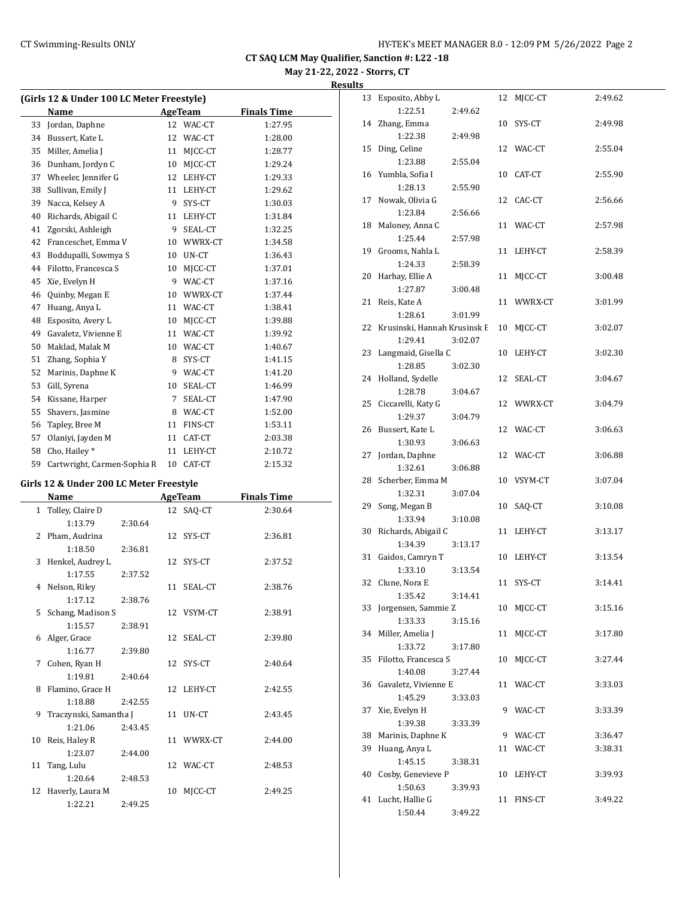13 Esposito, Abby L 12 MJCC-CT 2:49.62

14 Zhang, Emma 10 SYS-CT 2:49.98

1:22.51 2:49.62

**CT SAQ LCM May Qualifier, Sanction #: L22 -18**

**May 21-22, 2022 - Storrs, CT Results**

| (Girls 12 & Under 100 LC Meter Freestyle) |                                         |         |                |                    |  |
|-------------------------------------------|-----------------------------------------|---------|----------------|--------------------|--|
|                                           | Name                                    |         | <b>AgeTeam</b> | <b>Finals Time</b> |  |
| 33                                        | Jordan, Daphne                          | 12      | WAC-CT         | 1:27.95            |  |
| 34                                        | Bussert, Kate L                         | 12      | WAC-CT         | 1:28.00            |  |
| 35                                        | Miller, Amelia J                        | 11      | MJCC-CT        | 1:28.77            |  |
| 36                                        | Dunham, Jordyn C                        | 10      | MJCC-CT        | 1:29.24            |  |
| 37                                        | Wheeler, Jennifer G                     | 12      | LEHY-CT        | 1:29.33            |  |
| 38                                        | Sullivan, Emily J                       | 11      | LEHY-CT        | 1:29.62            |  |
| 39                                        | Nacca, Kelsey A                         | 9       | SYS-CT         | 1:30.03            |  |
| 40                                        | Richards, Abigail C                     | 11      | LEHY-CT        | 1:31.84            |  |
| 41                                        | Zgorski, Ashleigh                       | 9       | SEAL-CT        | 1:32.25            |  |
| 42                                        | Franceschet, Emma V                     | 10      | WWRX-CT        | 1:34.58            |  |
| 43                                        | Boddupalli, Sowmya S                    | 10      | UN-CT          | 1:36.43            |  |
| 44                                        | Filotto, Francesca S                    | 10      | MICC-CT        | 1:37.01            |  |
| 45                                        | Xie, Evelyn H                           | 9       | WAC-CT         | 1:37.16            |  |
| 46                                        | Quinby, Megan E                         | 10      | WWRX-CT        | 1:37.44            |  |
| 47                                        | Huang, Anya L                           | 11      | WAC-CT         | 1:38.41            |  |
| 48                                        | Esposito, Avery L                       | 10      | MJCC-CT        | 1:39.88            |  |
| 49                                        | Gavaletz, Vivienne E                    | 11      | WAC-CT         | 1:39.92            |  |
| 50                                        | Maklad, Malak M                         | 10      | WAC-CT         | 1:40.67            |  |
| 51                                        | Zhang, Sophia Y                         | 8       | SYS-CT         | 1:41.15            |  |
| 52                                        | Marinis, Daphne K                       | 9       | WAC-CT         | 1:41.20            |  |
| 53                                        | Gill, Syrena                            | 10      | SEAL-CT        | 1:46.99            |  |
| 54                                        | Kissane, Harper                         | 7       | SEAL-CT        | 1:47.90            |  |
| 55                                        | Shavers, Jasmine                        | 8       | WAC-CT         | 1:52.00            |  |
| 56                                        | Tapley, Bree M                          | 11      | FINS-CT        | 1:53.11            |  |
| 57                                        | Olaniyi, Jayden M                       | 11      | CAT-CT         | 2:03.38            |  |
| 58                                        | Cho, Hailey*                            | 11      | LEHY-CT        | 2:10.72            |  |
| 59                                        | Cartwright, Carmen-Sophia R             | 10      | CAT-CT         | 2:15.32            |  |
|                                           | Girls 12 & Under 200 LC Meter Freestyle |         |                |                    |  |
|                                           | Name                                    | AgeTeam |                | <b>Finals Time</b> |  |
| 1                                         | Tolley, Claire D                        | 12      | SAQ-CT         | 2:30.64            |  |
|                                           | 1:13.79<br>2:30.64                      |         |                |                    |  |

2 Pham, Audrina 12 SYS-CT 2:36.81

3 Henkel, Audrey L 12 SYS-CT 2:37.52

4 Nelson, Riley 11 SEAL-CT 2:38.76

5 Schang, Madison S 12 VSYM-CT 2:38.91

6 Alger, Grace 12 SEAL-CT 2:39.80

7 Cohen, Ryan H 12 SYS-CT 2:40.64

8 Flamino, Grace H 12 LEHY-CT 2:42.55

9 Traczynski, Samantha J 11 UN-CT 2:43.45

10 Reis, Haley R 11 WWRX-CT 2:44.00

11 Tang, Lulu 12 WAC-CT 2:48.53

12 Haverly, Laura M 10 MJCC-CT 2:49.25

1:18.50 2:36.81

1:17.55 2:37.52

1:17.12 2:38.76

1:15.57 2:38.91

1:16.77 2:39.80

1:19.81 2:40.64

1:18.88 2:42.55

1:21.06 2:43.45

1:23.07 2:44.00

1:20.64 2:48.53

1:22.21 2:49.25

|    | 1:22.38                         | 2:49.98 |    |            |         |
|----|---------------------------------|---------|----|------------|---------|
|    | 15 Ding, Celine                 |         |    | 12 WAC-CT  | 2:55.04 |
|    | 1:23.88                         | 2:55.04 |    |            |         |
|    | 16 Yumbla, Sofia I              |         |    | 10 CAT-CT  | 2:55.90 |
|    | 1:28.13                         | 2:55.90 |    |            |         |
|    | 17 Nowak, Olivia G              |         |    | 12 CAC-CT  | 2:56.66 |
|    | 1:23.84                         | 2:56.66 |    |            |         |
|    | 18 Maloney, Anna C              |         |    | 11 WAC-CT  | 2:57.98 |
|    | 1:25.44                         | 2:57.98 |    |            |         |
|    | 19 Grooms, Nahla L              |         |    | 11 LEHY-CT | 2:58.39 |
|    | 1:24.33                         | 2:58.39 |    |            |         |
| 20 | Harhay, Ellie A                 |         |    | 11 MJCC-CT | 3:00.48 |
|    | 1:27.87                         | 3:00.48 |    |            |         |
|    | 21 Reis, Kate A                 |         |    | 11 WWRX-CT | 3:01.99 |
|    | 1:28.61                         | 3:01.99 |    |            |         |
|    | 22 Krusinski, Hannah Krusinsk E |         |    | 10 MJCC-CT | 3:02.07 |
|    | 1:29.41                         | 3:02.07 |    |            |         |
|    | 23 Langmaid, Gisella C          |         |    | 10 LEHY-CT | 3:02.30 |
|    | 1:28.85                         | 3:02.30 |    |            |         |
|    | 24 Holland, Sydelle             |         |    | 12 SEAL-CT | 3:04.67 |
|    | 1:28.78                         | 3:04.67 |    |            |         |
|    | 25 Ciccarelli, Katy G           |         | 12 | WWRX-CT    | 3:04.79 |
|    | 1:29.37                         | 3:04.79 |    |            |         |
|    | 26 Bussert, Kate L              |         |    | 12 WAC-CT  | 3:06.63 |
|    | 1:30.93                         | 3:06.63 |    |            |         |
|    | 27 Jordan, Daphne               |         |    | 12 WAC-CT  | 3:06.88 |
|    | 1:32.61                         | 3:06.88 |    |            |         |
| 28 | Scherber, Emma M                |         |    | 10 VSYM-CT | 3:07.04 |
|    | 1:32.31                         | 3:07.04 |    |            |         |
| 29 | Song, Megan B                   |         | 10 | SAQ-CT     | 3:10.08 |
|    | 1:33.94                         | 3:10.08 |    |            |         |
|    | 30 Richards, Abigail C          |         |    | 11 LEHY-CT | 3:13.17 |
|    | 1:34.39                         | 3:13.17 |    |            |         |
| 31 | Gaidos, Camryn T                |         |    | 10 LEHY-CT | 3:13.54 |
|    | 1:33.10                         | 3:13.54 |    |            |         |
|    | 32 Clune, Nora E                |         |    | 11 SYS-CT  | 3:14.41 |
|    | 1:35.42                         | 3:14.41 |    |            |         |
| 33 | Jorgensen, Sammie Z             |         | 10 | MJCC-CT    | 3:15.16 |
|    | 1:33.33                         | 3:15.16 |    |            |         |
|    | 34 Miller, Amelia J             |         | 11 | MJCC-CT    | 3:17.80 |
|    | 1:33.72                         | 3:17.80 |    |            |         |
| 35 | Filotto, Francesca S            |         |    | 10 MJCC-CT | 3:27.44 |
|    | 1:40.08                         | 3:27.44 |    |            |         |
|    | 36 Gavaletz, Vivienne E         |         | 11 | WAC-CT     | 3:33.03 |
|    | 1:45.29                         | 3:33.03 |    |            |         |
| 37 | Xie, Evelyn H                   |         | 9  | WAC-CT     | 3:33.39 |
|    | 1:39.38                         | 3:33.39 |    |            |         |
| 38 | Marinis, Daphne K               |         |    | 9 WAC-CT   | 3:36.47 |
| 39 | Huang, Anya L                   |         | 11 | WAC-CT     | 3:38.31 |
|    | 1:45.15                         | 3:38.31 |    |            |         |
| 40 | Cosby, Genevieve P              |         | 10 | LEHY-CT    | 3:39.93 |
|    | 1:50.63                         | 3:39.93 |    |            |         |
|    | 41 Lucht, Hallie G              |         |    | 11 FINS-CT | 3:49.22 |
|    | 1:50.44                         | 3:49.22 |    |            |         |
|    |                                 |         |    |            |         |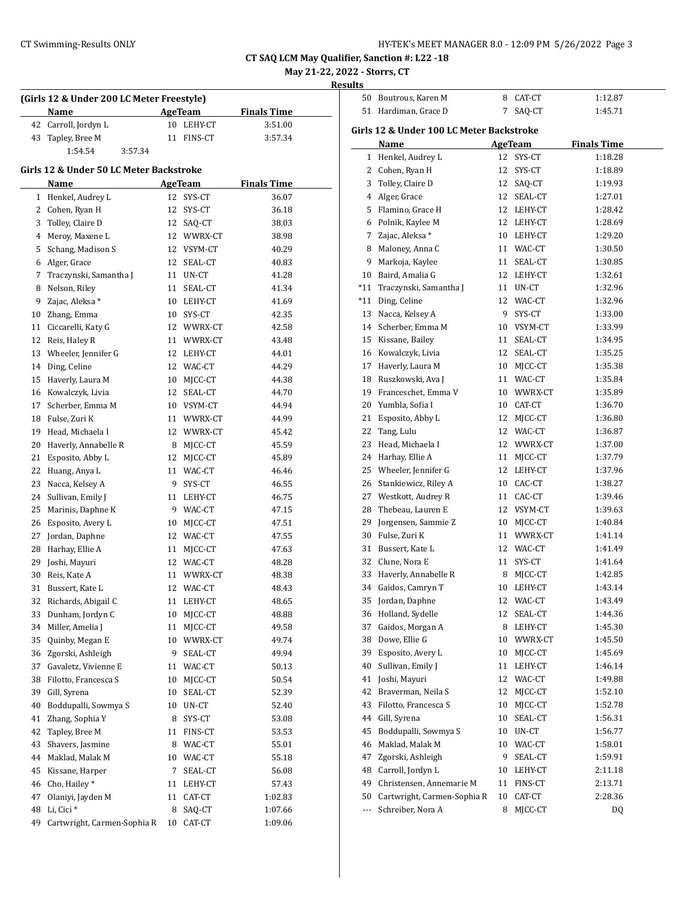| HY-TEK's MEET MANAGER 8.0 - 12:09 PM 5/26/2022 Page 3 |  |  |  |
|-------------------------------------------------------|--|--|--|
|-------------------------------------------------------|--|--|--|

50 Boutrous, Karen M 8 CAT-CT 1:12.87

**CT SAQ LCM May Qualifier, Sanction #: L22 -18**

**May 21-22, 2022 - Storrs, CT**

|                                         | (Girls 12 & Under 200 LC Meter Freestyle) |          |                    |                    |  |  |
|-----------------------------------------|-------------------------------------------|----------|--------------------|--------------------|--|--|
|                                         | Name                                      |          | AgeTeam            | <b>Finals Time</b> |  |  |
|                                         | 42 Carroll, Jordyn L                      |          | 10 LEHY-CT         | 3:51.00            |  |  |
|                                         | 43 Tapley, Bree M                         | 11       | FINS-CT            | 3:57.34            |  |  |
|                                         | 1:54.54<br>3:57.34                        |          |                    |                    |  |  |
| Girls 12 & Under 50 LC Meter Backstroke |                                           |          |                    |                    |  |  |
|                                         | Name                                      |          | <b>AgeTeam</b>     | <b>Finals Time</b> |  |  |
|                                         | 1 Henkel, Audrey L                        | 12       | SYS-CT             | 36.07              |  |  |
|                                         | 2 Cohen, Ryan H                           | 12       | SYS-CT             | 36.18              |  |  |
|                                         | 3 Tolley, Claire D                        |          | 12 SAQ-CT          | 38.03              |  |  |
|                                         | 4 Meroy, Maxene L                         |          | 12 WWRX-CT         | 38.98              |  |  |
|                                         | 5 Schang, Madison S                       |          | 12 VSYM-CT         | 40.29              |  |  |
|                                         | 6 Alger, Grace                            | 12       | SEAL-CT            | 40.83              |  |  |
|                                         | 7 Traczynski, Samantha J                  | 11       | UN-CT              | 41.28              |  |  |
| 8                                       | Nelson, Riley                             | 11       | SEAL-CT            | 41.34              |  |  |
|                                         | 9 Zajac, Aleksa *                         |          | 10 LEHY-CT         | 41.69              |  |  |
|                                         | 10 Zhang, Emma                            |          | 10 SYS-CT          | 42.35              |  |  |
|                                         | 11 Ciccarelli, Katy G                     |          | 12 WWRX-CT         | 42.58              |  |  |
|                                         | 12 Reis, Haley R                          |          | 11 WWRX-CT         | 43.48              |  |  |
|                                         | 13 Wheeler, Jennifer G                    |          | 12 LEHY-CT         | 44.01              |  |  |
|                                         | 14 Ding, Celine                           |          | 12 WAC-CT          | 44.29              |  |  |
|                                         | 15 Haverly, Laura M                       |          | 10 MICC-CT         | 44.38              |  |  |
|                                         | 16 Kowalczyk, Livia                       |          | 12 SEAL-CT         | 44.70              |  |  |
|                                         | 17 Scherber, Emma M                       |          | 10 VSYM-CT         | 44.94              |  |  |
|                                         | 18 Fulse, Zuri K                          |          | 11 WWRX-CT         | 44.99              |  |  |
|                                         | 19 Head, Michaela I                       |          | 12 WWRX-CT         | 45.42              |  |  |
|                                         | 20 Haverly, Annabelle R                   |          | 8 MJCC-CT          | 45.59              |  |  |
|                                         | 21 Esposito, Abby L                       |          | 12 MJCC-CT         | 45.89              |  |  |
|                                         | 22 Huang, Anya L                          |          | 11 WAC-CT          | 46.46              |  |  |
|                                         | 23 Nacca, Kelsey A                        |          | 9 SYS-CT           | 46.55              |  |  |
|                                         | 24 Sullivan, Emily J                      |          | 11 LEHY-CT         | 46.75              |  |  |
|                                         | 25 Marinis, Daphne K                      |          | 9 WAC-CT           | 47.15              |  |  |
|                                         | 26 Esposito, Avery L                      |          | 10 MJCC-CT         | 47.51              |  |  |
|                                         | 27 Jordan, Daphne                         |          | 12 WAC-CT          | 47.55              |  |  |
|                                         | 28 Harhay, Ellie A                        | 11       | MJCC-CT            | 47.63              |  |  |
|                                         | 29 Joshi, Mayuri                          |          | 12 WAC-CT          |                    |  |  |
| 30                                      | Reis, Kate A                              |          | WWRX-CT            | 48.28              |  |  |
| 31                                      | Bussert. Kate L                           | 11<br>12 | WAC-CT             | 48.38              |  |  |
|                                         | Richards, Abigail C                       |          |                    | 48.43              |  |  |
| 32                                      |                                           | 11       | LEHY-CT            | 48.65              |  |  |
| 33                                      | Dunham, Jordyn C                          | 10       | MJCC-CT            | 48.88              |  |  |
| 34<br>35                                | Miller, Amelia J<br>Quinby, Megan E       | 11<br>10 | MJCC-CT<br>WWRX-CT | 49.58              |  |  |
|                                         |                                           |          |                    | 49.74              |  |  |
| 36                                      | Zgorski, Ashleigh                         | 9        | SEAL-CT            | 49.94              |  |  |
| 37                                      | Gavaletz, Vivienne E                      | 11       | WAC-CT             | 50.13              |  |  |
| 38                                      | Filotto, Francesca S                      | 10       | MJCC-CT            | 50.54              |  |  |
| 39                                      | Gill, Syrena                              | 10       | SEAL-CT            | 52.39              |  |  |
| 40                                      | Boddupalli, Sowmya S                      | 10       | UN-CT              | 52.40              |  |  |
| 41                                      | Zhang, Sophia Y                           | 8        | SYS-CT             | 53.08              |  |  |
| 42                                      | Tapley, Bree M                            | 11       | FINS-CT            | 53.53              |  |  |
| 43                                      | Shavers, Jasmine                          | 8        | WAC-CT             | 55.01              |  |  |
| 44                                      | Maklad, Malak M                           |          | 10 WAC-CT          | 55.18              |  |  |
| 45                                      | Kissane, Harper                           | 7.       | SEAL-CT            | 56.08              |  |  |
| 46                                      | Cho, Hailey*                              | 11       | LEHY-CT            | 57.43              |  |  |
| 47                                      | Olaniyi, Jayden M                         | 11       | CAT-CT             | 1:02.83            |  |  |
| 48                                      | Li, Cici <sup>*</sup>                     | 8        | SAQ-CT             | 1:07.66            |  |  |
| 49                                      | Cartwright, Carmen-Sophia R               | 10       | CAT-CT             | 1:09.06            |  |  |

| 51                       | Hardiman, Grace D                        | 7  | SAQ-CT     | 1:45.71 |  |  |  |  |  |
|--------------------------|------------------------------------------|----|------------|---------|--|--|--|--|--|
|                          | Girls 12 & Under 100 LC Meter Backstroke |    |            |         |  |  |  |  |  |
|                          | Name<br>AgeTeam<br><b>Finals Time</b>    |    |            |         |  |  |  |  |  |
| 1                        | Henkel, Audrey L                         | 12 | SYS-CT     | 1:18.28 |  |  |  |  |  |
| 2                        | Cohen, Ryan H                            | 12 | SYS-CT     | 1:18.89 |  |  |  |  |  |
| 3                        | Tolley, Claire D                         | 12 | SAQ-CT     | 1:19.93 |  |  |  |  |  |
| 4                        | Alger, Grace                             | 12 | SEAL-CT    | 1:27.01 |  |  |  |  |  |
|                          | 5 Flamino, Grace H                       |    | 12 LEHY-CT | 1:28.42 |  |  |  |  |  |
| 6                        | Polnik, Kaylee M                         |    | 12 LEHY-CT | 1:28.69 |  |  |  |  |  |
| 7                        | Zajac, Aleksa *                          |    | 10 LEHY-CT | 1:29.20 |  |  |  |  |  |
| 8                        | Maloney, Anna C                          | 11 | WAC-CT     | 1:30.50 |  |  |  |  |  |
| 9                        | Markoja, Kaylee                          | 11 | SEAL-CT    | 1:30.85 |  |  |  |  |  |
| 10                       | Baird, Amalia G                          | 12 | LEHY-CT    | 1:32.61 |  |  |  |  |  |
| $*11$                    | Traczynski, Samantha J                   | 11 | UN-CT      | 1:32.96 |  |  |  |  |  |
| *11                      | Ding, Celine                             | 12 | WAC-CT     | 1:32.96 |  |  |  |  |  |
| 13                       | Nacca, Kelsey A                          | 9  | SYS-CT     | 1:33.00 |  |  |  |  |  |
|                          | 14 Scherber, Emma M                      | 10 | VSYM-CT    | 1:33.99 |  |  |  |  |  |
|                          | 15 Kissane, Bailey                       | 11 | SEAL-CT    | 1:34.95 |  |  |  |  |  |
|                          | 16 Kowalczyk, Livia                      | 12 | SEAL-CT    | 1:35.25 |  |  |  |  |  |
|                          | 17 Haverly, Laura M                      | 10 | MJCC-CT    | 1:35.38 |  |  |  |  |  |
|                          | 18 Ruszkowski, Ava J                     |    | 11 WAC-CT  | 1:35.84 |  |  |  |  |  |
|                          | 19 Franceschet, Emma V                   | 10 | WWRX-CT    | 1:35.89 |  |  |  |  |  |
| 20                       | Yumbla, Sofia I                          | 10 | CAT-CT     | 1:36.70 |  |  |  |  |  |
| 21                       | Esposito, Abby L                         | 12 | MJCC-CT    | 1:36.80 |  |  |  |  |  |
| 22                       | Tang, Lulu                               | 12 | WAC-CT     | 1:36.87 |  |  |  |  |  |
| 23                       | Head, Michaela I                         | 12 | WWRX-CT    | 1:37.00 |  |  |  |  |  |
| 24                       | Harhay, Ellie A                          | 11 | MJCC-CT    | 1:37.79 |  |  |  |  |  |
| 25                       | Wheeler, Jennifer G                      | 12 | LEHY-CT    | 1:37.96 |  |  |  |  |  |
| 26                       | Stankiewicz, Riley A                     | 10 | CAC-CT     | 1:38.27 |  |  |  |  |  |
| 27                       | Westkott, Audrey R                       | 11 | CAC-CT     | 1:39.46 |  |  |  |  |  |
| 28                       | Thebeau, Lauren E                        |    | 12 VSYM-CT | 1:39.63 |  |  |  |  |  |
| 29                       | Jorgensen, Sammie Z                      | 10 | MJCC-CT    | 1:40.84 |  |  |  |  |  |
| 30                       | Fulse, Zuri K                            | 11 | WWRX-CT    | 1:41.14 |  |  |  |  |  |
| 31                       | Bussert, Kate L                          | 12 | WAC-CT     | 1:41.49 |  |  |  |  |  |
|                          | 32 Clune, Nora E                         | 11 | SYS-CT     | 1:41.64 |  |  |  |  |  |
| 33                       | Haverly, Annabelle R                     | 8  | MJCC-CT    | 1:42.85 |  |  |  |  |  |
| 34                       | Gaidos, Camryn T                         | 10 | LEHY-CT    | 1:43.14 |  |  |  |  |  |
| 35                       | Jordan, Daphne                           |    | 12 WAC-CT  | 1:43.49 |  |  |  |  |  |
|                          | 36 Holland, Sydelle                      |    | 12 SEAL-CT | 1:44.36 |  |  |  |  |  |
| 37                       | Gaidos, Morgan A                         | 8  | LEHY-CT    | 1:45.30 |  |  |  |  |  |
| 38                       | Dowe, Ellie G                            | 10 | WWRX-CT    | 1:45.50 |  |  |  |  |  |
| 39                       | Esposito, Avery L                        | 10 | MJCC-CT    | 1:45.69 |  |  |  |  |  |
| 40                       | Sullivan, Emily J                        | 11 | LEHY-CT    | 1:46.14 |  |  |  |  |  |
| 41                       | Joshi, Mayuri                            | 12 | WAC-CT     | 1:49.88 |  |  |  |  |  |
| 42                       | Braverman, Neila S                       | 12 | MJCC-CT    | 1:52.10 |  |  |  |  |  |
| 43                       | Filotto, Francesca S                     | 10 | MJCC-CT    | 1:52.78 |  |  |  |  |  |
| 44                       | Gill, Syrena                             | 10 | SEAL-CT    | 1:56.31 |  |  |  |  |  |
| 45                       | Boddupalli, Sowmya S                     | 10 | UN-CT      | 1:56.77 |  |  |  |  |  |
| 46                       | Maklad, Malak M                          | 10 | WAC-CT     | 1:58.01 |  |  |  |  |  |
| 47                       | Zgorski, Ashleigh                        | 9  | SEAL-CT    | 1:59.91 |  |  |  |  |  |
| 48                       | Carroll, Jordyn L                        | 10 | LEHY-CT    | 2:11.18 |  |  |  |  |  |
| 49                       | Christensen, Annemarie M                 | 11 | FINS-CT    | 2:13.71 |  |  |  |  |  |
| 50                       | Cartwright, Carmen-Sophia R              | 10 | CAT-CT     | 2:28.36 |  |  |  |  |  |
| $\overline{\phantom{a}}$ | Schreiber, Nora A                        | 8  | MJCC-CT    | DQ      |  |  |  |  |  |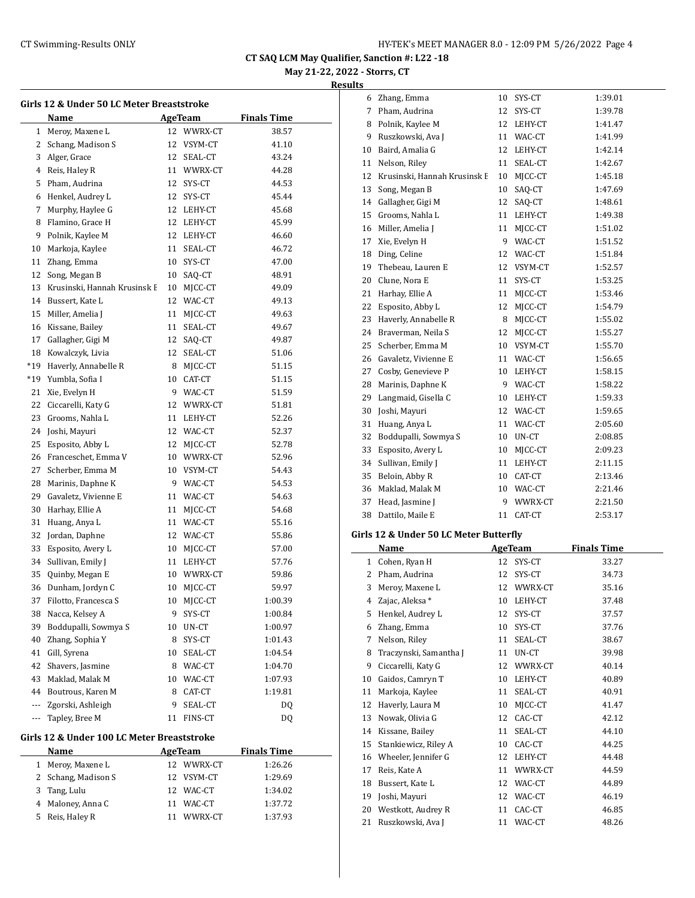**May 21-22, 2022 - Storrs, CT**

#### **Results**

|              | Girls 12 & Under 50 LC Meter Breaststroke<br>Name |    | AgeTeam        | <b>Finals Time</b> |  |  |
|--------------|---------------------------------------------------|----|----------------|--------------------|--|--|
| $\mathbf{1}$ | Meroy, Maxene L                                   | 12 | WWRX-CT        | 38.57              |  |  |
| 2            | Schang, Madison S                                 | 12 | VSYM-CT        | 41.10              |  |  |
| 3            | Alger, Grace                                      |    | 12 SEAL-CT     | 43.24              |  |  |
| 4            | Reis, Haley R                                     | 11 | WWRX-CT        | 44.28              |  |  |
| 5            | Pham, Audrina                                     | 12 | SYS-CT         | 44.53              |  |  |
| 6            | Henkel, Audrey L                                  | 12 | SYS-CT         | 45.44              |  |  |
| 7            | Murphy, Haylee G                                  | 12 | LEHY-CT        | 45.68              |  |  |
| 8            | Flamino, Grace H                                  |    | 12 LEHY-CT     | 45.99              |  |  |
| 9            | Polnik, Kaylee M                                  |    | 12 LEHY-CT     | 46.60              |  |  |
| 10           | Markoja, Kaylee                                   | 11 | SEAL-CT        | 46.72              |  |  |
| 11           | Zhang, Emma                                       | 10 | SYS-CT         | 47.00              |  |  |
| 12           |                                                   |    |                |                    |  |  |
|              | Song, Megan B                                     |    | 10 SAQ-CT      | 48.91              |  |  |
| 13           | Krusinski, Hannah Krusinsk E                      |    | 10 MJCC-CT     | 49.09              |  |  |
| 14           | Bussert, Kate L                                   |    | 12 WAC-CT      | 49.13              |  |  |
| 15           | Miller, Amelia J                                  | 11 | MJCC-CT        | 49.63              |  |  |
| 16           | Kissane, Bailey                                   | 11 | SEAL-CT        | 49.67              |  |  |
| 17           | Gallagher, Gigi M                                 | 12 | SAQ-CT         | 49.87              |  |  |
| 18           | Kowalczyk, Livia                                  | 12 | SEAL-CT        | 51.06              |  |  |
| $*19$        | Haverly, Annabelle R                              | 8  | MJCC-CT        | 51.15              |  |  |
| $*19$        | Yumbla, Sofia I                                   | 10 | CAT-CT         | 51.15              |  |  |
| 21           | Xie, Evelyn H                                     | 9  | WAC-CT         | 51.59              |  |  |
| 22           | Ciccarelli, Katy G                                | 12 | WWRX-CT        | 51.81              |  |  |
| 23           | Grooms, Nahla L                                   | 11 | LEHY-CT        | 52.26              |  |  |
| 24           | Joshi, Mayuri                                     |    | 12 WAC-CT      | 52.37              |  |  |
| 25           | Esposito, Abby L                                  | 12 | MJCC-CT        | 52.78              |  |  |
| 26           | Franceschet, Emma V                               |    | 10 WWRX-CT     | 52.96              |  |  |
| 27           | Scherber, Emma M                                  |    | 10 VSYM-CT     | 54.43              |  |  |
| 28           | Marinis, Daphne K                                 | 9. | WAC-CT         | 54.53              |  |  |
| 29           | Gavaletz, Vivienne E                              | 11 | WAC-CT         | 54.63              |  |  |
| 30           | Harhay, Ellie A                                   | 11 | MJCC-CT        | 54.68              |  |  |
| 31           | Huang, Anya L                                     | 11 | WAC-CT         | 55.16              |  |  |
| 32           | Jordan, Daphne                                    |    | 12 WAC-CT      | 55.86              |  |  |
| 33           | Esposito, Avery L                                 | 10 | MJCC-CT        | 57.00              |  |  |
| 34           | Sullivan, Emily J                                 |    | 11 LEHY-CT     | 57.76              |  |  |
| 35           | Quinby, Megan E                                   |    | 10 WWRX-CT     | 59.86              |  |  |
| 36           | Dunham, Jordyn C                                  | 10 | MICC-CT        | 59.97              |  |  |
| 37           | Filotto, Francesca S                              | 10 | MJCC-CT        | 1:00.39            |  |  |
| 38           | Nacca, Kelsey A                                   | 9  | SYS-CT         | 1:00.84            |  |  |
| 39           | Boddupalli, Sowmya S                              | 10 | UN-CT          | 1:00.97            |  |  |
| 40           | Zhang, Sophia Y                                   | 8  | SYS-CT         | 1:01.43            |  |  |
| 41           | Gill, Syrena                                      | 10 | SEAL-CT        | 1:04.54            |  |  |
| 42           | Shavers, Jasmine                                  | 8  | WAC-CT         | 1:04.70            |  |  |
| 43           | Maklad, Malak M                                   | 10 | WAC-CT         | 1:07.93            |  |  |
| 44           | Boutrous, Karen M                                 | 8  | CAT-CT         | 1:19.81            |  |  |
| ---          | Zgorski, Ashleigh                                 | 9  | SEAL-CT        | DQ                 |  |  |
| ---          | Tapley, Bree M                                    | 11 | FINS-CT        | DQ                 |  |  |
|              | Girls 12 & Under 100 LC Meter Breaststroke        |    |                |                    |  |  |
|              | Name                                              |    | <b>AgeTeam</b> | <b>Finals Time</b> |  |  |
| 1            | Meroy, Maxene L                                   | 12 | WWRX-CT        | 1:26.26            |  |  |
| 2            | Schang, Madison S                                 | 12 | VSYM-CT        | 1:29.69            |  |  |
| 3            | Tang, Lulu                                        | 12 | WAC-CT         | 1:34.02            |  |  |
| 4            | Maloney, Anna C                                   | 11 | WAC-CT         | 1:37.72            |  |  |

5 Reis, Haley R 11 WWRX-CT 1:37.93

| 6  | Zhang, Emma                            | 10          | SYS-CT         | 1:39.01            |  |
|----|----------------------------------------|-------------|----------------|--------------------|--|
| 7  | Pham, Audrina                          | 12          | SYS-CT         | 1:39.78            |  |
| 8  | Polnik, Kaylee M                       | 12          | LEHY-CT        | 1:41.47            |  |
| 9  | Ruszkowski, Ava J                      | 11          | WAC-CT         | 1:41.99            |  |
| 10 | Baird, Amalia G                        | 12          | LEHY-CT        | 1:42.14            |  |
| 11 | Nelson, Riley                          | 11          | SEAL-CT        | 1:42.67            |  |
| 12 | Krusinski, Hannah Krusinsk E           | 10          | MJCC-CT        | 1:45.18            |  |
| 13 | Song, Megan B                          | 10          | SAQ-CT         | 1:47.69            |  |
| 14 | Gallagher, Gigi M                      | 12          | SAQ-CT         | 1:48.61            |  |
| 15 | Grooms, Nahla L                        | 11          | LEHY-CT        | 1:49.38            |  |
| 16 | Miller, Amelia J                       | 11          | MJCC-CT        | 1:51.02            |  |
| 17 | Xie, Evelyn H                          | 9           | WAC-CT         | 1:51.52            |  |
| 18 | Ding, Celine                           | 12          | WAC-CT         | 1:51.84            |  |
| 19 | Thebeau, Lauren E                      | 12          | VSYM-CT        | 1:52.57            |  |
| 20 | Clune, Nora E                          | 11          | SYS-CT         | 1:53.25            |  |
| 21 | Harhay, Ellie A                        | 11          | MJCC-CT        | 1:53.46            |  |
| 22 | Esposito, Abby L                       | 12          | MJCC-CT        | 1:54.79            |  |
| 23 | Haverly, Annabelle R                   | 8           | MJCC-CT        | 1:55.02            |  |
| 24 | Braverman, Neila S                     | 12          | MJCC-CT        | 1:55.27            |  |
| 25 | Scherber, Emma M                       | 10          | VSYM-CT        | 1:55.70            |  |
| 26 | Gavaletz, Vivienne E                   | 11          | WAC-CT         | 1:56.65            |  |
| 27 | Cosby, Genevieve P                     | 10          | LEHY-CT        | 1:58.15            |  |
| 28 | Marinis, Daphne K                      | 9           | WAC-CT         | 1:58.22            |  |
| 29 | Langmaid, Gisella C                    | 10          | LEHY-CT        | 1:59.33            |  |
| 30 | Joshi, Mayuri                          | 12          | WAC-CT         | 1:59.65            |  |
| 31 | Huang, Anya L                          | 11          | WAC-CT         | 2:05.60            |  |
| 32 | Boddupalli, Sowmya S                   | 10          | UN-CT          | 2:08.85            |  |
| 33 | Esposito, Avery L                      | 10          | MJCC-CT        | 2:09.23            |  |
| 34 | Sullivan, Emily J                      | 11          | LEHY-CT        | 2:11.15            |  |
| 35 | Beloin, Abby R                         | 10          | CAT-CT         | 2:13.46            |  |
| 36 | Maklad, Malak M                        | 10          | WAC-CT         | 2:21.46            |  |
| 37 | Head, Jasmine J                        | 9           | WWRX-CT        | 2:21.50            |  |
| 38 | Dattilo, Maile E                       | 11          | CAT-CT         | 2:53.17            |  |
|    | Girls 12 & Under 50 LC Meter Butterfly |             |                |                    |  |
|    | <b>Name</b>                            |             | <b>AgeTeam</b> | <b>Finals Time</b> |  |
| 4  | $C - 1$<br>D <sub>2</sub><br><b>TT</b> | $1^{\circ}$ | C              | דר רר              |  |

|    | Name                   | AgeTeam |         | <b>Finals Time</b> |
|----|------------------------|---------|---------|--------------------|
| 1  | Cohen, Ryan H          | 12      | SYS-CT  | 33.27              |
| 2  | Pham, Audrina          | 12      | SYS-CT  | 34.73              |
| 3  | Meroy, Maxene L        | 12      | WWRX-CT | 35.16              |
| 4  | Zajac, Aleksa*         | 10      | LEHY-CT | 37.48              |
| 5  | Henkel, Audrey L       | 12      | SYS-CT  | 37.57              |
| 6  | Zhang, Emma            | 10      | SYS-CT  | 37.76              |
| 7  | Nelson, Riley          | 11      | SEAL-CT | 38.67              |
| 8  | Traczynski, Samantha J | 11      | UN-CT   | 39.98              |
| 9  | Ciccarelli, Katy G     | 12      | WWRX-CT | 40.14              |
| 10 | Gaidos, Camryn T       | 10      | LEHY-CT | 40.89              |
| 11 | Markoja, Kaylee        | 11      | SEAL-CT | 40.91              |
| 12 | Haverly, Laura M       | 10      | MJCC-CT | 41.47              |
| 13 | Nowak, Olivia G        | 12      | CAC-CT  | 42.12              |
| 14 | Kissane, Bailey        | 11      | SEAL-CT | 44.10              |
| 15 | Stankiewicz, Riley A   | 10      | CAC-CT  | 44.25              |
| 16 | Wheeler, Jennifer G    | 12      | LEHY-CT | 44.48              |
| 17 | Reis, Kate A           | 11      | WWRX-CT | 44.59              |
| 18 | Bussert, Kate L        | 12      | WAC-CT  | 44.89              |
| 19 | Joshi, Mayuri          | 12      | WAC-CT  | 46.19              |
| 20 | Westkott, Audrey R     | 11      | CAC-CT  | 46.85              |
| 21 | Ruszkowski, Ava J      | 11      | WAC-CT  | 48.26              |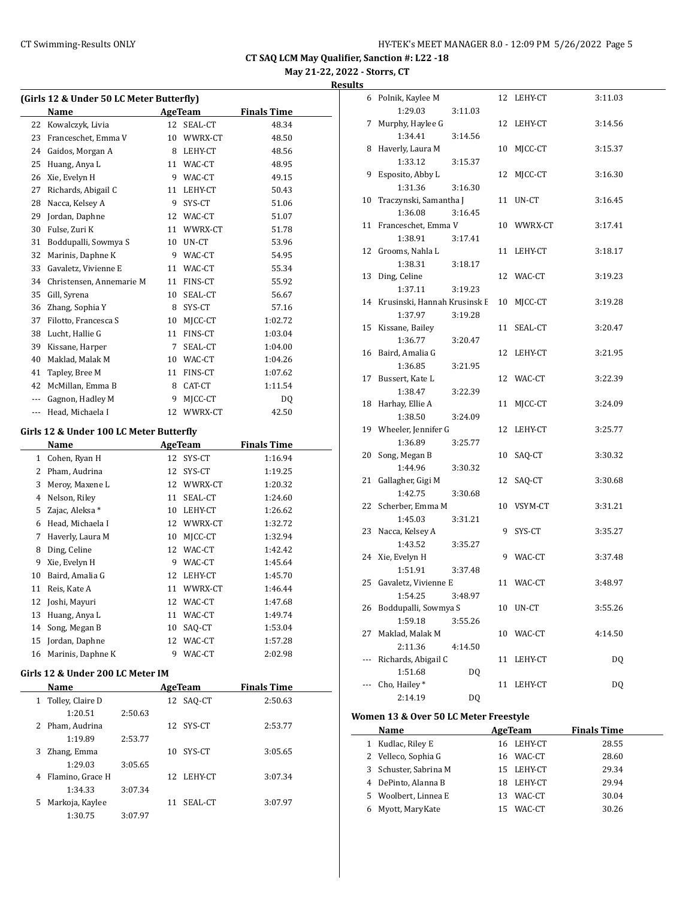**May 21-22, 2022 - Storrs, CT**

#### **Results**

| (Girls 12 & Under 50 LC Meter Butterfly) |                                         |    |                |                    |  |
|------------------------------------------|-----------------------------------------|----|----------------|--------------------|--|
|                                          | Name                                    |    | AgeTeam        | <b>Finals Time</b> |  |
| 22                                       | Kowalczyk, Livia                        | 12 | SEAL-CT        | 48.34              |  |
| 23                                       | Franceschet, Emma V                     |    | 10 WWRX-CT     | 48.50              |  |
|                                          | 24 Gaidos, Morgan A                     |    | 8 LEHY-CT      | 48.56              |  |
| 25                                       | Huang, Anya L                           |    | 11 WAC-CT      | 48.95              |  |
|                                          | 26 Xie, Evelyn H                        |    | 9 WAC-CT       | 49.15              |  |
|                                          | 27 Richards, Abigail C                  |    | 11 LEHY-CT     | 50.43              |  |
|                                          | 28 Nacca, Kelsey A                      |    | 9 SYS-CT       | 51.06              |  |
| 29                                       | Jordan, Daphne                          |    | 12 WAC-CT      | 51.07              |  |
| 30                                       | Fulse, Zuri K                           |    | 11 WWRX-CT     | 51.78              |  |
| 31                                       | Boddupalli, Sowmya S                    |    | 10 UN-CT       | 53.96              |  |
| 32                                       | Marinis, Daphne K                       |    | 9 WAC-CT       | 54.95              |  |
| 33                                       | Gavaletz, Vivienne E                    |    | 11 WAC-CT      | 55.34              |  |
|                                          | 34 Christensen, Annemarie M             |    | 11 FINS-CT     | 55.92              |  |
|                                          | 35 Gill, Syrena                         |    | 10 SEAL-CT     | 56.67              |  |
|                                          | 36 Zhang, Sophia Y                      |    | 8 SYS-CT       | 57.16              |  |
|                                          | 37 Filotto, Francesca S                 |    | 10 MJCC-CT     | 1:02.72            |  |
|                                          | 38 Lucht, Hallie G                      |    | 11 FINS-CT     | 1:03.04            |  |
|                                          | 39 Kissane, Harper                      |    | 7 SEAL-CT      | 1:04.00            |  |
| 40                                       | Maklad, Malak M                         |    | 10 WAC-CT      | 1:04.26            |  |
| 41                                       | Tapley, Bree M                          |    | 11 FINS-CT     | 1:07.62            |  |
|                                          | 42 McMillan, Emma B                     | 8  | CAT-CT         | 1:11.54            |  |
|                                          | --- Gagnon, Hadley M                    | 9. | MJCC-CT        | DQ                 |  |
|                                          | --- Head, Michaela I                    |    | 12 WWRX-CT     | 42.50              |  |
|                                          |                                         |    |                |                    |  |
|                                          | Girls 12 & Under 100 LC Meter Butterfly |    |                |                    |  |
|                                          | Name                                    |    | AgeTeam        | <b>Finals Time</b> |  |
|                                          | 1 Cohen, Ryan H                         | 12 | SYS-CT         | 1:16.94            |  |
|                                          | 2 Pham, Audrina                         |    | 12 SYS-CT      | 1:19.25            |  |
| 3                                        | Meroy, Maxene L                         |    | 12 WWRX-CT     | 1:20.32            |  |
|                                          | 4 Nelson, Riley                         |    | 11 SEAL-CT     | 1:24.60            |  |
| 5                                        | Zajac, Aleksa *                         |    | 10 LEHY-CT     | 1:26.62            |  |
|                                          | 6 Head, Michaela I                      |    | 12 WWRX-CT     | 1:32.72            |  |
|                                          | 7 Haverly, Laura M                      |    | 10 MJCC-CT     | 1:32.94            |  |
| 8                                        | Ding, Celine                            |    | 12 WAC-CT      | 1:42.42            |  |
| 9                                        | Xie, Evelyn H                           |    | 9 WAC-CT       | 1:45.64            |  |
| 10                                       | Baird, Amalia G                         |    | 12 LEHY-CT     | 1:45.70            |  |
| 11                                       | Reis, Kate A                            |    | 11 WWRX-CT     | 1:46.44            |  |
| 12                                       | Joshi, Mayuri                           |    | 12 WAC-CT      | 1:47.68            |  |
| 13                                       | Huang, Anya L                           | 11 | WAC-CT         | 1:49.74            |  |
| 14                                       | Song, Megan B                           | 10 | SAQ-CT         | 1:53.04            |  |
| 15                                       | Jordan, Daphne                          |    | 12 WAC-CT      | 1:57.28            |  |
| 16                                       | Marinis, Daphne K                       | 9  | WAC-CT         | 2:02.98            |  |
|                                          |                                         |    |                |                    |  |
|                                          | Girls 12 & Under 200 LC Meter IM        |    |                |                    |  |
|                                          | <b>Name</b>                             |    | <b>AgeTeam</b> | <b>Finals Time</b> |  |
| $\mathbf{1}$                             | Tolley, Claire D                        | 12 | SAQ-CT         | 2:50.63            |  |
|                                          | 1:20.51<br>2:50.63                      |    |                |                    |  |
| 2                                        | Pham, Audrina                           | 12 | SYS-CT         | 2:53.77            |  |
|                                          | 1:19.89<br>2:53.77                      |    |                |                    |  |
| 3                                        | Zhang, Emma                             | 10 | SYS-CT         | 3:05.65            |  |
|                                          | 1:29.03<br>3:05.65                      |    |                |                    |  |
| 4                                        | Flamino, Grace H                        | 12 | LEHY-CT        | 3:07.34            |  |
|                                          | 1:34.33<br>3:07.34                      |    |                |                    |  |
| 5                                        | Markoja, Kaylee                         | 11 | SEAL-CT        | 3:07.97            |  |
|                                          | 1:30.75<br>3:07.97                      |    |                |                    |  |

| 6   | Polnik, Kaylee M             | 12 | LEHY-CT    | 3:11.03   |
|-----|------------------------------|----|------------|-----------|
|     | 1:29.03<br>3:11.03           |    |            |           |
| 7   | Murphy, Haylee G             |    | 12 LEHY-CT | 3:14.56   |
|     | 1:34.41<br>3:14.56           |    |            |           |
| 8   | Haverly, Laura M             | 10 | MJCC-CT    | 3:15.37   |
|     | 1:33.12<br>3:15.37           |    |            |           |
| 9   | Esposito, Abby L             | 12 | MJCC-CT    | 3:16.30   |
|     | 1:31.36<br>3:16.30           |    |            |           |
| 10  | Traczynski, Samantha J       |    | 11 UN-CT   | 3:16.45   |
|     | 1:36.08<br>3:16.45           |    |            |           |
| 11  | Franceschet, Emma V          |    | 10 WWRX-CT | 3:17.41   |
|     | 1:38.91<br>3:17.41           |    |            |           |
| 12  | Grooms, Nahla L              |    | 11 LEHY-CT | 3:18.17   |
|     | 1:38.31<br>3:18.17           |    |            |           |
| 13  | Ding, Celine                 |    | 12 WAC-CT  | 3:19.23   |
|     | 1:37.11<br>3:19.23           |    |            |           |
| 14  | Krusinski, Hannah Krusinsk E | 10 | MJCC-CT    | 3:19.28   |
|     | 1:37.97<br>3:19.28           |    |            |           |
| 15  | Kissane, Bailey              | 11 | SEAL-CT    | 3:20.47   |
|     | 1:36.77<br>3:20.47           |    |            |           |
| 16  | Baird, Amalia G              |    | 12 LEHY-CT | 3:21.95   |
|     | 1:36.85<br>3:21.95           |    |            |           |
| 17  | Bussert, Kate L              |    | 12 WAC-CT  | 3:22.39   |
|     | 1:38.47<br>3:22.39           |    |            |           |
| 18  | Harhay, Ellie A              | 11 | MICC-CT    | 3:24.09   |
|     | 1:38.50<br>3:24.09           |    |            |           |
|     | 19 Wheeler, Jennifer G       | 12 | LEHY-CT    | 3:25.77   |
|     | 1:36.89<br>3:25.77           |    |            |           |
| 20  | Song, Megan B                | 10 | SAQ-CT     | 3:30.32   |
|     | 1:44.96<br>3:30.32           |    |            |           |
| 21  | Gallagher, Gigi M            | 12 | SAQ-CT     | 3:30.68   |
|     | 1:42.75<br>3:30.68           |    |            |           |
| 22  | Scherber, Emma M             | 10 | VSYM-CT    | 3:31.21   |
|     | 1:45.03<br>3:31.21           |    |            |           |
| 23  | Nacca, Kelsey A              | 9  | SYS-CT     | 3:35.27   |
|     | 1:43.52<br>3:35.27           |    |            |           |
| 24  | Xie, Evelyn H                | 9  | WAC-CT     | 3:37.48   |
|     | 1:51.91<br>3:37.48           |    |            |           |
| 25  | Gavaletz, Vivienne E         |    | 11 WAC-CT  | 3:48.97   |
|     | 1:54.25<br>3:48.97           |    |            |           |
| 26  | Boddupalli, Sowmya S         | 10 | UN-CT      | 3:55.26   |
|     | 1:59.18<br>3:55.26           |    |            |           |
| 27  | Maklad, Malak M              | 10 | WAC-CT     | 4:14.50   |
|     | 2:11.36<br>4:14.50           |    |            |           |
| --- | Richards, Abigail C          | 11 | LEHY-CT    | <b>DQ</b> |
|     | 1:51.68<br>DQ                |    |            |           |
|     | Cho, Hailey*                 | 11 | LEHY-CT    | <b>DQ</b> |
|     | 2:14.19<br>DQ                |    |            |           |
|     |                              |    |            |           |

#### **Women 13 & Over 50 LC Meter Freestyle**

|   | Name                  |     | AgeTeam    | <b>Finals Time</b> |
|---|-----------------------|-----|------------|--------------------|
| 1 | Kudlac, Riley E       |     | 16 LEHY-CT | 28.55              |
|   | 2 Velleco, Sophia G   |     | 16 WAC-CT  | 28.60              |
|   | 3 Schuster, Sabrina M |     | 15 LEHY-CT | 29.34              |
|   | 4 DePinto, Alanna B   | 18. | LEHY-CT    | 29.94              |
|   | 5 Woolbert, Linnea E  | 13. | WAC-CT     | 30.04              |
|   | 6 Myott, MaryKate     | 15. | WAC-CT     | 30.26              |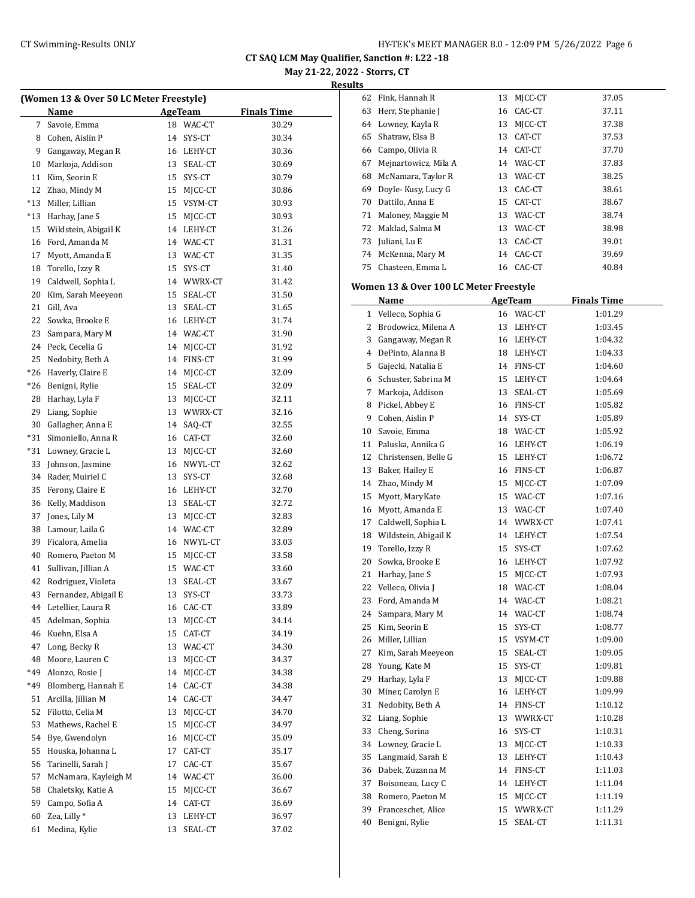**May 21-22, 2022 - Storrs, CT**

**Results**

|     | (Women 13 & Over 50 LC Meter Freestyle) |    |            |                    |
|-----|-----------------------------------------|----|------------|--------------------|
|     | Name                                    |    | AgeTeam    | <b>Finals Time</b> |
| 7   | Savoie, Emma                            | 18 | WAC-CT     | 30.29              |
| 8   | Cohen, Aislin P                         | 14 | SYS-CT     | 30.34              |
| 9   | Gangaway, Megan R                       | 16 | LEHY-CT    | 30.36              |
| 10  | Markoja, Addison                        |    | 13 SEAL-CT | 30.69              |
| 11  | Kim, Seorin E                           |    | 15 SYS-CT  | 30.79              |
| 12  | Zhao, Mindy M                           |    | 15 MJCC-CT | 30.86              |
| *13 | Miller, Lillian                         |    | 15 VSYM-CT | 30.93              |
| *13 | Harhay, Jane S                          | 15 | MJCC-CT    | 30.93              |
| 15  | Wildstein, Abigail K                    | 14 | LEHY-CT    | 31.26              |
| 16  | Ford, Amanda M                          |    | 14 WAC-CT  | 31.31              |
| 17  | Myott, Amanda E                         |    | 13 WAC-CT  | 31.35              |
| 18  | Torello, Izzy R                         | 15 | SYS-CT     | 31.40              |
| 19  | Caldwell, Sophia L                      |    | 14 WWRX-CT | 31.42              |
| 20  | Kim, Sarah Meeyeon                      |    | 15 SEAL-CT | 31.50              |
| 21  | Gill, Ava                               |    | 13 SEAL-CT | 31.65              |
| 22  | Sowka, Brooke E                         |    | 16 LEHY-CT | 31.74              |
| 23  | Sampara, Mary M                         |    | 14 WAC-CT  | 31.90              |
| 24  | Peck, Cecelia G                         |    | 14 MICC-CT | 31.92              |
| 25  | Nedobity, Beth A                        |    | 14 FINS-CT | 31.99              |
| *26 | Haverly, Claire E                       | 14 | MJCC-CT    | 32.09              |
| *26 | Benigni, Rylie                          | 15 | SEAL-CT    | 32.09              |
| 28  | Harhay, Lyla F                          | 13 | MJCC-CT    | 32.11              |
| 29  | Liang, Sophie                           |    | 13 WWRX-CT | 32.16              |
| 30  | Gallagher, Anna E                       | 14 | SAQ-CT     | 32.55              |
| *31 | Simoniello, Anna R                      |    | 16 CAT-CT  | 32.60              |
| *31 | Lowney, Gracie L                        | 13 | MJCC-CT    | 32.60              |
| 33  | Johnson, Jasmine                        | 16 | NWYL-CT    | 32.62              |
| 34  | Rader, Muiriel C                        | 13 | SYS-CT     | 32.68              |
| 35  | Ferony, Claire E                        |    | 16 LEHY-CT | 32.70              |
| 36  | Kelly, Maddison                         |    | 13 SEAL-CT | 32.72              |
| 37  | Jones, Lily M                           | 13 | MJCC-CT    | 32.83              |
| 38  | Lamour, Laila G                         |    | 14 WAC-CT  | 32.89              |
| 39  | Ficalora, Amelia                        |    | 16 NWYL-CT | 33.03              |
| 40  | Romero, Paeton M                        | 15 | MJCC-CT    | 33.58              |
| 41  | Sullivan, Jillian A                     |    | 15 WAC-CT  | 33.60              |
| 42  | Rodriguez, Violeta                      | 13 | SEAL-CT    | 33.67              |
| 43  | Fernandez, Abigail E                    | 13 | SYS-CT     | 33.73              |
| 44  | Letellier, Laura R                      | 16 | CAC-CT     | 33.89              |
| 45  | Adelman, Sophia                         | 13 | MJCC-CT    | 34.14              |
| 46  | Kuehn, Elsa A                           | 15 | CAT-CT     | 34.19              |
| 47  | Long, Becky R                           | 13 | WAC-CT     | 34.30              |
| 48  | Moore. Lauren C                         | 13 | MJCC-CT    | 34.37              |
| *49 | Alonzo, Rosie J                         | 14 | MJCC-CT    | 34.38              |
| *49 | Blomberg, Hannah E                      | 14 | CAC-CT     | 34.38              |
| 51  | Arcilla, Jillian M                      | 14 | CAC-CT     | 34.47              |
| 52  | Filotto, Celia M                        | 13 | MICC-CT    | 34.70              |
| 53  | Mathews, Rachel E                       | 15 | MJCC-CT    | 34.97              |
| 54  | Bye, Gwendolyn                          | 16 | MJCC-CT    | 35.09              |
| 55  | Houska, Johanna L                       | 17 | CAT-CT     | 35.17              |
| 56  | Tarinelli, Sarah J                      | 17 | CAC-CT     | 35.67              |
| 57  | McNamara, Kayleigh M                    | 14 | WAC-CT     | 36.00              |
| 58  | Chaletsky, Katie A                      | 15 | MJCC-CT    | 36.67              |
| 59  | Campo, Sofia A                          | 14 | CAT-CT     | 36.69              |
| 60  | Zea, Lilly*                             | 13 | LEHY-CT    | 36.97              |
| 61  | Medina, Kylie                           | 13 | SEAL-CT    | 37.02              |
|     |                                         |    |            |                    |

| ້  |                      |    |           |       |
|----|----------------------|----|-----------|-------|
| 62 | Fink, Hannah R       | 13 | MJCC-CT   | 37.05 |
| 63 | Herr, Stephanie J    | 16 | CAC-CT    | 37.11 |
| 64 | Lowney, Kayla R      | 13 | MICC-CT   | 37.38 |
| 65 | Shatraw, Elsa B      | 13 | CAT-CT    | 37.53 |
| 66 | Campo, Olivia R      |    | 14 CAT-CT | 37.70 |
| 67 | Mejnartowicz, Mila A | 14 | WAC-CT    | 37.83 |
| 68 | McNamara, Taylor R   | 13 | WAC-CT    | 38.25 |
| 69 | Doyle-Kusy, Lucy G   | 13 | CAC-CT    | 38.61 |
| 70 | Dattilo, Anna E      | 15 | CAT-CT    | 38.67 |
| 71 | Maloney, Maggie M    | 13 | WAC-CT    | 38.74 |
| 72 | Maklad, Salma M      | 13 | WAC-CT    | 38.98 |
| 73 | Juliani, Lu E        | 13 | CAC-CT    | 39.01 |
| 74 | McKenna, Mary M      |    | 14 CAC-CT | 39.69 |
| 75 | Chasteen, Emma L     |    | 16 CAC-CT | 40.84 |
|    |                      |    |           |       |

#### **Women 13 & Over 100 LC Meter Freestyle**

|              | Name                    |    | <b>AgeTeam</b> | <b>Finals Time</b> |
|--------------|-------------------------|----|----------------|--------------------|
| $\mathbf{1}$ | Velleco, Sophia G       |    | 16 WAC-CT      | 1:01.29            |
| 2            | Brodowicz, Milena A     | 13 | LEHY-CT        | 1:03.45            |
| 3            | Gangaway, Megan R       | 16 | LEHY-CT        | 1:04.32            |
| 4            | DePinto, Alanna B       |    | 18 LEHY-CT     | 1:04.33            |
| 5            | Gajecki, Natalia E      |    | 14 FINS-CT     | 1:04.60            |
| 6            | Schuster, Sabrina M     | 15 | LEHY-CT        | 1:04.64            |
| 7            | Markoja, Addison        | 13 | SEAL-CT        | 1:05.69            |
| 8            | Pickel, Abbey E         | 16 | FINS-CT        | 1:05.82            |
| 9            | Cohen, Aislin P         | 14 | SYS-CT         | 1:05.89            |
| 10           | Savoie, Emma            | 18 | WAC-CT         | 1:05.92            |
| 11           | Paluska, Annika G       | 16 | LEHY-CT        | 1:06.19            |
|              | 12 Christensen, Belle G | 15 | LEHY-CT        | 1:06.72            |
| 13           | Baker, Hailey E         | 16 | FINS-CT        | 1:06.87            |
|              | 14 Zhao, Mindy M        | 15 | MJCC-CT        | 1:07.09            |
| 15           | Myott, MaryKate         | 15 | WAC-CT         | 1:07.16            |
| 16           | Myott, Amanda E         |    | 13 WAC-CT      | 1:07.40            |
| 17           | Caldwell, Sophia L      |    | 14 WWRX-CT     | 1:07.41            |
| 18           | Wildstein, Abigail K    | 14 | LEHY-CT        | 1:07.54            |
| 19           | Torello, Izzy R         | 15 | SYS-CT         | 1:07.62            |
| 20           | Sowka, Brooke E         | 16 | LEHY-CT        | 1:07.92            |
| 21           | Harhay, Jane S          | 15 | MICC-CT        | 1:07.93            |
| 22           | Velleco, Olivia J       | 18 | WAC-CT         | 1:08.04            |
| 23           | Ford, Amanda M          | 14 | WAC-CT         | 1:08.21            |
| 24           | Sampara, Mary M         |    | 14 WAC-CT      | 1:08.74            |
| 25           | Kim, Seorin E           | 15 | SYS-CT         | 1:08.77            |
| 26           | Miller, Lillian         | 15 | VSYM-CT        | 1:09.00            |
|              | 27 Kim, Sarah Meeyeon   | 15 | SEAL-CT        | 1:09.05            |
| 28           | Young, Kate M           | 15 | SYS-CT         | 1:09.81            |
| 29           | Harhay, Lyla F          | 13 | MJCC-CT        | 1:09.88            |
| 30           | Miner, Carolyn E        | 16 | LEHY-CT        | 1:09.99            |
| 31           | Nedobity, Beth A        | 14 | FINS-CT        | 1:10.12            |
| 32           | Liang, Sophie           | 13 | WWRX-CT        | 1:10.28            |
| 33           | Cheng, Sorina           | 16 | SYS-CT         | 1:10.31            |
| 34           | Lowney, Gracie L        | 13 | MJCC-CT        | 1:10.33            |
| 35           | Langmaid, Sarah E       | 13 | LEHY-CT        | 1:10.43            |
| 36           | Dabek, Zuzanna M        | 14 | FINS-CT        | 1:11.03            |
| 37           | Boisoneau, Lucy C       | 14 | LEHY-CT        | 1:11.04            |
|              | 38 Romero, Paeton M     | 15 | MICC-CT        | 1:11.19            |
| 39           | Franceschet, Alice      | 15 | WWRX-CT        | 1:11.29            |
| 40           | Benigni, Rylie          | 15 | SEAL-CT        | 1:11.31            |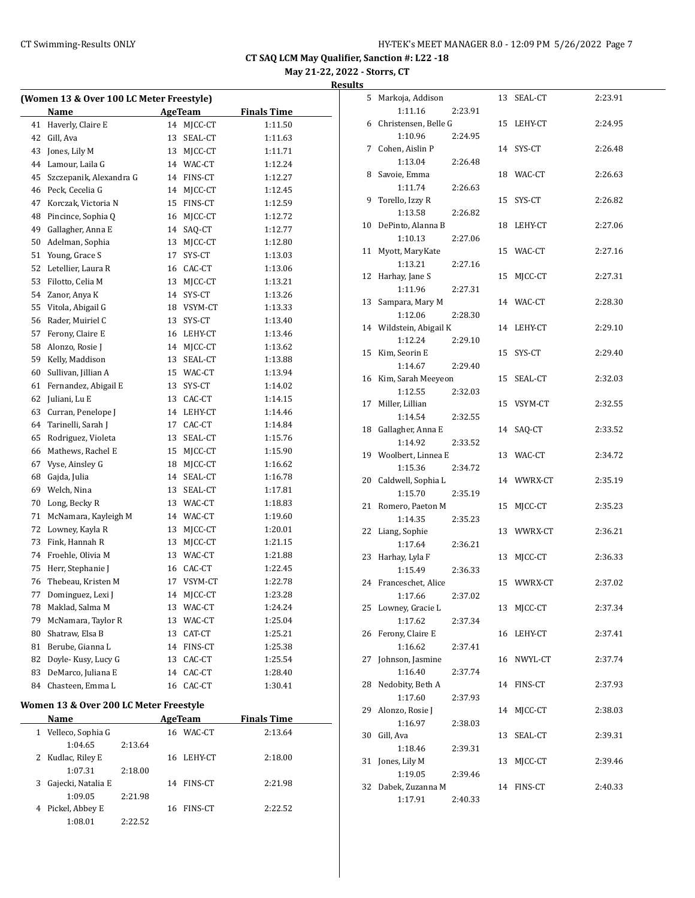**May 21-22, 2022 - Storrs, CT**

**Results**

|    | (Women 13 & Over 100 LC Meter Freestyle) |    |                |                    |
|----|------------------------------------------|----|----------------|--------------------|
|    | Name                                     |    | <b>AgeTeam</b> | <b>Finals Time</b> |
| 41 | Haverly, Claire E                        | 14 | MJCC-CT        | 1:11.50            |
| 42 | Gill, Ava                                | 13 | SEAL-CT        | 1:11.63            |
| 43 | Jones, Lily M                            | 13 | MJCC-CT        | 1:11.71            |
| 44 | Lamour, Laila G                          |    | 14 WAC-CT      | 1:12.24            |
| 45 | Szczepanik, Alexandra G                  |    | 14 FINS-CT     | 1:12.27            |
| 46 | Peck, Cecelia G                          |    | 14 MJCC-CT     | 1:12.45            |
| 47 | Korczak, Victoria N                      |    | 15 FINS-CT     | 1:12.59            |
| 48 | Pincince, Sophia Q                       |    | 16 MJCC-CT     | 1:12.72            |
| 49 | Gallagher, Anna E                        |    | 14 SAQ-CT      | 1:12.77            |
| 50 | Adelman, Sophia                          |    | 13 MJCC-CT     | 1:12.80            |
| 51 | Young, Grace S                           | 17 | SYS-CT         | 1:13.03            |
| 52 | Letellier, Laura R                       |    | 16 CAC-CT      | 1:13.06            |
| 53 | Filotto, Celia M                         | 13 | MJCC-CT        | 1:13.21            |
| 54 | Zanor, Anya K                            | 14 | SYS-CT         | 1:13.26            |
| 55 | Vitola, Abigail G                        |    | 18 VSYM-CT     | 1:13.33            |
| 56 | Rader, Muiriel C                         | 13 | SYS-CT         | 1:13.40            |
| 57 | Ferony, Claire E                         |    | 16 LEHY-CT     | 1:13.46            |
| 58 | Alonzo, Rosie J                          |    | 14 MICC-CT     | 1:13.62            |
| 59 | Kelly, Maddison                          | 13 | SEAL-CT        | 1:13.88            |
| 60 | Sullivan, Jillian A                      |    | 15 WAC-CT      | 1:13.94            |
| 61 | Fernandez, Abigail E                     | 13 | SYS-CT         | 1:14.02            |
| 62 | Juliani, Lu E                            | 13 | CAC-CT         | 1:14.15            |
| 63 | Curran, Penelope J                       |    | 14 LEHY-CT     | 1:14.46            |
| 64 | Tarinelli, Sarah J                       | 17 | CAC-CT         | 1:14.84            |
| 65 | Rodriguez, Violeta                       | 13 | SEAL-CT        | 1:15.76            |
| 66 | Mathews, Rachel E                        | 15 | MJCC-CT        | 1:15.90            |
| 67 | Vyse, Ainsley G                          | 18 | MJCC-CT        | 1:16.62            |
| 68 | Gajda, Julia                             | 14 | SEAL-CT        | 1:16.78            |
| 69 | Welch, Nina                              | 13 | SEAL-CT        | 1:17.81            |
| 70 | Long, Becky R                            |    | 13 WAC-CT      | 1:18.83            |
| 71 | McNamara, Kayleigh M                     |    | 14 WAC-CT      | 1:19.60            |
| 72 | Lowney, Kayla R                          | 13 | MJCC-CT        | 1:20.01            |
| 73 | Fink, Hannah R                           | 13 | MJCC-CT        | 1:21.15            |
| 74 | Froehle, Olivia M                        |    | 13 WAC-CT      | 1:21.88            |
| 75 | Herr, Stephanie J                        |    | 16 CAC-CT      | 1:22.45            |
| 76 | Thebeau, Kristen M                       |    | 17 VSYM-CT     | 1:22.78            |
| 77 | Dominguez, Lexi J                        | 14 | MJCC-CT        | 1:23.28            |
| 78 | Maklad, Salma M                          | 13 | WAC-CT         | 1:24.24            |
| 79 | McNamara, Taylor R                       | 13 | WAC-CT         | 1:25.04            |
| 80 | Shatraw, Elsa B                          | 13 | CAT-CT         | 1:25.21            |
| 81 | Berube, Gianna L                         | 14 | FINS-CT        | 1:25.38            |
| 82 | Doyle-Kusy, Lucy G                       | 13 | CAC-CT         | 1:25.54            |
| 83 | DeMarco, Juliana E                       | 14 | CAC-CT         | 1:28.40            |
| 84 | Chasteen, Emma L                         | 16 | CAC-CT         | 1:30.41            |
|    |                                          |    |                |                    |

# **Women 13 & Over 200 LC Meter Freestyle**

|    | Name                |         |    | AgeTeam        | <b>Finals Time</b> |  |
|----|---------------------|---------|----|----------------|--------------------|--|
|    | 1 Velleco, Sophia G |         | 16 | WAC-CT         | 2:13.64            |  |
|    | 1:04.65             | 2:13.64 |    |                |                    |  |
|    | 2 Kudlac, Riley E   |         |    | 16 LEHY-CT     | 2:18.00            |  |
|    | 1:07.31             | 2:18.00 |    |                |                    |  |
| 3. | Gajecki, Natalia E  |         | 14 | FINS-CT        | 2:21.98            |  |
|    | 1:09.05             | 2:21.98 |    |                |                    |  |
|    | 4 Pickel, Abbey E   |         | 16 | <b>FINS-CT</b> | 2:22.52            |  |
|    | 1:08.01             | 2:22.52 |    |                |                    |  |
|    |                     |         |    |                |                    |  |

| 5  | Markoja, Addison      |         |    | 13 SEAL-CT | 2:23.91 |
|----|-----------------------|---------|----|------------|---------|
|    | 1:11.16               | 2:23.91 |    |            |         |
| 6  | Christensen, Belle G  |         |    | 15 LEHY-CT | 2:24.95 |
|    | 1:10.96               | 2:24.95 |    |            |         |
| 7  | Cohen, Aislin P       |         |    | 14 SYS-CT  | 2:26.48 |
|    | 1:13.04               | 2:26.48 |    |            |         |
| 8  | Savoie, Emma          |         |    | 18 WAC-CT  | 2:26.63 |
|    | 1:11.74               | 2:26.63 |    |            |         |
| 9  | Torello, Izzy R       |         |    | 15 SYS-CT  | 2:26.82 |
|    | 1:13.58               | 2:26.82 |    |            |         |
| 10 | DePinto, Alanna B     |         |    | 18 LEHY-CT | 2:27.06 |
|    | 1:10.13               | 2:27.06 |    |            |         |
| 11 | Myott, MaryKate       |         |    | 15 WAC-CT  | 2:27.16 |
|    | 1:13.21               | 2:27.16 |    |            |         |
| 12 | Harhay, Jane S        |         | 15 | MJCC-CT    | 2:27.31 |
|    | 1:11.96               | 2:27.31 |    |            |         |
| 13 | Sampara, Mary M       |         |    | 14 WAC-CT  | 2:28.30 |
|    | 1:12.06               | 2:28.30 |    |            |         |
| 14 | Wildstein, Abigail K  |         |    | 14 LEHY-CT | 2:29.10 |
|    | 1:12.24               | 2:29.10 |    |            |         |
| 15 | Kim, Seorin E         |         |    | 15 SYS-CT  | 2:29.40 |
|    | 1:14.67               | 2:29.40 |    |            |         |
| 16 | Kim, Sarah Meeyeon    |         | 15 | SEAL-CT    | 2:32.03 |
|    | 1:12.55               | 2:32.03 |    |            |         |
| 17 | Miller, Lillian       |         | 15 | VSYM-CT    | 2:32.55 |
|    | 1:14.54               | 2:32.55 |    |            |         |
| 18 | Gallagher, Anna E     |         | 14 | SAQ-CT     | 2:33.52 |
|    | 1:14.92               | 2:33.52 |    |            |         |
|    | 19 Woolbert, Linnea E |         |    | 13 WAC-CT  | 2:34.72 |
|    |                       |         |    |            |         |
|    | 1:15.36               | 2:34.72 |    |            |         |
| 20 | Caldwell, Sophia L    |         |    | 14 WWRX-CT | 2:35.19 |
|    | 1:15.70               | 2:35.19 |    |            |         |
| 21 | Romero, Paeton M      |         | 15 | MJCC-CT    | 2:35.23 |
|    | 1:14.35               | 2:35.23 |    |            |         |
| 22 | Liang, Sophie         |         |    | 13 WWRX-CT | 2:36.21 |
|    | 1:17.64               | 2:36.21 |    |            |         |
| 23 | Harhay, Lyla F        |         | 13 | MJCC-CT    | 2:36.33 |
|    | 1:15.49               | 2:36.33 |    |            |         |
| 24 | Franceschet, Alice    |         |    | 15 WWRX-CT | 2:37.02 |
|    | 1:17.66               | 2:37.02 |    |            |         |
| 25 | Lowney, Gracie L      |         | 13 | MJCC-CT    | 2:37.34 |
|    | 1:17.62               | 2:37.34 |    |            |         |
| 26 | Ferony, Claire E      |         | 16 | LEHY-CT    | 2:37.41 |
|    | 1:16.62               | 2:37.41 |    |            |         |
| 27 | Johnson, Jasmine      |         | 16 | NWYL-CT    | 2:37.74 |
|    | 1:16.40               | 2:37.74 |    |            |         |
| 28 | Nedobity, Beth A      |         | 14 | FINS-CT    | 2:37.93 |
|    | 1:17.60               | 2:37.93 |    |            |         |
| 29 | Alonzo, Rosie J       |         | 14 | MJCC-CT    | 2:38.03 |
|    | 1:16.97               | 2:38.03 |    |            |         |
| 30 | Gill, Ava             |         | 13 | SEAL-CT    | 2:39.31 |
|    | 1:18.46               | 2:39.31 |    |            |         |
| 31 | Jones, Lily M         |         | 13 | MJCC-CT    | 2:39.46 |
|    | 1:19.05               | 2:39.46 |    |            |         |
| 32 | Dabek, Zuzanna M      |         | 14 | FINS-CT    | 2:40.33 |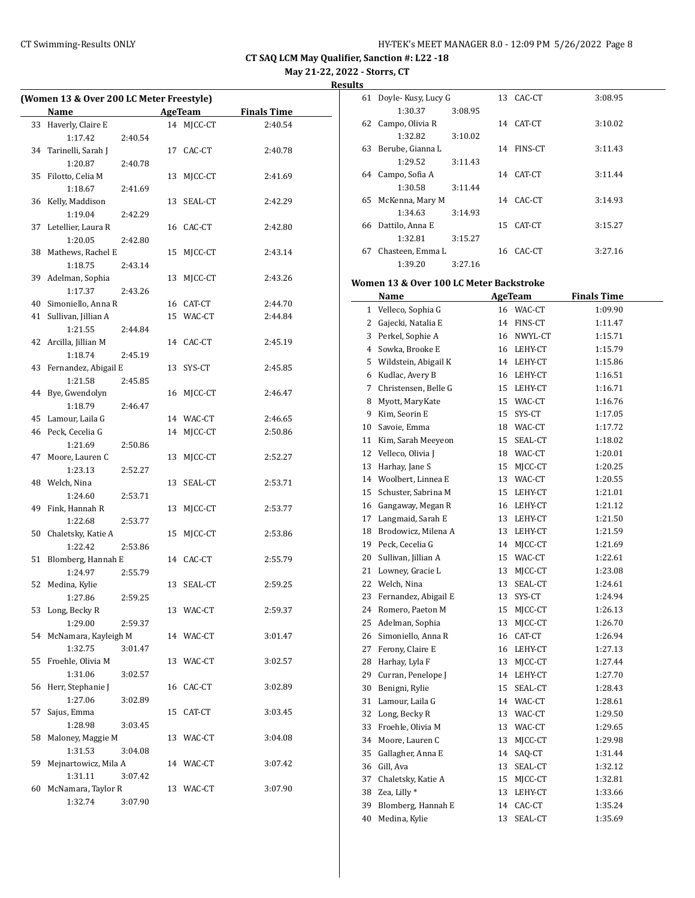**May 21-22, 2022 - Storrs, CT**

**Results**

|    | (Women 13 & Over 200 LC Meter Freestyle) |    |            |                    |  |
|----|------------------------------------------|----|------------|--------------------|--|
|    | Name                                     |    | AgeTeam    | <b>Finals Time</b> |  |
|    | 33 Haverly, Claire E                     |    | 14 MJCC-CT | 2:40.54            |  |
|    | 1:17.42<br>2:40.54                       |    |            |                    |  |
| 34 | Tarinelli, Sarah J                       |    | 17 CAC-CT  | 2:40.78            |  |
|    | 1:20.87<br>2:40.78                       |    |            |                    |  |
| 35 | Filotto, Celia M                         |    | 13 MJCC-CT | 2:41.69            |  |
|    | 1:18.67<br>2:41.69                       |    |            |                    |  |
|    | 36 Kelly, Maddison                       |    | 13 SEAL-CT | 2:42.29            |  |
|    | 1:19.04<br>2:42.29                       |    |            |                    |  |
|    | 37 Letellier, Laura R                    |    | 16 CAC-CT  | 2:42.80            |  |
|    | 1:20.05<br>2:42.80                       |    |            |                    |  |
| 38 | Mathews, Rachel E                        |    | 15 MJCC-CT | 2:43.14            |  |
|    | 1:18.75<br>2:43.14                       |    |            |                    |  |
|    | 39 Adelman, Sophia                       |    | 13 MJCC-CT | 2:43.26            |  |
|    | 1:17.37<br>2:43.26                       |    |            |                    |  |
|    | 40 Simoniello, Anna R                    |    | 16 CAT-CT  | 2:44.70            |  |
|    | 41 Sullivan, Jillian A                   |    | 15 WAC-CT  | 2:44.84            |  |
|    | 1:21.55<br>2:44.84                       |    |            |                    |  |
|    | 42 Arcilla, Jillian M                    |    | 14 CAC-CT  | 2:45.19            |  |
|    | 1:18.74<br>2:45.19                       |    |            |                    |  |
|    | 43 Fernandez, Abigail E                  |    | 13 SYS-CT  | 2:45.85            |  |
|    | 1:21.58<br>2:45.85                       |    |            |                    |  |
|    | 44 Bye, Gwendolyn                        |    | 16 MJCC-CT | 2:46.47            |  |
|    | 1:18.79<br>2:46.47                       |    |            |                    |  |
|    | 45 Lamour, Laila G                       |    | 14 WAC-CT  | 2:46.65            |  |
|    | 46 Peck, Cecelia G                       |    | 14 MJCC-CT | 2:50.86            |  |
|    | 1:21.69<br>2:50.86                       |    |            |                    |  |
| 47 | Moore, Lauren C                          | 13 | MJCC-CT    | 2:52.27            |  |
|    | 1:23.13<br>2:52.27                       |    |            |                    |  |
|    | 48 Welch, Nina                           |    | 13 SEAL-CT | 2:53.71            |  |
|    | 1:24.60<br>2:53.71                       |    |            |                    |  |
| 49 | Fink, Hannah R                           | 13 | MJCC-CT    | 2:53.77            |  |
|    | 1:22.68<br>2:53.77                       |    |            |                    |  |
| 50 | Chaletsky, Katie A                       | 15 | MJCC-CT    | 2:53.86            |  |
|    | 1:22.42<br>2:53.86                       |    |            |                    |  |
| 51 | Blomberg, Hannah E                       |    | 14 CAC-CT  | 2:55.79            |  |
|    | 1:24.97<br>2:55.79                       |    |            |                    |  |
|    | 52 Medina, Kylie                         |    | 13 SEAL-CT | 2:59.25            |  |
|    | 1:27.86<br>2:59.25                       |    |            |                    |  |
|    | 53 Long, Becky R                         |    | 13 WAC-CT  | 2:59.37            |  |
|    | 1:29.00<br>2:59.37                       |    |            |                    |  |
| 54 | McNamara, Kayleigh M                     |    | 14 WAC-CT  | 3:01.47            |  |
|    | 1:32.75<br>3:01.47                       |    |            |                    |  |
| 55 | Froehle, Olivia M                        |    | 13 WAC-CT  | 3:02.57            |  |
|    | 1:31.06<br>3:02.57                       |    |            |                    |  |
| 56 | Herr, Stephanie J                        |    | 16 CAC-CT  | 3:02.89            |  |
|    | 1:27.06<br>3:02.89                       |    |            |                    |  |
| 57 | Sajus, Emma                              | 15 | CAT-CT     | 3:03.45            |  |
|    | 1:28.98<br>3:03.45                       |    |            |                    |  |
| 58 | Maloney, Maggie M                        | 13 | WAC-CT     | 3:04.08            |  |
|    | 1:31.53<br>3:04.08                       |    |            |                    |  |
| 59 | Mejnartowicz, Mila A                     |    | 14 WAC-CT  | 3:07.42            |  |
|    | 1:31.11<br>3:07.42                       |    |            |                    |  |
| 60 | McNamara, Taylor R<br>1:32.74            |    | 13 WAC-CT  | 3:07.90            |  |
|    | 3:07.90                                  |    |            |                    |  |

| 61 | Doyle-Kusy, Lucy G |         |    | 13 CAC-CT      | 3:08.95 |
|----|--------------------|---------|----|----------------|---------|
|    | 1:30.37            | 3:08.95 |    |                |         |
| 62 | Campo, Olivia R    |         |    | 14 CAT-CT      | 3:10.02 |
|    | 1:32.82            | 3:10.02 |    |                |         |
| 63 | Berube, Gianna L   |         | 14 | <b>FINS-CT</b> | 3:11.43 |
|    | 1:29.52            | 3:11.43 |    |                |         |
| 64 | Campo, Sofia A     |         | 14 | CAT-CT         | 3:11.44 |
|    | 1:30.58            | 3:11.44 |    |                |         |
| 65 | McKenna, Mary M    |         |    | 14 CAC-CT      | 3:14.93 |
|    | 1:34.63            | 3:14.93 |    |                |         |
| 66 | Dattilo, Anna E    |         | 15 | CAT-CT         | 3:15.27 |
|    | 1:32.81            | 3:15.27 |    |                |         |
| 67 | Chasteen, Emma L   |         |    | 16 CAC-CT      | 3:27.16 |
|    | 1:39.20            | 3:27.16 |    |                |         |

# **Women 13 & Over 100 LC Meter Backstroke**

|              | Name                  |    | <b>AgeTeam</b> | <b>Finals Time</b> |  |
|--------------|-----------------------|----|----------------|--------------------|--|
| $\mathbf{1}$ | Velleco, Sophia G     |    | 16 WAC-CT      | 1:09.90            |  |
| 2            | Gajecki, Natalia E    | 14 | FINS-CT        | 1:11.47            |  |
| 3            | Perkel, Sophie A      | 16 | NWYL-CT        | 1:15.71            |  |
| 4            | Sowka, Brooke E       |    | 16 LEHY-CT     | 1:15.79            |  |
| 5            | Wildstein, Abigail K  |    | 14 LEHY-CT     | 1:15.86            |  |
| 6            | Kudlac, Avery B       | 16 | LEHY-CT        | 1:16.51            |  |
| 7            | Christensen, Belle G  | 15 | LEHY-CT        | 1:16.71            |  |
| 8            | Myott, MaryKate       | 15 | WAC-CT         | 1:16.76            |  |
|              | 9 Kim, Seorin E       | 15 | SYS-CT         | 1:17.05            |  |
|              | 10 Savoie, Emma       | 18 | WAC-CT         | 1:17.72            |  |
| 11           | Kim, Sarah Meeyeon    | 15 | SEAL-CT        | 1:18.02            |  |
| 12           | Velleco, Olivia J     | 18 | WAC-CT         | 1:20.01            |  |
| 13           | Harhay, Jane S        | 15 | MJCC-CT        | 1:20.25            |  |
|              | 14 Woolbert, Linnea E | 13 | WAC-CT         | 1:20.55            |  |
| 15           | Schuster, Sabrina M   | 15 | LEHY-CT        | 1:21.01            |  |
|              | 16 Gangaway, Megan R  | 16 | LEHY-CT        | 1:21.12            |  |
| 17           | Langmaid, Sarah E     | 13 | LEHY-CT        | 1:21.50            |  |
| 18           | Brodowicz, Milena A   | 13 | LEHY-CT        | 1:21.59            |  |
|              | 19 Peck, Cecelia G    | 14 | MJCC-CT        | 1:21.69            |  |
| 20           | Sullivan, Jillian A   | 15 | WAC-CT         | 1:22.61            |  |
| 21           | Lowney, Gracie L      | 13 | MJCC-CT        | 1:23.08            |  |
| 22           | Welch, Nina           | 13 | SEAL-CT        | 1:24.61            |  |
| 23           | Fernandez, Abigail E  | 13 | SYS-CT         | 1:24.94            |  |
|              | 24 Romero, Paeton M   | 15 | MJCC-CT        | 1:26.13            |  |
|              | 25 Adelman, Sophia    | 13 | MJCC-CT        | 1:26.70            |  |
|              | 26 Simoniello, Anna R | 16 | CAT-CT         | 1:26.94            |  |
|              | 27 Ferony, Claire E   | 16 | LEHY-CT        | 1:27.13            |  |
| 28           | Harhay, Lyla F        | 13 | MJCC-CT        | 1:27.44            |  |
| 29           | Curran, Penelope J    | 14 | LEHY-CT        | 1:27.70            |  |
| 30           | Benigni, Rylie        | 15 | SEAL-CT        | 1:28.43            |  |
| 31           | Lamour, Laila G       | 14 | WAC-CT         | 1:28.61            |  |
| 32           | Long, Becky R         | 13 | WAC-CT         | 1:29.50            |  |
| 33           | Froehle, Olivia M     | 13 | WAC-CT         | 1:29.65            |  |
| 34           | Moore, Lauren C       | 13 | MJCC-CT        | 1:29.98            |  |
| 35           | Gallagher, Anna E     | 14 | SAQ-CT         | 1:31.44            |  |
| 36           | Gill, Ava             | 13 | SEAL-CT        | 1:32.12            |  |
| 37           | Chaletsky, Katie A    | 15 | MJCC-CT        | 1:32.81            |  |
| 38           | Zea, Lilly *          | 13 | LEHY-CT        | 1:33.66            |  |
| 39           | Blomberg, Hannah E    | 14 | CAC-CT         | 1:35.24            |  |
| 40           | Medina, Kylie         | 13 | SEAL-CT        | 1:35.69            |  |
|              |                       |    |                |                    |  |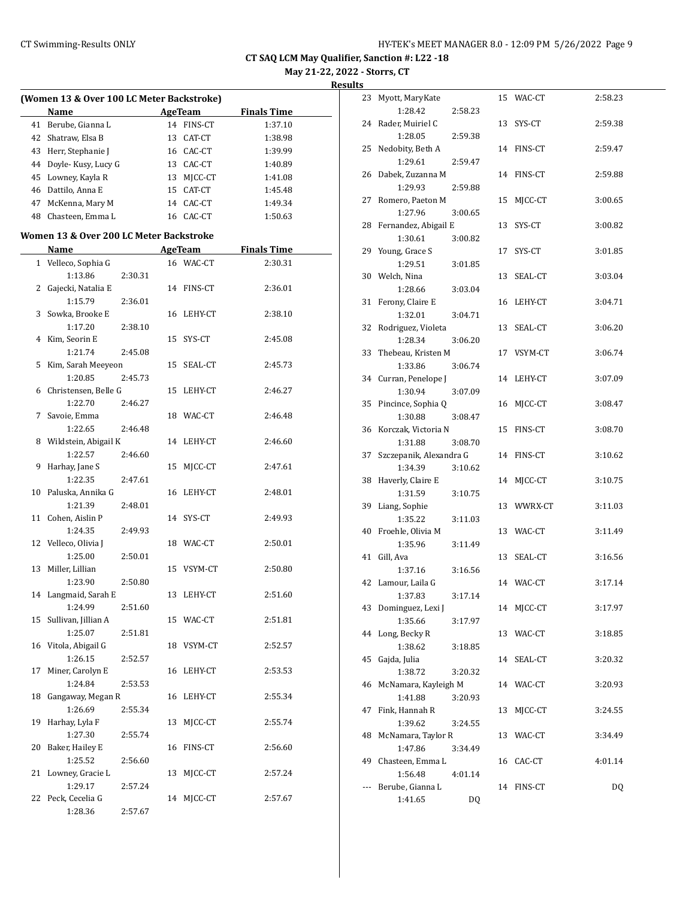**May 21-22, 2022 - Storrs, CT**

|    | (Women 13 & Over 100 LC Meter Backstroke) |         |    |                |                    |
|----|-------------------------------------------|---------|----|----------------|--------------------|
|    | Name                                      |         |    | <b>AgeTeam</b> | <b>Finals Time</b> |
|    | 41 Berube, Gianna L                       |         |    | 14 FINS-CT     | 1:37.10            |
|    | 42 Shatraw, Elsa B                        |         |    | 13 CAT-CT      | 1:38.98            |
|    | 43 Herr, Stephanie J                      |         |    | 16 CAC-CT      | 1:39.99            |
|    | 44 Doyle-Kusy, Lucy G                     |         |    | 13 CAC-CT      |                    |
|    |                                           |         |    |                | 1:40.89            |
|    | 45 Lowney, Kayla R                        |         |    | 13 MJCC-CT     | 1:41.08            |
|    | 46 Dattilo, Anna E                        |         |    | 15 CAT-CT      | 1:45.48            |
|    | 47 McKenna, Mary M                        |         |    | 14 CAC-CT      | 1:49.34            |
|    | 48 Chasteen, Emma L                       |         |    | 16 CAC-CT      | 1:50.63            |
|    | Women 13 & Over 200 LC Meter Backstroke   |         |    |                |                    |
|    | Name                                      |         |    | AgeTeam        | <b>Finals Time</b> |
|    | 1 Velleco, Sophia G                       |         |    | 16 WAC-CT      | 2:30.31            |
|    | 1:13.86                                   | 2:30.31 |    |                |                    |
| 2  | Gajecki, Natalia E                        |         |    | 14 FINS-CT     | 2:36.01            |
|    | 1:15.79                                   | 2:36.01 |    |                |                    |
| 3  | Sowka, Brooke E                           |         |    | 16 LEHY-CT     | 2:38.10            |
|    | 1:17.20                                   | 2:38.10 |    |                |                    |
| 4  | Kim, Seorin E                             |         |    | 15 SYS-CT      | 2:45.08            |
|    | 1:21.74                                   | 2:45.08 |    |                |                    |
| 5  | Kim, Sarah Meeyeon                        |         |    | 15 SEAL-CT     | 2:45.73            |
|    | 1:20.85                                   | 2:45.73 |    |                |                    |
| 6  | Christensen, Belle G                      |         |    | 15 LEHY-CT     | 2:46.27            |
|    | 1:22.70                                   | 2:46.27 |    |                |                    |
|    | 7 Savoie, Emma                            |         |    | 18 WAC-CT      | 2:46.48            |
|    | 1:22.65                                   | 2:46.48 |    |                |                    |
|    | 8 Wildstein, Abigail K                    |         |    | 14 LEHY-CT     | 2:46.60            |
|    | 1:22.57                                   | 2:46.60 |    |                |                    |
| 9  | Harhay, Jane S                            |         |    | 15 MJCC-CT     | 2:47.61            |
|    | 1:22.35                                   | 2:47.61 |    |                |                    |
|    | 10 Paluska, Annika G                      |         |    | 16 LEHY-CT     | 2:48.01            |
|    | 1:21.39                                   | 2:48.01 |    |                |                    |
| 11 | Cohen, Aislin P                           |         |    | 14 SYS-CT      | 2:49.93            |
|    | 1:24.35                                   | 2:49.93 |    |                |                    |
|    | 12 Velleco, Olivia J                      |         |    | 18 WAC-CT      | 2:50.01            |
|    | 1:25.00                                   | 2:50.01 |    |                |                    |
|    | 13 Miller, Lillian                        |         |    | 15 VSYM-CT     | 2:50.80            |
|    | 1:23.90                                   | 2:50.80 |    |                |                    |
|    | 14 Langmaid, Sarah E                      |         |    | 13 LEHY-CT     | 2:51.60            |
|    | 1:24.99                                   | 2:51.60 |    |                |                    |
|    | 15 Sullivan, Jillian A                    |         |    | 15 WAC-CT      | 2:51.81            |
|    | 1:25.07                                   | 2:51.81 |    |                |                    |
|    | 16 Vitola, Abigail G                      |         |    | 18 VSYM-CT     | 2:52.57            |
|    | 1:26.15                                   | 2:52.57 |    |                |                    |
| 17 | Miner, Carolyn E                          |         |    | 16 LEHY-CT     | 2:53.53            |
|    | 1:24.84                                   | 2:53.53 |    |                |                    |
| 18 | Gangaway, Megan R                         |         |    | 16 LEHY-CT     | 2:55.34            |
|    | 1:26.69                                   | 2:55.34 |    |                |                    |
|    | 19 Harhay, Lyla F                         |         |    | 13 MJCC-CT     | 2:55.74            |
|    | 1:27.30                                   | 2:55.74 |    |                |                    |
|    | 20 Baker, Hailey E                        |         |    | 16 FINS-CT     | 2:56.60            |
|    | 1:25.52                                   | 2:56.60 |    |                |                    |
|    | 21 Lowney, Gracie L                       |         | 13 | MJCC-CT        | 2:57.24            |
|    | 1:29.17                                   | 2:57.24 |    |                |                    |
|    | 22 Peck, Cecelia G                        |         |    | 14 MJCC-CT     | 2:57.67            |
|    |                                           |         |    |                |                    |
|    | 1:28.36                                   | 2:57.67 |    |                |                    |

| 23                       | Myott, MaryKate         |         |    | 15 WAC-CT  | 2:58.23 |
|--------------------------|-------------------------|---------|----|------------|---------|
|                          | 1:28.42                 | 2:58.23 |    |            |         |
| 24                       | Rader, Muiriel C        |         |    | 13 SYS-CT  | 2:59.38 |
|                          | 1:28.05                 | 2:59.38 |    |            |         |
| 25                       | Nedobity, Beth A        |         |    | 14 FINS-CT | 2:59.47 |
|                          | 1:29.61                 | 2:59.47 |    |            |         |
| 26                       | Dabek, Zuzanna M        |         |    | 14 FINS-CT | 2:59.88 |
|                          | 1:29.93                 | 2:59.88 |    |            |         |
| 27                       | Romero, Paeton M        |         | 15 | MJCC-CT    | 3:00.65 |
|                          | 1:27.96                 | 3:00.65 |    |            |         |
| 28                       | Fernandez, Abigail E    |         | 13 | SYS-CT     | 3:00.82 |
|                          | 1:30.61                 | 3:00.82 |    |            |         |
| 29                       | Young, Grace S          |         | 17 | SYS-CT     | 3:01.85 |
|                          | 1:29.51                 | 3:01.85 |    |            |         |
| 30                       | Welch, Nina             |         | 13 | SEAL-CT    | 3:03.04 |
|                          | 1:28.66                 | 3:03.04 |    |            |         |
| 31                       | Ferony, Claire E        |         |    | 16 LEHY-CT | 3:04.71 |
|                          | 1:32.01                 | 3:04.71 |    |            |         |
| 32                       | Rodriguez, Violeta      |         |    | 13 SEAL-CT | 3:06.20 |
|                          | 1:28.34                 | 3:06.20 |    |            |         |
| 33                       | Thebeau, Kristen M      |         |    | 17 VSYM-CT | 3:06.74 |
|                          | 1:33.86                 | 3:06.74 |    |            |         |
| 34                       | Curran, Penelope J      |         |    | 14 LEHY-CT | 3:07.09 |
|                          | 1:30.94                 | 3:07.09 |    |            |         |
| 35                       | Pincince, Sophia Q      |         |    | 16 MJCC-CT | 3:08.47 |
|                          | 1:30.88                 | 3:08.47 |    |            |         |
|                          | 36 Korczak, Victoria N  |         |    | 15 FINS-CT | 3:08.70 |
|                          | 1:31.88                 | 3:08.70 |    |            |         |
|                          |                         |         |    |            |         |
| 37                       | Szczepanik, Alexandra G |         |    | 14 FINS-CT | 3:10.62 |
|                          | 1:34.39                 | 3:10.62 |    |            |         |
| 38                       | Haverly, Claire E       |         |    | 14 MJCC-CT | 3:10.75 |
|                          | 1:31.59                 | 3:10.75 |    |            |         |
| 39                       | Liang, Sophie           |         |    | 13 WWRX-CT | 3:11.03 |
|                          | 1:35.22                 | 3:11.03 |    |            |         |
| 40                       | Froehle, Olivia M       |         |    | 13 WAC-CT  | 3:11.49 |
|                          | 1:35.96                 | 3:11.49 |    |            |         |
| 41                       | Gill, Ava               |         | 13 | SEAL-CT    | 3:16.56 |
|                          | 1:37.16                 | 3:16.56 |    |            |         |
| 42                       | Lamour, Laila G         |         |    | 14 WAC-CT  | 3:17.14 |
|                          | 1:37.83                 | 3:17.14 |    |            |         |
|                          | 43 Dominguez, Lexi J    |         |    | 14 MJCC-CT | 3:17.97 |
|                          | 1:35.66                 | 3:17.97 |    |            |         |
| 44                       | Long, Becky R           |         |    | 13 WAC-CT  | 3:18.85 |
|                          | 1:38.62                 | 3:18.85 |    |            |         |
| 45                       | Gajda, Julia            |         |    | 14 SEAL-CT | 3:20.32 |
|                          | 1:38.72                 | 3:20.32 |    |            |         |
| 46                       | McNamara, Kayleigh M    |         |    | 14 WAC-CT  | 3:20.93 |
|                          | 1:41.88                 | 3:20.93 |    |            |         |
| 47                       | Fink, Hannah R          |         | 13 | MJCC-CT    | 3:24.55 |
|                          | 1:39.62                 | 3:24.55 |    |            |         |
| 48                       | McNamara, Taylor R      |         | 13 | WAC-CT     | 3:34.49 |
|                          | 1:47.86                 | 3:34.49 |    |            |         |
| 49                       | Chasteen, Emma L        |         |    | 16 CAC-CT  | 4:01.14 |
|                          | 1:56.48                 | 4:01.14 |    |            |         |
| $\overline{\phantom{a}}$ | Berube, Gianna L        |         |    | 14 FINS-CT | DQ      |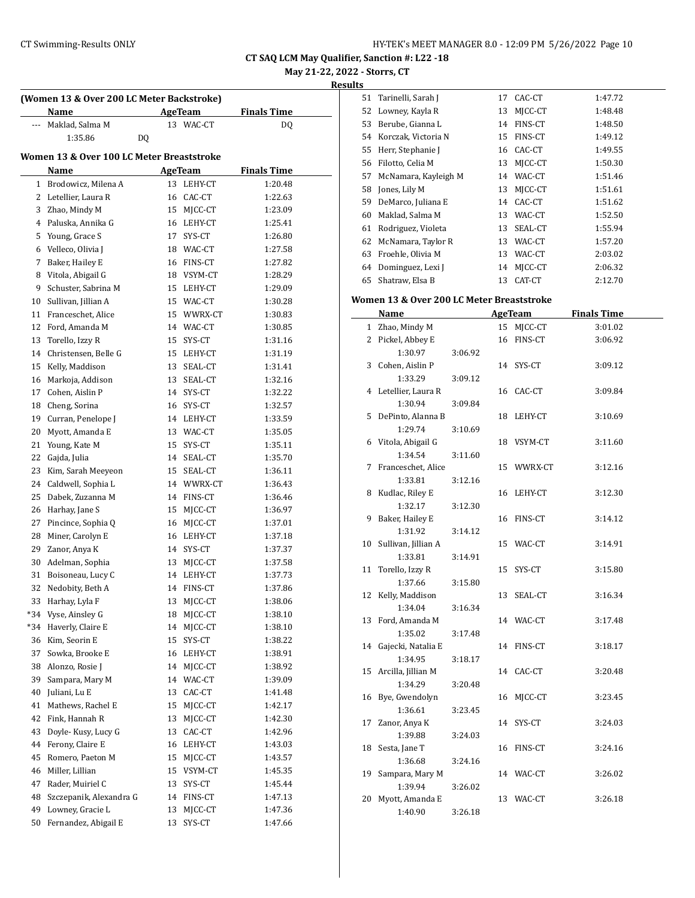**May 21-22, 2022 - Storrs, CT**

**Results**

| (Women 13 & Over 200 LC Meter Backstroke) |                                           |    |                    |                    |  |  |  |
|-------------------------------------------|-------------------------------------------|----|--------------------|--------------------|--|--|--|
|                                           | Name                                      |    | <b>AgeTeam</b>     | <b>Finals Time</b> |  |  |  |
| ---                                       | Maklad, Salma M                           |    | 13 WAC-CT          | DQ                 |  |  |  |
|                                           | 1:35.86                                   | DQ |                    |                    |  |  |  |
|                                           | Women 13 & Over 100 LC Meter Breaststroke |    |                    |                    |  |  |  |
|                                           | Name                                      |    | AgeTeam            | <b>Finals Time</b> |  |  |  |
|                                           | 1 Brodowicz, Milena A                     |    | 13 LEHY-CT         | 1:20.48            |  |  |  |
|                                           | 2 Letellier, Laura R                      | 16 | CAC-CT             | 1:22.63            |  |  |  |
|                                           | 3 Zhao, Mindy M                           | 15 | MJCC-CT            | 1:23.09            |  |  |  |
|                                           | 4 Paluska, Annika G                       |    | 16 LEHY-CT         | 1:25.41            |  |  |  |
| 5                                         | Young, Grace S                            | 17 | SYS-CT             | 1:26.80            |  |  |  |
|                                           | 6 Velleco, Olivia J                       |    | 18 WAC-CT          | 1:27.58            |  |  |  |
| 7                                         | Baker, Hailey E                           |    | 16 FINS-CT         | 1:27.82            |  |  |  |
|                                           | 8 Vitola, Abigail G                       |    | 18 VSYM-CT         | 1:28.29            |  |  |  |
| 9                                         | Schuster, Sabrina M                       |    | 15 LEHY-CT         | 1:29.09            |  |  |  |
| 10                                        | Sullivan, Jillian A                       |    | 15 WAC-CT          | 1:30.28            |  |  |  |
| 11                                        | Franceschet, Alice                        |    | 15 WWRX-CT         | 1:30.83            |  |  |  |
| 12                                        | Ford, Amanda M                            |    | 14 WAC-CT          | 1:30.85            |  |  |  |
| 13                                        | Torello, Izzy R                           |    | 15 SYS-CT          | 1:31.16            |  |  |  |
| 14                                        | Christensen, Belle G                      |    | 15 LEHY-CT         | 1:31.19            |  |  |  |
| 15                                        | Kelly, Maddison                           | 13 | SEAL-CT            | 1:31.41            |  |  |  |
| 16                                        | Markoja, Addison                          | 13 | SEAL-CT            | 1:32.16            |  |  |  |
| 17                                        | Cohen, Aislin P                           |    | 14 SYS-CT          | 1:32.22            |  |  |  |
| 18                                        | Cheng, Sorina                             |    | 16 SYS-CT          | 1:32.57            |  |  |  |
| 19                                        | Curran, Penelope J                        |    | 14 LEHY-CT         | 1:33.59            |  |  |  |
| 20                                        | Myott, Amanda E                           |    | 13 WAC-CT          | 1:35.05            |  |  |  |
| 21                                        | Young, Kate M                             |    | 15 SYS-CT          | 1:35.11            |  |  |  |
| 22                                        | Gajda, Julia                              |    | 14 SEAL-CT         | 1:35.70            |  |  |  |
| 23                                        | Kim, Sarah Meeyeon                        |    | 15 SEAL-CT         | 1:36.11            |  |  |  |
| 24                                        | Caldwell, Sophia L                        |    | 14 WWRX-CT         | 1:36.43            |  |  |  |
| 25                                        | Dabek, Zuzanna M                          |    | 14 FINS-CT         | 1:36.46            |  |  |  |
| 26                                        | Harhay, Jane S                            | 15 | MJCC-CT            | 1:36.97            |  |  |  |
| 27                                        | Pincince, Sophia Q                        | 16 | MJCC-CT            | 1:37.01            |  |  |  |
| 28                                        | Miner, Carolyn E                          |    | 16 LEHY-CT         | 1:37.18            |  |  |  |
|                                           | 29 Zanor, Anya K                          |    | 14 SYS-CT          | 1:37.37            |  |  |  |
| 30                                        | Adelman, Sophia                           | 13 | MJCC-CT            | 1:37.58            |  |  |  |
| 31                                        | Boisoneau, Lucy C                         |    | 14 LEHY-CT         | 1:37.73            |  |  |  |
| 32                                        | Nedobity, Beth A                          | 14 | FINS-CT            | 1:37.86            |  |  |  |
| 33                                        | Harhay, Lyla F                            | 13 | MJCC-CT            |                    |  |  |  |
| *34                                       | Vyse, Ainsley G                           |    |                    | 1:38.06            |  |  |  |
|                                           | Haverly, Claire E                         | 18 | MJCC-CT<br>MJCC-CT | 1:38.10            |  |  |  |
| *34                                       |                                           | 14 |                    | 1:38.10            |  |  |  |
| 36                                        | Kim, Seorin E                             | 15 | SYS-CT             | 1:38.22            |  |  |  |
| 37                                        | Sowka, Brooke E                           | 16 | LEHY-CT            | 1:38.91            |  |  |  |
| 38                                        | Alonzo, Rosie J                           | 14 | MJCC-CT            | 1:38.92            |  |  |  |
| 39                                        | Sampara, Mary M                           | 14 | WAC-CT             | 1:39.09            |  |  |  |
| 40                                        | Juliani, Lu E                             | 13 | CAC-CT             | 1:41.48            |  |  |  |
| 41                                        | Mathews, Rachel E                         | 15 | MJCC-CT            | 1:42.17            |  |  |  |
| 42                                        | Fink, Hannah R                            | 13 | MJCC-CT            | 1:42.30            |  |  |  |
| 43                                        | Doyle- Kusy, Lucy G                       | 13 | CAC-CT             | 1:42.96            |  |  |  |
| 44                                        | Ferony, Claire E                          | 16 | LEHY-CT            | 1:43.03            |  |  |  |
| 45                                        | Romero, Paeton M                          | 15 | MJCC-CT            | 1:43.57            |  |  |  |
| 46                                        | Miller, Lillian                           | 15 | VSYM-CT            | 1:45.35            |  |  |  |
| 47                                        | Rader, Muiriel C                          | 13 | SYS-CT             | 1:45.44            |  |  |  |
| 48                                        | Szczepanik, Alexandra G                   | 14 | FINS-CT            | 1:47.13            |  |  |  |
| 49                                        | Lowney, Gracie L                          | 13 | MJCC-CT            | 1:47.36            |  |  |  |
| 50                                        | Fernandez, Abigail E                      | 13 | SYS-CT             | 1:47.66            |  |  |  |

| 51 | Tarinelli, Sarah J   | 17 | CAC-CT         | 1:47.72 |
|----|----------------------|----|----------------|---------|
| 52 | Lowney, Kayla R      | 13 | MICC-CT        | 1:48.48 |
| 53 | Berube, Gianna L     | 14 | FINS-CT        | 1:48.50 |
| 54 | Korczak, Victoria N  | 15 | <b>FINS-CT</b> | 1:49.12 |
| 55 | Herr, Stephanie J    | 16 | CAC-CT         | 1:49.55 |
| 56 | Filotto, Celia M     | 13 | MICC-CT        | 1:50.30 |
| 57 | McNamara, Kayleigh M | 14 | WAC-CT         | 1:51.46 |
| 58 | Jones, Lily M        | 13 | MICC-CT        | 1:51.61 |
| 59 | DeMarco, Juliana E   | 14 | CAC-CT         | 1:51.62 |
| 60 | Maklad, Salma M      | 13 | WAC-CT         | 1:52.50 |
| 61 | Rodriguez, Violeta   | 13 | SEAL-CT        | 1:55.94 |
| 62 | McNamara, Taylor R   | 13 | WAC-CT         | 1:57.20 |
| 63 | Froehle, Olivia M    | 13 | WAC-CT         | 2:03.02 |
| 64 | Dominguez, Lexi J    | 14 | MICC-CT        | 2:06.32 |
| 65 | Shatraw, Elsa B      | 13 | CAT-CT         | 2:12.70 |

# **Women 13 & Over 200 LC Meter Breaststroke**

|    | <u>Name</u>                  |         |    | <b>AgeTeam</b> | <b>Finals Time</b> |  |
|----|------------------------------|---------|----|----------------|--------------------|--|
|    | 1 Zhao, Mindy M              |         | 15 | MJCC-CT        | 3:01.02            |  |
|    | 2 Pickel, Abbey E            |         | 16 | FINS-CT        | 3:06.92            |  |
|    | 1:30.97                      | 3:06.92 |    |                |                    |  |
|    | 3 Cohen, Aislin P            |         |    | 14 SYS-CT      | 3:09.12            |  |
|    | 1:33.29                      | 3:09.12 |    |                |                    |  |
|    | 4 Letellier, Laura R         |         |    | 16 CAC-CT      | 3:09.84            |  |
|    | 1:30.94                      | 3:09.84 |    |                |                    |  |
|    | 5 DePinto, Alanna B          |         | 18 | LEHY-CT        | 3:10.69            |  |
|    | 1:29.74                      | 3:10.69 |    |                |                    |  |
|    | 6 Vitola, Abigail G          |         |    | 18 VSYM-CT     | 3:11.60            |  |
|    | 1:34.54                      | 3:11.60 |    |                |                    |  |
| 7  | Franceschet, Alice           |         |    | 15 WWRX-CT     | 3:12.16            |  |
|    | 1:33.81                      | 3:12.16 |    |                |                    |  |
|    | 8 Kudlac, Riley E            |         | 16 | LEHY-CT        | 3:12.30            |  |
|    | 1:32.17                      | 3:12.30 |    |                |                    |  |
| 9  | Baker, Hailey E              |         | 16 | FINS-CT        | 3:14.12            |  |
|    | 1:31.92                      | 3:14.12 |    |                |                    |  |
|    | 10 Sullivan, Jillian A       |         | 15 | WAC-CT         | 3:14.91            |  |
|    | 1:33.81                      | 3:14.91 |    |                |                    |  |
| 11 | Torello, Izzy R              |         | 15 | SYS-CT         | 3:15.80            |  |
|    | 1:37.66                      | 3:15.80 |    |                |                    |  |
|    | 12 Kelly, Maddison           |         | 13 | SEAL-CT        | 3:16.34            |  |
|    | 1:34.04                      | 3:16.34 |    |                |                    |  |
|    | 13 Ford, Amanda M            |         |    | 14 WAC-CT      | 3:17.48            |  |
|    | 1:35.02                      | 3:17.48 |    |                |                    |  |
|    | 14 Gajecki, Natalia E        |         | 14 | FINS-CT        | 3:18.17            |  |
|    | 1:34.95                      | 3:18.17 |    |                |                    |  |
|    | 15 Arcilla, Jillian M        |         | 14 | CAC-CT         | 3:20.48            |  |
|    | 1:34.29                      | 3:20.48 |    |                |                    |  |
|    | 16 Bye, Gwendolyn<br>1:36.61 | 3:23.45 | 16 | MJCC-CT        | 3:23.45            |  |
| 17 | Zanor, Anya K                |         |    | 14 SYS-CT      | 3:24.03            |  |
|    | 1:39.88                      | 3:24.03 |    |                |                    |  |
|    | 18 Sesta, Jane T             |         | 16 | FINS-CT        | 3:24.16            |  |
|    | 1:36.68                      | 3:24.16 |    |                |                    |  |
| 19 | Sampara, Mary M              |         |    | 14 WAC-CT      | 3:26.02            |  |
|    | 1:39.94                      | 3:26.02 |    |                |                    |  |
| 20 | Myott, Amanda E              |         | 13 | WAC-CT         | 3:26.18            |  |
|    | 1:40.90                      | 3:26.18 |    |                |                    |  |
|    |                              |         |    |                |                    |  |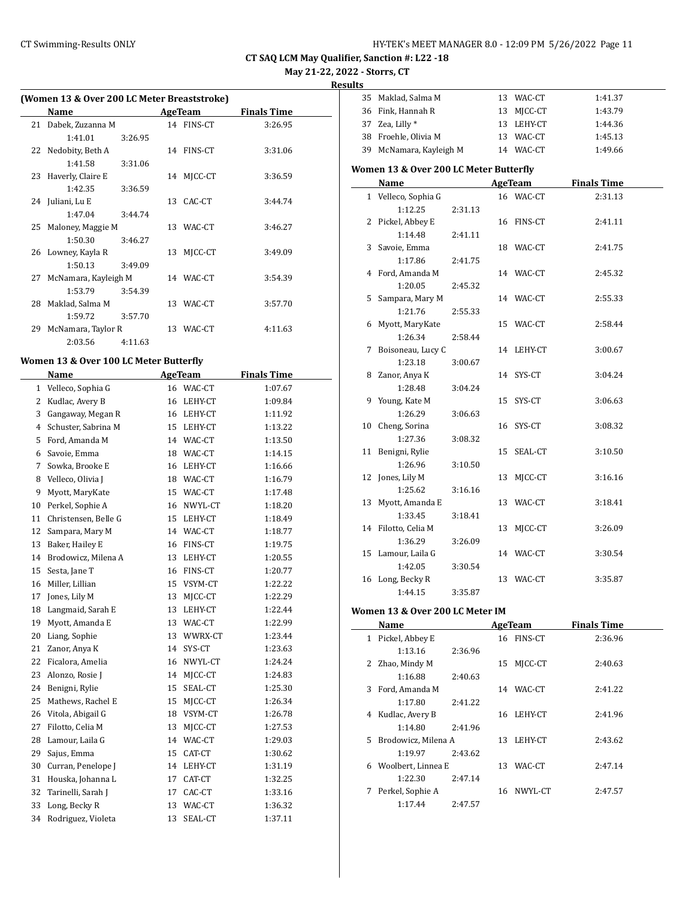**May 21-22, 2022 - Storrs, CT**

**Result** 

|    | Name                 |         |    | <b>AgeTeam</b> | <b>Finals Time</b> |
|----|----------------------|---------|----|----------------|--------------------|
| 21 | Dabek, Zuzanna M     |         |    | 14 FINS-CT     | 3:26.95            |
|    | 1:41.01              | 3:26.95 |    |                |                    |
| 22 | Nedobity, Beth A     |         |    | 14 FINS-CT     | 3:31.06            |
|    | 1:41.58              | 3:31.06 |    |                |                    |
| 23 | Haverly, Claire E    |         | 14 | MICC-CT        | 3:36.59            |
|    | 1:42.35              | 3:36.59 |    |                |                    |
|    | 24 Juliani, Lu E     |         | 13 | CAC-CT         | 3:44.74            |
|    | 1:47.04              | 3:44.74 |    |                |                    |
| 25 | Maloney, Maggie M    |         |    | 13 WAC-CT      | 3:46.27            |
|    | 1:50.30              | 3:46.27 |    |                |                    |
| 26 | Lowney, Kayla R      |         | 13 | MICC-CT        | 3:49.09            |
|    | 1:50.13              | 3:49.09 |    |                |                    |
| 27 | McNamara, Kayleigh M |         |    | 14 WAC-CT      | 3:54.39            |
|    | 1:53.79              | 3:54.39 |    |                |                    |
| 28 | Maklad, Salma M      |         |    | 13 WAC-CT      | 3:57.70            |
|    | 1:59.72              | 3:57.70 |    |                |                    |
| 29 | McNamara, Taylor R   |         |    | 13 WAC-CT      | 4:11.63            |
|    | 2:03.56              | 4:11.63 |    |                |                    |

### **Women 13 & Over 100 LC Meter Butterfly**

|    | Name                 |    | <b>AgeTeam</b> | <b>Finals Time</b> |  |
|----|----------------------|----|----------------|--------------------|--|
| 1  | Velleco, Sophia G    |    | 16 WAC-CT      | 1:07.67            |  |
| 2  | Kudlac, Avery B      | 16 | LEHY-CT        | 1:09.84            |  |
| 3  | Gangaway, Megan R    | 16 | LEHY-CT        | 1:11.92            |  |
| 4  | Schuster, Sabrina M  | 15 | LEHY-CT        | 1:13.22            |  |
| 5  | Ford, Amanda M       |    | 14 WAC-CT      | 1:13.50            |  |
| 6  | Savoie, Emma         | 18 | WAC-CT         | 1:14.15            |  |
| 7  | Sowka, Brooke E      |    | 16 LEHY-CT     | 1:16.66            |  |
| 8  | Velleco, Olivia J    |    | 18 WAC-CT      | 1:16.79            |  |
| 9  | Myott, MaryKate      |    | 15 WAC-CT      | 1:17.48            |  |
| 10 | Perkel, Sophie A     | 16 | NWYL-CT        | 1:18.20            |  |
| 11 | Christensen, Belle G | 15 | LEHY-CT        | 1:18.49            |  |
| 12 | Sampara, Mary M      | 14 | WAC-CT         | 1:18.77            |  |
| 13 | Baker, Hailey E      | 16 | FINS-CT        | 1:19.75            |  |
| 14 | Brodowicz, Milena A  |    | 13 LEHY-CT     | 1:20.55            |  |
| 15 | Sesta, Jane T        | 16 | FINS-CT        | 1:20.77            |  |
| 16 | Miller, Lillian      |    | 15 VSYM-CT     | 1:22.22            |  |
| 17 | Jones, Lily M        | 13 | MICC-CT        | 1:22.29            |  |
| 18 | Langmaid, Sarah E    | 13 | LEHY-CT        | 1:22.44            |  |
| 19 | Myott, Amanda E      | 13 | WAC-CT         | 1:22.99            |  |
| 20 | Liang, Sophie        | 13 | WWRX-CT        | 1:23.44            |  |
| 21 | Zanor, Anya K        | 14 | SYS-CT         | 1:23.63            |  |
| 22 | Ficalora, Amelia     | 16 | NWYL-CT        | 1:24.24            |  |
| 23 | Alonzo, Rosie J      | 14 | MJCC-CT        | 1:24.83            |  |
| 24 | Benigni, Rylie       | 15 | SEAL-CT        | 1:25.30            |  |
| 25 | Mathews, Rachel E    | 15 | MJCC-CT        | 1:26.34            |  |
| 26 | Vitola, Abigail G    | 18 | VSYM-CT        | 1:26.78            |  |
| 27 | Filotto, Celia M     | 13 | MJCC-CT        | 1:27.53            |  |
| 28 | Lamour, Laila G      |    | 14 WAC-CT      | 1:29.03            |  |
| 29 | Sajus, Emma          | 15 | CAT-CT         | 1:30.62            |  |
| 30 | Curran, Penelope J   | 14 | LEHY-CT        | 1:31.19            |  |
| 31 | Houska, Johanna L    | 17 | CAT-CT         | 1:32.25            |  |
| 32 | Tarinelli, Sarah J   | 17 | CAC-CT         | 1:33.16            |  |
| 33 | Long, Becky R        | 13 | WAC-CT         | 1:36.32            |  |
| 34 | Rodriguez, Violeta   | 13 | SEAL-CT        | 1:37.11            |  |

| uits |                                        |         |    |            |                    |  |  |  |
|------|----------------------------------------|---------|----|------------|--------------------|--|--|--|
|      | 35 Maklad, Salma M                     |         |    | 13 WAC-CT  | 1:41.37            |  |  |  |
|      | 36 Fink, Hannah R                      |         |    | 13 MJCC-CT | 1:43.79            |  |  |  |
|      | 37 Zea, Lilly *                        |         |    | 13 LEHY-CT | 1:44.36            |  |  |  |
|      | 38 Froehle, Olivia M                   |         |    | 13 WAC-CT  | 1:45.13            |  |  |  |
|      | 39 McNamara, Kayleigh M                |         |    | 14 WAC-CT  | 1:49.66            |  |  |  |
|      | Women 13 & Over 200 LC Meter Butterfly |         |    |            |                    |  |  |  |
|      | Name                                   |         |    | AgeTeam    | <b>Finals Time</b> |  |  |  |
|      | 1 Velleco, Sophia G                    |         |    | 16 WAC-CT  | 2:31.13            |  |  |  |
|      | 1:12.25                                | 2:31.13 |    |            |                    |  |  |  |
| 2    | Pickel, Abbey E                        |         |    | 16 FINS-CT | 2:41.11            |  |  |  |
|      | 1:14.48                                | 2:41.11 |    |            |                    |  |  |  |
| 3    | Savoie, Emma                           |         |    | 18 WAC-CT  | 2:41.75            |  |  |  |
|      | 1:17.86                                | 2:41.75 |    |            |                    |  |  |  |
| 4    | Ford, Amanda M                         |         |    | 14 WAC-CT  | 2:45.32            |  |  |  |
|      | 1:20.05                                | 2:45.32 |    |            |                    |  |  |  |
| 5    | Sampara, Mary M                        |         |    | 14 WAC-CT  | 2:55.33            |  |  |  |
|      | 1:21.76                                | 2:55.33 |    |            |                    |  |  |  |
|      | 6 Myott, MaryKate                      |         |    | 15 WAC-CT  | 2:58.44            |  |  |  |
|      | 1:26.34                                | 2:58.44 |    |            |                    |  |  |  |
| 7    | Boisoneau, Lucy C                      |         |    | 14 LEHY-CT | 3:00.67            |  |  |  |
|      | 1:23.18                                | 3:00.67 |    |            |                    |  |  |  |
| 8    | Zanor, Anya K                          |         |    | 14 SYS-CT  | 3:04.24            |  |  |  |
|      | 1:28.48                                | 3:04.24 |    |            |                    |  |  |  |
| 9    | Young, Kate M                          |         | 15 | SYS-CT     | 3:06.63            |  |  |  |
|      | 1:26.29                                | 3:06.63 |    |            |                    |  |  |  |
|      | 10 Cheng, Sorina                       |         |    | 16 SYS-CT  | 3:08.32            |  |  |  |
|      | 1:27.36                                | 3:08.32 |    |            |                    |  |  |  |
| 11   | Benigni, Rylie                         |         | 15 | SEAL-CT    | 3:10.50            |  |  |  |
|      | 1:26.96                                | 3:10.50 |    |            |                    |  |  |  |
|      | 12 Jones, Lily M                       |         | 13 | MJCC-CT    | 3:16.16            |  |  |  |
| 13   | 1:25.62<br>Myott, Amanda E             | 3:16.16 |    | 13 WAC-CT  | 3:18.41            |  |  |  |
|      | 1:33.45                                | 3:18.41 |    |            |                    |  |  |  |
| 14   | Filotto, Celia M                       |         | 13 | MJCC-CT    | 3:26.09            |  |  |  |
|      | 1:36.29                                | 3:26.09 |    |            |                    |  |  |  |
| 15   | Lamour, Laila G                        |         |    | 14 WAC-CT  | 3:30.54            |  |  |  |
|      | 1:42.05                                | 3:30.54 |    |            |                    |  |  |  |
|      | 16 Long, Becky R                       |         |    | 13 WAC-CT  | 3:35.87            |  |  |  |
|      | 1:44.15                                | 3:35.87 |    |            |                    |  |  |  |
|      |                                        |         |    |            |                    |  |  |  |

# **Women 13 & Over 200 LC Meter IM**

|   | Name                  |         |    | AgeTeam    | <b>Finals Time</b> |  |
|---|-----------------------|---------|----|------------|--------------------|--|
| 1 | Pickel, Abbey E       |         |    | 16 FINS-CT | 2:36.96            |  |
|   | 1:13.16               | 2:36.96 |    |            |                    |  |
|   | 2 Zhao, Mindy M       |         | 15 | MICC-CT    | 2:40.63            |  |
|   | 1:16.88               | 2:40.63 |    |            |                    |  |
| 3 | Ford, Amanda M        |         | 14 | WAC-CT     | 2:41.22            |  |
|   | 1:17.80               | 2:41.22 |    |            |                    |  |
|   | 4 Kudlac, Avery B     |         | 16 | LEHY-CT    | 2:41.96            |  |
|   | 1:14.80               | 2:41.96 |    |            |                    |  |
|   | 5 Brodowicz, Milena A |         | 13 | LEHY-CT    | 2:43.62            |  |
|   | 1:19.97               | 2:43.62 |    |            |                    |  |
|   | 6 Woolbert, Linnea E  |         | 13 | WAC-CT     | 2:47.14            |  |
|   | 1:22.30               | 2:47.14 |    |            |                    |  |
| 7 | Perkel, Sophie A      |         |    | 16 NWYL-CT | 2:47.57            |  |
|   | 1:17.44               | 2:47.57 |    |            |                    |  |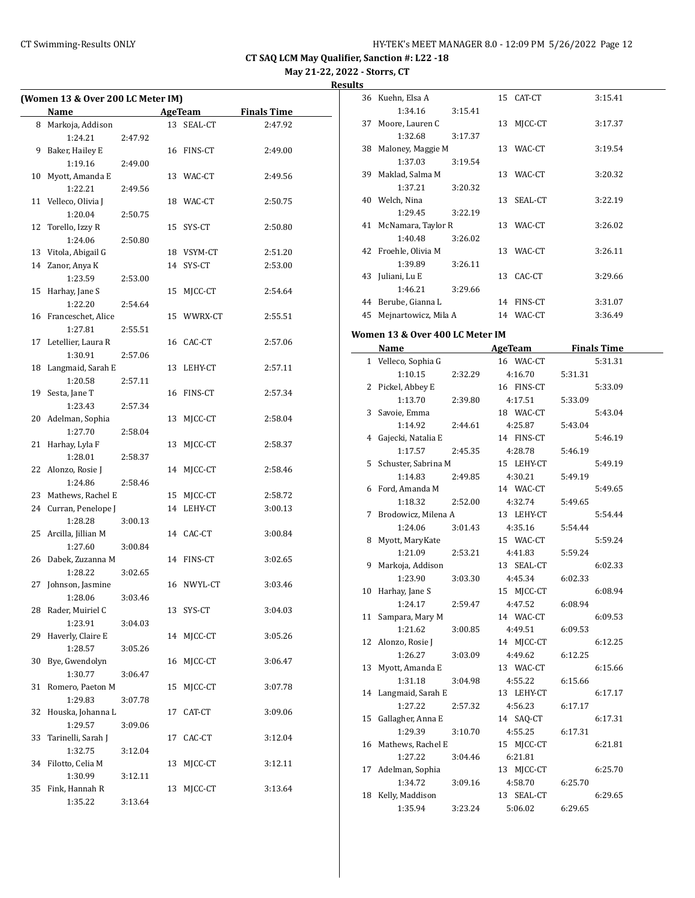**May 21-22, 2022 - Storrs, CT**

#### **Results**

| (Women 13 & Over 200 LC Meter IM) |                       |         |    |                |                    |
|-----------------------------------|-----------------------|---------|----|----------------|--------------------|
|                                   | Name                  |         |    | <b>AgeTeam</b> | <b>Finals Time</b> |
| 8                                 | Markoja, Addison      |         |    | 13 SEAL-CT     | 2:47.92            |
|                                   | 1:24.21               | 2:47.92 |    |                |                    |
| 9                                 | Baker, Hailey E       |         |    | 16 FINS-CT     | 2:49.00            |
|                                   | 1:19.16               | 2:49.00 |    |                |                    |
| 10                                | Myott, Amanda E       |         |    | 13 WAC-CT      | 2:49.56            |
|                                   | 1:22.21               | 2:49.56 |    |                |                    |
| 11                                | Velleco, Olivia J     |         |    | 18 WAC-CT      | 2:50.75            |
|                                   | 1:20.04               | 2:50.75 |    |                |                    |
| 12                                | Torello, Izzy R       |         |    | 15 SYS-CT      | 2:50.80            |
|                                   | 1:24.06               | 2:50.80 |    |                |                    |
|                                   | 13 Vitola, Abigail G  |         |    | 18 VSYM-CT     | 2:51.20            |
|                                   | 14 Zanor, Anya K      |         |    | 14 SYS-CT      | 2:53.00            |
|                                   | 1:23.59               | 2:53.00 |    |                |                    |
| 15                                | Harhay, Jane S        |         |    | 15 MJCC-CT     | 2:54.64            |
|                                   | 1:22.20               | 2:54.64 |    |                |                    |
|                                   | 16 Franceschet, Alice |         |    | 15 WWRX-CT     | 2:55.51            |
|                                   | 1:27.81               | 2:55.51 |    |                |                    |
|                                   | 17 Letellier, Laura R |         |    | 16 CAC-CT      | 2:57.06            |
|                                   | 1:30.91               | 2:57.06 |    |                |                    |
| 18                                | Langmaid, Sarah E     |         |    | 13 LEHY-CT     | 2:57.11            |
|                                   | 1:20.58               | 2:57.11 |    |                |                    |
| 19                                | Sesta, Jane T         |         |    | 16 FINS-CT     | 2:57.34            |
|                                   | 1:23.43               | 2:57.34 |    |                |                    |
| 20                                | Adelman, Sophia       |         |    | 13 MJCC-CT     | 2:58.04            |
|                                   | 1:27.70               | 2:58.04 |    |                |                    |
| 21                                | Harhay, Lyla F        |         |    | 13 MJCC-CT     | 2:58.37            |
|                                   | 1:28.01               | 2:58.37 |    |                |                    |
| 22                                | Alonzo, Rosie J       |         |    | 14 MJCC-CT     | 2:58.46            |
|                                   | 1:24.86               | 2:58.46 |    |                |                    |
| 23                                | Mathews, Rachel E     |         |    | 15 MJCC-CT     | 2:58.72            |
|                                   | 24 Curran, Penelope J |         |    | 14 LEHY-CT     | 3:00.13            |
|                                   | 1:28.28               | 3:00.13 |    |                |                    |
| 25                                | Arcilla, Jillian M    |         |    | 14 CAC-CT      | 3:00.84            |
|                                   | 1:27.60               | 3:00.84 |    |                |                    |
| 26                                | Dabek, Zuzanna M      |         |    | 14 FINS-CT     | 3:02.65            |
|                                   | 1:28.22               | 3:02.65 |    |                |                    |
| 27                                | Johnson, Jasmine      |         |    | 16 NWYL-CT     | 3:03.46            |
|                                   | 1:28.06               | 3:03.46 |    |                |                    |
| 28                                | Rader, Muiriel C      |         | 13 | SYS-CT         | 3:04.03            |
|                                   | 1:23.91               | 3:04.03 |    |                |                    |
| 29                                | Haverly, Claire E     |         | 14 | MJCC-CT        | 3:05.26            |
|                                   | 1:28.57               | 3:05.26 |    |                |                    |
| 30                                | Bye, Gwendolyn        |         | 16 | MICC-CT        | 3:06.47            |
|                                   | 1:30.77               | 3:06.47 |    |                |                    |
| 31                                | Romero, Paeton M      |         | 15 | MICC-CT        | 3:07.78            |
|                                   | 1:29.83               | 3:07.78 |    |                |                    |
| 32                                | Houska, Johanna L     |         | 17 | CAT-CT         | 3:09.06            |
|                                   | 1:29.57               | 3:09.06 |    |                |                    |
| 33                                | Tarinelli, Sarah J    |         | 17 | CAC-CT         | 3:12.04            |
|                                   | 1:32.75               | 3:12.04 |    |                |                    |
| 34                                | Filotto, Celia M      |         | 13 | MJCC-CT        | 3:12.11            |
|                                   | 1:30.99               | 3:12.11 |    |                |                    |
| 35                                | Fink, Hannah R        |         | 13 | MJCC-CT        | 3:13.64            |
|                                   | 1:35.22               | 3:13.64 |    |                |                    |

|    | 36 Kuehn, Elsa A                |         | 15 CAT-CT      |         | 3:15.41            |
|----|---------------------------------|---------|----------------|---------|--------------------|
|    | 1:34.16                         | 3:15.41 |                |         |                    |
| 37 | Moore, Lauren C                 | 13      | MJCC-CT        |         | 3:17.37            |
|    | 1:32.68                         | 3:17.37 |                |         |                    |
| 38 | Maloney, Maggie M               | 13      | WAC-CT         |         | 3:19.54            |
|    | 1:37.03                         | 3:19.54 |                |         |                    |
| 39 | Maklad, Salma M                 | 13      | WAC-CT         |         | 3:20.32            |
|    | 1:37.21                         | 3:20.32 |                |         |                    |
|    | 40 Welch, Nina                  | 13      | SEAL-CT        |         | 3:22.19            |
|    | 1:29.45                         | 3:22.19 |                |         |                    |
| 41 | McNamara, Taylor R              | 13      | WAC-CT         |         | 3:26.02            |
|    | 1:40.48                         | 3:26.02 |                |         |                    |
|    | 42 Froehle, Olivia M            | 13      | WAC-CT         |         | 3:26.11            |
|    | 1:39.89                         | 3:26.11 |                |         |                    |
| 43 | Juliani, Lu E                   | 13      | CAC-CT         |         | 3:29.66            |
|    | 1:46.21                         | 3:29.66 |                |         |                    |
|    | 44 Berube, Gianna L             |         | 14 FINS-CT     |         | 3:31.07            |
|    | 45 Mejnartowicz, Mila A         |         | 14 WAC-CT      |         | 3:36.49            |
|    |                                 |         |                |         |                    |
|    | Women 13 & Over 400 LC Meter IM |         |                |         |                    |
|    | Name                            |         | <b>AgeTeam</b> |         | <b>Finals Time</b> |
|    | 1 Velleco, Sophia G             |         | 16 WAC-CT      |         | 5:31.31            |
|    | 1:10.15                         | 2:32.29 | 4:16.70        | 5:31.31 |                    |
| 2  | Pickel, Abbey E                 |         | 16 FINS-CT     |         | 5:33.09            |
|    | 1:13.70                         | 2:39.80 | 4:17.51        | 5:33.09 |                    |
| 3  | Savoie, Emma                    |         | 18 WAC-CT      |         | 5:43.04            |
|    | 1:14.92                         | 2:44.61 | 4:25.87        | 5:43.04 |                    |
|    | 4 Gajecki, Natalia E            |         | 14 FINS-CT     |         | 5:46.19            |
|    | 1:17.57                         | 2:45.35 | 4:28.78        | 5:46.19 |                    |
|    | 5 Schuster, Sabrina M           |         | 15 LEHY-CT     |         | 5:49.19            |
|    | 1:14.83                         | 2:49.85 | 4:30.21        | 5:49.19 |                    |
|    | 6 Ford, Amanda M                |         | 14 WAC-CT      |         | 5:49.65            |
|    | 1:18.32                         | 2:52.00 | 4:32.74        | 5:49.65 |                    |
| 7  | Brodowicz, Milena A             |         | 13 LEHY-CT     |         | 5:54.44            |
|    | 1:24.06                         | 3:01.43 | 4:35.16        | 5:54.44 |                    |
| 8  | Myott, MaryKate                 |         | 15 WAC-CT      |         | 5:59.24            |
|    | 1:21.09                         | 2:53.21 | 4:41.83        | 5:59.24 |                    |
| 9  | Markoja, Addison                |         | 13 SEAL-CT     |         | 6:02.33            |
|    | 1:23.90                         | 3:03.30 | 4:45.34        | 6:02.33 |                    |
| 10 | Harhay, Jane S                  |         | 15 MJCC-CT     |         | 6:08.94            |
|    | 1:24.17                         | 2:59.47 | 4:47.52        | 6:08.94 |                    |
| 11 | Sampara, Mary M                 |         | 14 WAC-CT      |         | 6:09.53            |
|    | 1:21.62                         | 3:00.85 | 4:49.51        | 6:09.53 |                    |
| 12 | Alonzo, Rosie J                 |         | 14 MJCC-CT     |         | 6:12.25            |
|    | 1:26.27                         | 3:03.09 | 4:49.62        | 6:12.25 |                    |
| 13 | Myott, Amanda E                 |         | 13 WAC-CT      |         | 6:15.66            |
|    | 1:31.18                         | 3:04.98 | 4:55.22        | 6:15.66 |                    |
| 14 | Langmaid, Sarah E               |         | 13 LEHY-CT     |         | 6:17.17            |
|    | 1:27.22                         | 2:57.32 | 4:56.23        | 6:17.17 |                    |
| 15 | Gallagher, Anna E               |         | 14 SAQ-CT      |         | 6:17.31            |
|    | 1:29.39                         | 3:10.70 | 4:55.25        | 6:17.31 |                    |

16 Mathews, Rachel E 15 MJCC-CT 6:21.81

17 Adelman, Sophia 13 MJCC-CT 6:25.70 1:34.72 3:09.16 4:58.70 6:25.70 18 Kelly, Maddison 13 SEAL-CT 6:29.65 1:35.94 3:23.24 5:06.02 6:29.65

1:27.22 3:04.46 6:21.81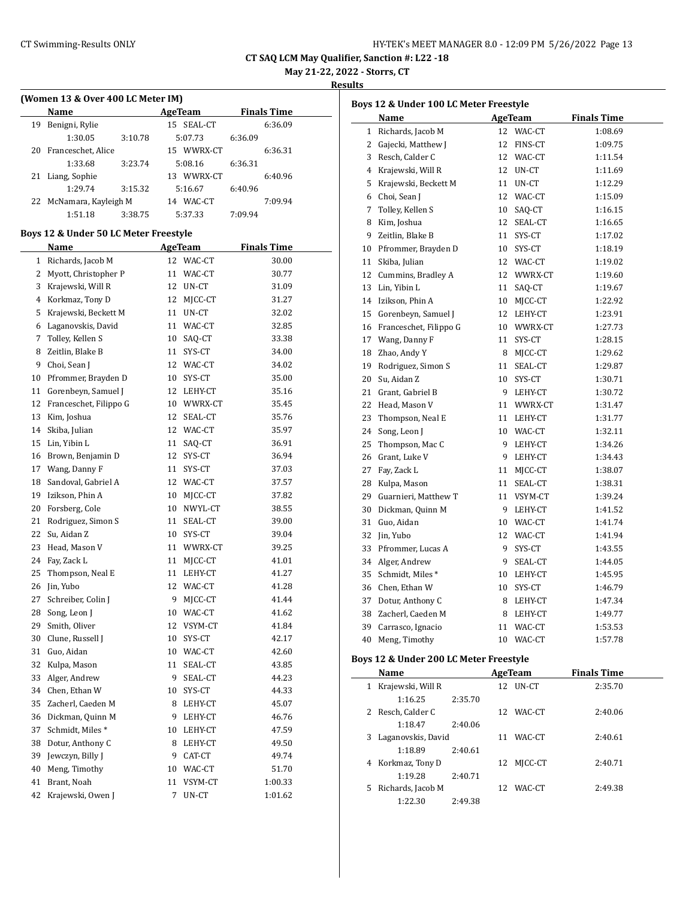| HY-TEK's MEET MANAGER 8.0 - 12:09 PM 5/26/2022 Page 13 |  |
|--------------------------------------------------------|--|
|--------------------------------------------------------|--|

**May 21-22, 2022 - Storrs, CT**

**Results**

| (Women 13 & Over 400 LC Meter IM) |                                       |                |                    |  |  |  |  |  |  |
|-----------------------------------|---------------------------------------|----------------|--------------------|--|--|--|--|--|--|
|                                   | Name                                  | <b>AgeTeam</b> | <b>Finals Time</b> |  |  |  |  |  |  |
| 19                                | Benigni, Rylie                        | 15 SEAL-CT     | 6:36.09            |  |  |  |  |  |  |
|                                   | 1:30.05<br>3:10.78                    | 5:07.73        | 6:36.09            |  |  |  |  |  |  |
| 20                                | Franceschet, Alice                    | 15 WWRX-CT     | 6:36.31            |  |  |  |  |  |  |
|                                   | 1:33.68<br>3:23.74                    | 5:08.16        | 6:36.31            |  |  |  |  |  |  |
| 21                                | Liang, Sophie                         | 13 WWRX-CT     | 6:40.96            |  |  |  |  |  |  |
|                                   | 1:29.74<br>3:15.32                    | 5:16.67        | 6:40.96            |  |  |  |  |  |  |
| 22                                | McNamara, Kayleigh M                  | 14 WAC-CT      | 7:09.94            |  |  |  |  |  |  |
|                                   | 1:51.18<br>3:38.75                    | 5:37.33        | 7:09.94            |  |  |  |  |  |  |
|                                   | Boys 12 & Under 50 LC Meter Freestyle |                |                    |  |  |  |  |  |  |
|                                   | Name                                  | <b>AgeTeam</b> | <b>Finals Time</b> |  |  |  |  |  |  |
| 1                                 | Richards, Jacob M                     | 12<br>WAC-CT   | 30.00              |  |  |  |  |  |  |
| 2                                 | Myott, Christopher P                  | WAC-CT<br>11   | 30.77              |  |  |  |  |  |  |
| 3                                 | Krajewski, Will R                     | 12<br>UN-CT    | 31.09              |  |  |  |  |  |  |
| 4                                 | Korkmaz, Tony D                       | 12 MJCC-CT     | 31.27              |  |  |  |  |  |  |
| 5                                 | Krajewski, Beckett M                  | 11 UN-CT       | 32.02              |  |  |  |  |  |  |
| 6                                 | Laganovskis, David                    | 11<br>WAC-CT   | 32.85              |  |  |  |  |  |  |
| 7                                 | Tolley, Kellen S                      | SAQ-CT<br>10   | 33.38              |  |  |  |  |  |  |
| 8                                 | Zeitlin, Blake B                      | 11<br>SYS-CT   | 34.00              |  |  |  |  |  |  |
| 9                                 | Choi, Sean J                          | 12<br>WAC-CT   | 34.02              |  |  |  |  |  |  |
| 10                                | Pfrommer, Brayden D                   | SYS-CT<br>10   | 35.00              |  |  |  |  |  |  |
| 11                                | Gorenbeyn, Samuel J                   | 12<br>LEHY-CT  | 35.16              |  |  |  |  |  |  |
| 12                                | Franceschet, Filippo G                | 10 WWRX-CT     | 35.45              |  |  |  |  |  |  |
| 13                                | Kim, Joshua                           | SEAL-CT<br>12  | 35.76              |  |  |  |  |  |  |
| 14                                | Skiba, Julian                         | 12 WAC-CT      | 35.97              |  |  |  |  |  |  |
| 15                                | Lin, Yibin L                          | SAQ-CT<br>11   | 36.91              |  |  |  |  |  |  |
| 16                                | Brown, Benjamin D                     | 12<br>SYS-CT   | 36.94              |  |  |  |  |  |  |
| 17                                | Wang, Danny F                         | 11<br>SYS-CT   | 37.03              |  |  |  |  |  |  |
| 18                                | Sandoval, Gabriel A                   | 12<br>WAC-CT   | 37.57              |  |  |  |  |  |  |
| 19                                | Izikson, Phin A                       | 10<br>MJCC-CT  | 37.82              |  |  |  |  |  |  |
| 20                                | Forsberg, Cole                        | NWYL-CT<br>10  | 38.55              |  |  |  |  |  |  |
| 21                                | Rodriguez, Simon S                    | 11<br>SEAL-CT  | 39.00              |  |  |  |  |  |  |
| 22                                | Su, Aidan Z                           | SYS-CT<br>10   | 39.04              |  |  |  |  |  |  |
| 23                                | Head, Mason V                         | WWRX-CT<br>11  | 39.25              |  |  |  |  |  |  |
| 24                                | Fay, Zack L                           | 11<br>MJCC-CT  | 41.01              |  |  |  |  |  |  |
| 25                                | Thompson, Neal E                      | 11<br>LEHY-CT  | 41.27              |  |  |  |  |  |  |
| 26                                | Jin, Yubo                             | WAC-CT<br>12   | 41.28              |  |  |  |  |  |  |
|                                   | 27 Schreiber, Colin J                 | 9 MJCC-CT      | 41.44              |  |  |  |  |  |  |
| 28                                | Song, Leon J                          | 10 WAC-CT      | 41.62              |  |  |  |  |  |  |
| 29                                | Smith, Oliver                         | 12<br>VSYM-CT  | 41.84              |  |  |  |  |  |  |
| 30                                | Clune, Russell J                      | 10<br>SYS-CT   | 42.17              |  |  |  |  |  |  |
| 31                                | Guo, Aidan                            | 10<br>WAC-CT   | 42.60              |  |  |  |  |  |  |
| 32                                | Kulpa, Mason                          | SEAL-CT<br>11  | 43.85              |  |  |  |  |  |  |
| 33                                | Alger, Andrew                         | 9              | 44.23              |  |  |  |  |  |  |
|                                   | Chen, Ethan W                         | SEAL-CT        |                    |  |  |  |  |  |  |
| 34                                | Zacherl, Caeden M                     | SYS-CT<br>10   | 44.33              |  |  |  |  |  |  |
| 35                                |                                       | 8<br>LEHY-CT   | 45.07              |  |  |  |  |  |  |
| 36                                | Dickman, Quinn M                      | 9<br>LEHY-CT   | 46.76              |  |  |  |  |  |  |
| 37                                | Schmidt, Miles*                       | 10<br>LEHY-CT  | 47.59              |  |  |  |  |  |  |
| 38                                | Dotur, Anthony C                      | LEHY-CT<br>8   | 49.50              |  |  |  |  |  |  |
| 39                                | Jewczyn, Billy J                      | 9<br>CAT-CT    | 49.74              |  |  |  |  |  |  |
| 40                                | Meng, Timothy                         | WAC-CT<br>10   | 51.70              |  |  |  |  |  |  |
| 41                                | Brant, Noah                           | 11<br>VSYM-CT  | 1:00.33            |  |  |  |  |  |  |
| 42                                | Krajewski, Owen J                     | 7<br>UN-CT     | 1:01.62            |  |  |  |  |  |  |
|                                   |                                       |                |                    |  |  |  |  |  |  |

| AgeTeam<br>Richards, Jacob M<br>12 WAC-CT<br>$\mathbf{1}$<br>1:08.69<br>12 FINS-CT<br>2 Gajecki, Matthew J<br>1:09.75<br>3 Resch, Calder C<br>12 WAC-CT<br>1:11.54<br>4 Krajewski, Will R<br>12 UN-CT<br>1:11.69<br>5<br>Krajewski, Beckett M<br>11 UN-CT<br>1:12.29<br>6 Choi, Sean J<br>12 WAC-CT<br>1:15.09<br>7 Tolley, Kellen S<br>10<br>SAQ-CT<br>1:16.15<br>8<br>Kim, Joshua<br>12<br>SEAL-CT<br>1:16.65<br>9<br>Zeitlin, Blake B<br>11<br>SYS-CT<br>1:17.02<br>10<br>SYS-CT<br>1:18.19<br>12 WAC-CT<br>1:19.02<br>12<br>WWRX-CT<br>1:19.60<br>11<br>SAQ-CT<br>1:19.67<br>MJCC-CT<br>10<br>1:22.92<br>12 LEHY-CT<br>10 WWRX-CT<br>11<br>SYS-CT<br>1:28.15<br>8 MJCC-CT<br>11<br>SEAL-CT<br>10<br>SYS-CT<br>9 LEHY-CT<br>1:30.72<br>11 WWRX-CT<br>11 LEHY-CT<br>10 WAC-CT<br>9 LEHY-CT<br>9 LEHY-CT<br>11<br>MJCC-CT<br>11<br>SEAL-CT<br>1:38.31<br>11 VSYM-CT<br>9 LEHY-CT<br>Guo, Aidan<br>10 WAC-CT<br>12 WAC-CT<br>9<br>SYS-CT<br>9<br>SEAL-CT<br>Schmidt, Miles *<br>10<br>LEHY-CT<br>10<br>SYS-CT<br>8 LEHY-CT<br>8 LEHY-CT<br>WAC-CT<br>1:53.53<br>11<br>10 WAC-CT<br>Meng, Timothy<br>1:57.78 |    | Boys 12 & Under 100 LC Meter Freestyle |  |                    |
|-------------------------------------------------------------------------------------------------------------------------------------------------------------------------------------------------------------------------------------------------------------------------------------------------------------------------------------------------------------------------------------------------------------------------------------------------------------------------------------------------------------------------------------------------------------------------------------------------------------------------------------------------------------------------------------------------------------------------------------------------------------------------------------------------------------------------------------------------------------------------------------------------------------------------------------------------------------------------------------------------------------------------------------------------------------------------------------------------------------|----|----------------------------------------|--|--------------------|
|                                                                                                                                                                                                                                                                                                                                                                                                                                                                                                                                                                                                                                                                                                                                                                                                                                                                                                                                                                                                                                                                                                             |    | Name                                   |  | <b>Finals Time</b> |
| 10 Pfrommer, Brayden D<br>11 Skiba, Julian<br>12 Cummins, Bradley A<br>13 Lin, Yibin L<br>14 Izikson, Phin A<br>15 Gorenbeyn, Samuel J<br>16 Franceschet, Filippo G<br>17 Wang, Danny F<br>18 Zhao, Andy Y<br>19 Rodriguez, Simon S<br>20 Su, Aidan Z<br>21 Grant, Gabriel B<br>22 Head, Mason V<br>23 Thompson, Neal E<br>24 Song, Leon J<br>25 Thompson, Mac C<br>26 Grant, Luke V<br>27 Fay, Zack L<br>28 Kulpa, Mason<br>29 Guarnieri, Matthew T<br>30 Dickman, Quinn M<br>32 Jin, Yubo<br>33 Pfrommer, Lucas A<br>34 Alger, Andrew<br>36 Chen, Ethan W<br>37 Dotur, Anthony C<br>38 Zacherl, Caeden M<br>39 Carrasco, Ignacio<br>Rove 12 & Under 200 LC Meter Freestyle                                                                                                                                                                                                                                                                                                                                                                                                                                |    |                                        |  |                    |
|                                                                                                                                                                                                                                                                                                                                                                                                                                                                                                                                                                                                                                                                                                                                                                                                                                                                                                                                                                                                                                                                                                             |    |                                        |  |                    |
|                                                                                                                                                                                                                                                                                                                                                                                                                                                                                                                                                                                                                                                                                                                                                                                                                                                                                                                                                                                                                                                                                                             |    |                                        |  |                    |
|                                                                                                                                                                                                                                                                                                                                                                                                                                                                                                                                                                                                                                                                                                                                                                                                                                                                                                                                                                                                                                                                                                             |    |                                        |  |                    |
|                                                                                                                                                                                                                                                                                                                                                                                                                                                                                                                                                                                                                                                                                                                                                                                                                                                                                                                                                                                                                                                                                                             |    |                                        |  |                    |
|                                                                                                                                                                                                                                                                                                                                                                                                                                                                                                                                                                                                                                                                                                                                                                                                                                                                                                                                                                                                                                                                                                             |    |                                        |  |                    |
|                                                                                                                                                                                                                                                                                                                                                                                                                                                                                                                                                                                                                                                                                                                                                                                                                                                                                                                                                                                                                                                                                                             |    |                                        |  |                    |
|                                                                                                                                                                                                                                                                                                                                                                                                                                                                                                                                                                                                                                                                                                                                                                                                                                                                                                                                                                                                                                                                                                             |    |                                        |  |                    |
|                                                                                                                                                                                                                                                                                                                                                                                                                                                                                                                                                                                                                                                                                                                                                                                                                                                                                                                                                                                                                                                                                                             |    |                                        |  |                    |
|                                                                                                                                                                                                                                                                                                                                                                                                                                                                                                                                                                                                                                                                                                                                                                                                                                                                                                                                                                                                                                                                                                             |    |                                        |  |                    |
|                                                                                                                                                                                                                                                                                                                                                                                                                                                                                                                                                                                                                                                                                                                                                                                                                                                                                                                                                                                                                                                                                                             |    |                                        |  |                    |
|                                                                                                                                                                                                                                                                                                                                                                                                                                                                                                                                                                                                                                                                                                                                                                                                                                                                                                                                                                                                                                                                                                             |    |                                        |  |                    |
|                                                                                                                                                                                                                                                                                                                                                                                                                                                                                                                                                                                                                                                                                                                                                                                                                                                                                                                                                                                                                                                                                                             |    |                                        |  |                    |
|                                                                                                                                                                                                                                                                                                                                                                                                                                                                                                                                                                                                                                                                                                                                                                                                                                                                                                                                                                                                                                                                                                             |    |                                        |  |                    |
|                                                                                                                                                                                                                                                                                                                                                                                                                                                                                                                                                                                                                                                                                                                                                                                                                                                                                                                                                                                                                                                                                                             |    |                                        |  | 1:23.91            |
|                                                                                                                                                                                                                                                                                                                                                                                                                                                                                                                                                                                                                                                                                                                                                                                                                                                                                                                                                                                                                                                                                                             |    |                                        |  | 1:27.73            |
|                                                                                                                                                                                                                                                                                                                                                                                                                                                                                                                                                                                                                                                                                                                                                                                                                                                                                                                                                                                                                                                                                                             |    |                                        |  |                    |
|                                                                                                                                                                                                                                                                                                                                                                                                                                                                                                                                                                                                                                                                                                                                                                                                                                                                                                                                                                                                                                                                                                             |    |                                        |  | 1:29.62            |
|                                                                                                                                                                                                                                                                                                                                                                                                                                                                                                                                                                                                                                                                                                                                                                                                                                                                                                                                                                                                                                                                                                             |    |                                        |  | 1:29.87            |
|                                                                                                                                                                                                                                                                                                                                                                                                                                                                                                                                                                                                                                                                                                                                                                                                                                                                                                                                                                                                                                                                                                             |    |                                        |  | 1:30.71            |
|                                                                                                                                                                                                                                                                                                                                                                                                                                                                                                                                                                                                                                                                                                                                                                                                                                                                                                                                                                                                                                                                                                             |    |                                        |  |                    |
|                                                                                                                                                                                                                                                                                                                                                                                                                                                                                                                                                                                                                                                                                                                                                                                                                                                                                                                                                                                                                                                                                                             |    |                                        |  | 1:31.47            |
|                                                                                                                                                                                                                                                                                                                                                                                                                                                                                                                                                                                                                                                                                                                                                                                                                                                                                                                                                                                                                                                                                                             |    |                                        |  | 1:31.77            |
|                                                                                                                                                                                                                                                                                                                                                                                                                                                                                                                                                                                                                                                                                                                                                                                                                                                                                                                                                                                                                                                                                                             |    |                                        |  | 1:32.11            |
|                                                                                                                                                                                                                                                                                                                                                                                                                                                                                                                                                                                                                                                                                                                                                                                                                                                                                                                                                                                                                                                                                                             |    |                                        |  | 1:34.26            |
|                                                                                                                                                                                                                                                                                                                                                                                                                                                                                                                                                                                                                                                                                                                                                                                                                                                                                                                                                                                                                                                                                                             |    |                                        |  | 1:34.43            |
|                                                                                                                                                                                                                                                                                                                                                                                                                                                                                                                                                                                                                                                                                                                                                                                                                                                                                                                                                                                                                                                                                                             |    |                                        |  | 1:38.07            |
|                                                                                                                                                                                                                                                                                                                                                                                                                                                                                                                                                                                                                                                                                                                                                                                                                                                                                                                                                                                                                                                                                                             |    |                                        |  |                    |
|                                                                                                                                                                                                                                                                                                                                                                                                                                                                                                                                                                                                                                                                                                                                                                                                                                                                                                                                                                                                                                                                                                             |    |                                        |  | 1:39.24            |
|                                                                                                                                                                                                                                                                                                                                                                                                                                                                                                                                                                                                                                                                                                                                                                                                                                                                                                                                                                                                                                                                                                             |    |                                        |  | 1:41.52            |
|                                                                                                                                                                                                                                                                                                                                                                                                                                                                                                                                                                                                                                                                                                                                                                                                                                                                                                                                                                                                                                                                                                             | 31 |                                        |  | 1:41.74            |
|                                                                                                                                                                                                                                                                                                                                                                                                                                                                                                                                                                                                                                                                                                                                                                                                                                                                                                                                                                                                                                                                                                             |    |                                        |  | 1:41.94            |
|                                                                                                                                                                                                                                                                                                                                                                                                                                                                                                                                                                                                                                                                                                                                                                                                                                                                                                                                                                                                                                                                                                             |    |                                        |  | 1:43.55            |
|                                                                                                                                                                                                                                                                                                                                                                                                                                                                                                                                                                                                                                                                                                                                                                                                                                                                                                                                                                                                                                                                                                             |    |                                        |  | 1:44.05            |
|                                                                                                                                                                                                                                                                                                                                                                                                                                                                                                                                                                                                                                                                                                                                                                                                                                                                                                                                                                                                                                                                                                             | 35 |                                        |  | 1:45.95            |
|                                                                                                                                                                                                                                                                                                                                                                                                                                                                                                                                                                                                                                                                                                                                                                                                                                                                                                                                                                                                                                                                                                             |    |                                        |  | 1:46.79            |
|                                                                                                                                                                                                                                                                                                                                                                                                                                                                                                                                                                                                                                                                                                                                                                                                                                                                                                                                                                                                                                                                                                             |    |                                        |  | 1:47.34            |
|                                                                                                                                                                                                                                                                                                                                                                                                                                                                                                                                                                                                                                                                                                                                                                                                                                                                                                                                                                                                                                                                                                             |    |                                        |  | 1:49.77            |
|                                                                                                                                                                                                                                                                                                                                                                                                                                                                                                                                                                                                                                                                                                                                                                                                                                                                                                                                                                                                                                                                                                             |    |                                        |  |                    |
|                                                                                                                                                                                                                                                                                                                                                                                                                                                                                                                                                                                                                                                                                                                                                                                                                                                                                                                                                                                                                                                                                                             | 40 |                                        |  |                    |
|                                                                                                                                                                                                                                                                                                                                                                                                                                                                                                                                                                                                                                                                                                                                                                                                                                                                                                                                                                                                                                                                                                             |    |                                        |  |                    |

### **Boys 12 & Under 200 LC Meter Freestyle**

|   | Name               |         |    | AgeTeam    | <b>Finals Time</b> |
|---|--------------------|---------|----|------------|--------------------|
| 1 | Krajewski, Will R  |         |    | 12 UN-CT   | 2:35.70            |
|   | 1:16.25            | 2:35.70 |    |            |                    |
|   | 2 Resch, Calder C  |         |    | 12 WAC-CT  | 2:40.06            |
|   | 1:18.47            | 2:40.06 |    |            |                    |
| 3 | Laganovskis, David |         | 11 | WAC-CT     | 2:40.61            |
|   | 1:18.89            | 2:40.61 |    |            |                    |
| 4 | Korkmaz, Tony D    |         |    | 12 MICC-CT | 2:40.71            |
|   | 1:19.28            | 2:40.71 |    |            |                    |
| 5 | Richards, Jacob M  |         |    | 12 WAC-CT  | 2:49.38            |
|   | 1:22.30            | 2:49.38 |    |            |                    |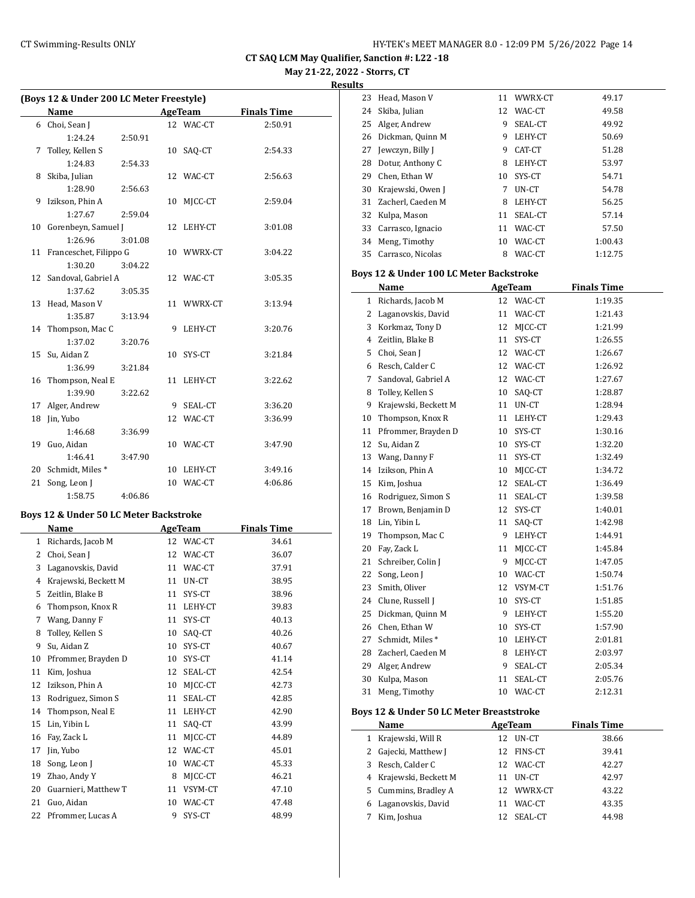**CT SAQ LCM May Qualifier, Sanction #: L22 -18 May 21-22, 2022 - Storrs, CT**

**Results**

|    | (Boys 12 & Under 200 LC Meter Freestyle) |         |  |            |                    |  |  |  |  |  |
|----|------------------------------------------|---------|--|------------|--------------------|--|--|--|--|--|
|    | <b>Name</b>                              |         |  | AgeTeam    | <b>Finals Time</b> |  |  |  |  |  |
|    | 6 Choi, Sean J                           |         |  | 12 WAC-CT  | 2:50.91            |  |  |  |  |  |
|    | 1:24.24                                  | 2:50.91 |  |            |                    |  |  |  |  |  |
| 7  | Tolley, Kellen S                         |         |  | 10 SAQ-CT  | 2:54.33            |  |  |  |  |  |
|    | 1:24.83                                  | 2:54.33 |  |            |                    |  |  |  |  |  |
| 8  | Skiba, Julian                            |         |  | 12 WAC-CT  | 2:56.63            |  |  |  |  |  |
|    | 1:28.90                                  | 2:56.63 |  |            |                    |  |  |  |  |  |
| 9  | Izikson, Phin A                          |         |  | 10 MICC-CT | 2:59.04            |  |  |  |  |  |
|    | 1:27.67                                  | 2:59.04 |  |            |                    |  |  |  |  |  |
| 10 | Gorenbeyn, Samuel J                      |         |  | 12 LEHY-CT | 3:01.08            |  |  |  |  |  |
|    | 1:26.96                                  | 3:01.08 |  |            |                    |  |  |  |  |  |
|    | 11 Franceschet, Filippo G                |         |  | 10 WWRX-CT | 3:04.22            |  |  |  |  |  |
|    | 1:30.20                                  | 3:04.22 |  |            |                    |  |  |  |  |  |
| 12 | Sandoval, Gabriel A                      |         |  | 12 WAC-CT  | 3:05.35            |  |  |  |  |  |
|    | 1:37.62                                  | 3:05.35 |  |            |                    |  |  |  |  |  |
|    | 13 Head, Mason V                         |         |  | 11 WWRX-CT | 3:13.94            |  |  |  |  |  |
|    | 1:35.87                                  | 3:13.94 |  |            |                    |  |  |  |  |  |
|    | 14 Thompson, Mac C                       |         |  | 9 LEHY-CT  | 3:20.76            |  |  |  |  |  |
|    | 1:37.02                                  | 3:20.76 |  |            |                    |  |  |  |  |  |
| 15 | Su, Aidan Z                              |         |  | 10 SYS-CT  | 3:21.84            |  |  |  |  |  |
|    | 1:36.99                                  | 3:21.84 |  |            |                    |  |  |  |  |  |
|    | 16 Thompson, Neal E                      |         |  | 11 LEHY-CT | 3:22.62            |  |  |  |  |  |
|    | 1:39.90                                  | 3:22.62 |  |            |                    |  |  |  |  |  |
| 17 | Alger, Andrew                            |         |  | 9 SEAL-CT  | 3:36.20            |  |  |  |  |  |
|    | 18 Jin, Yubo                             |         |  | 12 WAC-CT  | 3:36.99            |  |  |  |  |  |
|    | 1:46.68                                  | 3:36.99 |  |            |                    |  |  |  |  |  |
|    | 19 Guo, Aidan                            |         |  | 10 WAC-CT  | 3:47.90            |  |  |  |  |  |
|    | 1:46.41                                  | 3:47.90 |  |            |                    |  |  |  |  |  |
| 20 | Schmidt, Miles*                          |         |  | 10 LEHY-CT | 3:49.16            |  |  |  |  |  |
| 21 | Song, Leon J                             |         |  | 10 WAC-CT  | 4:06.86            |  |  |  |  |  |
|    | 1:58.75                                  | 4:06.86 |  |            |                    |  |  |  |  |  |
|    |                                          |         |  |            |                    |  |  |  |  |  |

## **Boys 12 & Under 50 LC Meter Backstroke**

|    | Name                 |    | <b>AgeTeam</b> | <b>Finals Time</b> |  |
|----|----------------------|----|----------------|--------------------|--|
| 1  | Richards, Jacob M    | 12 | WAC-CT         | 34.61              |  |
| 2  | Choi, Sean J         | 12 | WAC-CT         | 36.07              |  |
| 3  | Laganovskis, David   | 11 | WAC-CT         | 37.91              |  |
| 4  | Krajewski, Beckett M | 11 | UN-CT          | 38.95              |  |
| 5  | Zeitlin, Blake B     | 11 | SYS-CT         | 38.96              |  |
| 6  | Thompson, Knox R     | 11 | LEHY-CT        | 39.83              |  |
| 7  | Wang, Danny F        | 11 | SYS-CT         | 40.13              |  |
| 8  | Tolley, Kellen S     | 10 | SAQ-CT         | 40.26              |  |
| 9  | Su, Aidan Z          | 10 | SYS-CT         | 40.67              |  |
| 10 | Pfrommer, Brayden D  | 10 | SYS-CT         | 41.14              |  |
| 11 | Kim, Joshua          | 12 | SEAL-CT        | 42.54              |  |
| 12 | Izikson, Phin A      | 10 | MJCC-CT        | 42.73              |  |
| 13 | Rodriguez, Simon S   | 11 | SEAL-CT        | 42.85              |  |
| 14 | Thompson, Neal E     | 11 | LEHY-CT        | 42.90              |  |
| 15 | Lin, Yibin L         | 11 | SAQ-CT         | 43.99              |  |
| 16 | Fay, Zack L          | 11 | MJCC-CT        | 44.89              |  |
| 17 | Jin, Yubo            | 12 | WAC-CT         | 45.01              |  |
| 18 | Song, Leon J         | 10 | WAC-CT         | 45.33              |  |
| 19 | Zhao, Andy Y         | 8  | MJCC-CT        | 46.21              |  |
| 20 | Guarnieri, Matthew T | 11 | VSYM-CT        | 47.10              |  |
| 21 | Guo, Aidan           | 10 | WAC-CT         | 47.48              |  |
| 22 | Pfrommer, Lucas A    | 9  | SYS-CT         | 48.99              |  |

| 23 | Head, Mason V       | 11 | WWRX-CT | 49.17   |
|----|---------------------|----|---------|---------|
| 24 | Skiba, Julian       | 12 | WAC-CT  | 49.58   |
| 25 | Alger, Andrew       | 9  | SEAL-CT | 49.92   |
|    | 26 Dickman, Quinn M | 9  | LEHY-CT | 50.69   |
| 27 | Jewczyn, Billy J    | 9  | CAT-CT  | 51.28   |
| 28 | Dotur, Anthony C    | 8  | LEHY-CT | 53.97   |
| 29 | Chen, Ethan W       | 10 | SYS-CT  | 54.71   |
| 30 | Krajewski, Owen J   | 7  | UN-CT   | 54.78   |
| 31 | Zacherl, Caeden M   | 8  | LEHY-CT | 56.25   |
| 32 | Kulpa, Mason        | 11 | SEAL-CT | 57.14   |
| 33 | Carrasco, Ignacio   | 11 | WAC-CT  | 57.50   |
| 34 | Meng, Timothy       | 10 | WAC-CT  | 1:00.43 |
| 35 | Carrasco, Nicolas   | 8  | WAC-CT  | 1:12.75 |

#### **Boys 12 & Under 100 LC Meter Backstroke**

|                | Name                                     |    | <b>AgeTeam</b> | <b>Finals Time</b> |  |
|----------------|------------------------------------------|----|----------------|--------------------|--|
| $\mathbf{1}$   | Richards, Jacob M                        |    | 12 WAC-CT      | 1:19.35            |  |
| 2              | Laganovskis, David                       | 11 | WAC-CT         | 1:21.43            |  |
| 3              | Korkmaz, Tony D                          | 12 | MJCC-CT        | 1:21.99            |  |
| $\overline{4}$ | Zeitlin, Blake B                         | 11 | SYS-CT         | 1:26.55            |  |
| 5              | Choi, Sean J                             | 12 | WAC-CT         | 1:26.67            |  |
| 6              | Resch, Calder C                          | 12 | WAC-CT         | 1:26.92            |  |
| 7              | Sandoval, Gabriel A                      | 12 | WAC-CT         | 1:27.67            |  |
| 8              | Tolley, Kellen S                         | 10 | SAQ-CT         | 1:28.87            |  |
| 9              | Krajewski, Beckett M                     | 11 | UN-CT          | 1:28.94            |  |
| 10             | Thompson, Knox R                         | 11 | LEHY-CT        | 1:29.43            |  |
| 11             | Pfrommer, Brayden D                      | 10 | SYS-CT         | 1:30.16            |  |
| 12             | Su, Aidan Z                              | 10 | SYS-CT         | 1:32.20            |  |
| 13             | Wang, Danny F                            | 11 | SYS-CT         | 1:32.49            |  |
| 14             | Izikson, Phin A                          | 10 | MJCC-CT        | 1:34.72            |  |
| 15             | Kim, Joshua                              | 12 | SEAL-CT        | 1:36.49            |  |
| 16             | Rodriguez, Simon S                       | 11 | SEAL-CT        | 1:39.58            |  |
| 17             | Brown, Benjamin D                        | 12 | SYS-CT         | 1:40.01            |  |
| 18             | Lin, Yibin L                             | 11 | SAQ-CT         | 1:42.98            |  |
| 19             | Thompson, Mac C                          | 9  | LEHY-CT        | 1:44.91            |  |
| 20             | Fay, Zack L                              | 11 | MJCC-CT        | 1:45.84            |  |
| 21             | Schreiber, Colin J                       | 9  | MJCC-CT        | 1:47.05            |  |
| 22             | Song, Leon J                             | 10 | WAC-CT         | 1:50.74            |  |
| 23             | Smith, Oliver                            | 12 | VSYM-CT        | 1:51.76            |  |
| 24             | Clune, Russell J                         | 10 | SYS-CT         | 1:51.85            |  |
| 25             | Dickman, Quinn M                         | 9  | LEHY-CT        | 1:55.20            |  |
| 26             | Chen, Ethan W                            | 10 | SYS-CT         | 1:57.90            |  |
| 27             | Schmidt, Miles*                          | 10 | LEHY-CT        | 2:01.81            |  |
| 28             | Zacherl, Caeden M                        | 8  | LEHY-CT        | 2:03.97            |  |
| 29             | Alger, Andrew                            | 9  | SEAL-CT        | 2:05.34            |  |
| 30             | Kulpa, Mason                             | 11 | SEAL-CT        | 2:05.76            |  |
| 31             | Meng, Timothy                            |    | 10 WAC-CT      | 2:12.31            |  |
|                | Boys 12 & Under 50 LC Meter Breaststroke |    |                |                    |  |
|                | Name                                     |    | AgeTeam        | <b>Finals Time</b> |  |
| 1              | Krajewski, Will R                        | 12 | UN-CT          | 38.66              |  |
| $\overline{2}$ | Gajecki, Matthew J                       | 12 | FINS-CT        | 39.41              |  |
| 3              | Resch, Calder C                          | 12 | WAC-CT         | 42.27              |  |
| 4              | Krajewski, Beckett M                     | 11 | UN-CT          | 42.97              |  |
| 5              | Cummins, Bradley A                       | 12 | WWRX-CT        | 43.22              |  |
| 6              | Laganovskis, David                       | 11 | WAC-CT         | 43.35              |  |
| 7              | Kim, Joshua                              | 12 | SEAL-CT        | 44.98              |  |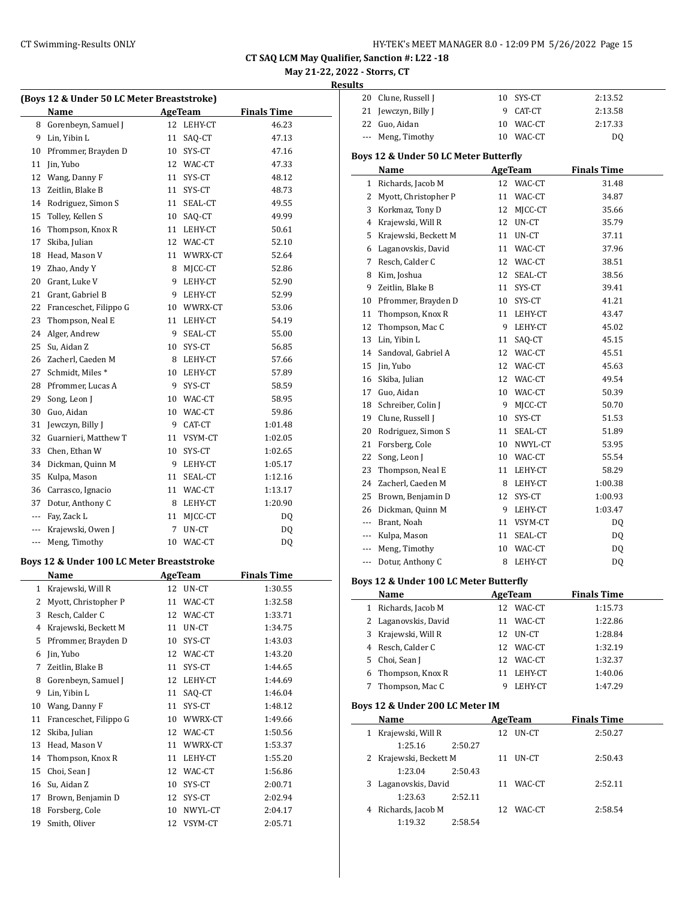| HY-TEK's MEET MANAGER 8.0 - 12:09 PM 5/26/2022 Page 15 |  |  |  |  |
|--------------------------------------------------------|--|--|--|--|
|--------------------------------------------------------|--|--|--|--|

#### **May 21-22, 2022 - Storrs, CT Results**

|                                        |                                            |    |                | CT SAQ LCM May Qualifier, Sanction #: L22 -18 |                              |                                        |                |                    |
|----------------------------------------|--------------------------------------------|----|----------------|-----------------------------------------------|------------------------------|----------------------------------------|----------------|--------------------|
|                                        |                                            |    |                |                                               | May 21-22, 2022 - Storrs, CT |                                        |                |                    |
|                                        |                                            |    |                |                                               | <b>Results</b>               |                                        |                |                    |
|                                        | (Boys 12 & Under 50 LC Meter Breaststroke) |    |                |                                               |                              | 20 Clune, Russell J                    | 10 SYS-CT      | 2:13.52            |
|                                        | Name                                       |    | <b>AgeTeam</b> | <b>Finals Time</b>                            |                              | 21 Jewczyn, Billy J                    | 9 CAT-CT       | 2:13.58            |
|                                        | 8 Gorenbeyn, Samuel J                      |    | 12 LEHY-CT     | 46.23                                         |                              | 22 Guo, Aidan                          | 10 WAC-CT      | 2:17.33            |
| 9                                      | Lin, Yibin L                               |    | 11 SAQ-CT      | 47.13                                         |                              | --- Meng, Timothy                      | 10 WAC-CT      | DQ                 |
| 10                                     | Pfrommer, Brayden D                        |    | 10 SYS-CT      | 47.16                                         |                              | Boys 12 & Under 50 LC Meter Butterfly  |                |                    |
| 11                                     | Jin, Yubo                                  |    | 12 WAC-CT      | 47.33                                         |                              | Name                                   | <b>AgeTeam</b> | <b>Finals Time</b> |
| 12                                     | Wang, Danny F                              |    | 11 SYS-CT      | 48.12                                         |                              | 1 Richards, Jacob M                    | 12 WAC-CT      | 31.48              |
| 13                                     | Zeitlin, Blake B                           |    | 11 SYS-CT      | 48.73                                         |                              | 2 Myott, Christopher P                 | 11 WAC-CT      | 34.87              |
| 14                                     | Rodriguez, Simon S                         |    | 11 SEAL-CT     | 49.55                                         |                              | 3 Korkmaz, Tony D                      | 12 MJCC-CT     | 35.66              |
| 15                                     | Tolley, Kellen S                           |    | 10 SAQ-CT      | 49.99                                         | 4                            | Krajewski, Will R                      | 12 UN-CT       | 35.79              |
| 16                                     | Thompson, Knox R                           |    | 11 LEHY-CT     | 50.61                                         | 5.                           | Krajewski, Beckett M                   | 11 UN-CT       | 37.11              |
| 17                                     | Skiba, Julian                              |    | 12 WAC-CT      | 52.10                                         | 6                            | Laganovskis, David                     | 11 WAC-CT      | 37.96              |
| 18                                     | Head, Mason V                              |    | 11 WWRX-CT     | 52.64                                         |                              | 7 Resch, Calder C                      | 12 WAC-CT      | 38.51              |
| 19                                     | Zhao, Andy Y                               | 8  | MJCC-CT        | 52.86                                         |                              | 8 Kim, Joshua                          | 12 SEAL-CT     | 38.56              |
| 20                                     | Grant, Luke V                              | 9  | LEHY-CT        | 52.90                                         | 9                            | Zeitlin, Blake B                       | 11 SYS-CT      | 39.41              |
| 21                                     | Grant, Gabriel B                           | 9  | LEHY-CT        | 52.99                                         |                              | Pfrommer, Brayden D                    | 10 SYS-CT      |                    |
| 22                                     | Franceschet, Filippo G                     | 10 | WWRX-CT        | 53.06                                         | 10                           | Thompson, Knox R                       |                | 41.21              |
| 23                                     | Thompson, Neal E                           | 11 | LEHY-CT        | 54.19                                         | 11                           |                                        | 11 LEHY-CT     | 43.47              |
| 24                                     | Alger, Andrew                              | 9  | SEAL-CT        | 55.00                                         | 12                           | Thompson, Mac C                        | 9 LEHY-CT      | 45.02              |
| 25                                     | Su, Aidan Z                                |    | 10 SYS-CT      | 56.85                                         | 13                           | Lin, Yibin L                           | 11 SAO-CT      | 45.15              |
| 26                                     | Zacherl, Caeden M                          |    | 8 LEHY-CT      | 57.66                                         |                              | 14 Sandoval, Gabriel A                 | 12 WAC-CT      | 45.51              |
| 27                                     | Schmidt, Miles*                            |    | 10 LEHY-CT     | 57.89                                         | 15                           | Jin, Yubo                              | 12 WAC-CT      | 45.63              |
| 28                                     | Pfrommer, Lucas A                          |    | 9 SYS-CT       | 58.59                                         |                              | 16 Skiba, Julian                       | 12 WAC-CT      | 49.54              |
| 29                                     | Song, Leon J                               |    | 10 WAC-CT      | 58.95                                         | 17                           | Guo, Aidan                             | 10 WAC-CT      | 50.39              |
| 30                                     | Guo, Aidan                                 |    | 10 WAC-CT      | 59.86                                         | 18                           | Schreiber, Colin J                     | 9 MJCC-CT      | 50.70              |
| 31                                     | Jewczyn, Billy J                           | 9  | CAT-CT         | 1:01.48                                       | 19                           | Clune, Russell J                       | 10 SYS-CT      | 51.53              |
| 32                                     | Guarnieri, Matthew T                       |    | 11 VSYM-CT     | 1:02.05                                       | 20                           | Rodriguez, Simon S                     | 11 SEAL-CT     | 51.89              |
| 33                                     | Chen, Ethan W                              |    | 10 SYS-CT      | 1:02.65                                       |                              | 21 Forsberg, Cole                      | 10 NWYL-CT     | 53.95              |
| 34                                     | Dickman, Quinn M                           | 9  | LEHY-CT        | 1:05.17                                       | 22                           | Song, Leon J                           | 10 WAC-CT      | 55.54              |
| 35                                     | Kulpa, Mason                               |    | 11 SEAL-CT     | 1:12.16                                       | 23                           | Thompson, Neal E                       | 11 LEHY-CT     | 58.29              |
| 36                                     | Carrasco, Ignacio                          |    | 11 WAC-CT      | 1:13.17                                       | 24                           | Zacherl, Caeden M                      | 8 LEHY-CT      | 1:00.38            |
| 37                                     | Dotur, Anthony C                           | 8  | LEHY-CT        | 1:20.90                                       | 25                           | Brown, Benjamin D                      | 12 SYS-CT      | 1:00.93            |
| $\cdots$                               | Fay, Zack L                                |    | 11 MJCC-CT     | DQ                                            | 26                           | Dickman, Quinn M                       | 9 LEHY-CT      | 1:03.47            |
| $\scriptstyle\cdots\scriptstyle\cdots$ | Krajewski, Owen J                          |    | 7 UN-CT        | $\mathbf{D}\mathbf{Q}$                        |                              | --- Brant, Noah                        | 11 VSYM-CT     | DQ                 |
| $\cdots$                               | Meng, Timothy                              |    | 10 WAC-CT      | <b>DQ</b>                                     |                              | --- Kulpa, Mason                       | 11 SEAL-CT     | <b>DQ</b>          |
|                                        |                                            |    |                |                                               |                              | --- Meng, Timothy                      | 10 WAC-CT      | DQ                 |
|                                        | Boys 12 & Under 100 LC Meter Breaststroke  |    |                |                                               |                              | --- Dotur, Anthony C                   | 8 LEHY-CT      | DQ                 |
|                                        | Name                                       |    | <b>AgeTeam</b> | <b>Finals Time</b>                            |                              | Boys 12 & Under 100 LC Meter Butterfly |                |                    |
|                                        | 1 Krajewski, Will R                        |    | 12 UN-CT       | 1:30.55                                       |                              | Name                                   | <b>AgeTeam</b> | <b>Finals Time</b> |
| 2                                      | Myott, Christopher P                       |    | 11 WAC-CT      | 1:32.58                                       |                              | 1 Richards, Jacob M                    | 12 WAC-CT      | 1:15.73            |
| 3                                      | Resch, Calder C                            |    | 12 WAC-CT      | 1:33.71                                       |                              | 2 Laganovskis, David                   | 11 WAC-CT      | 1:22.86            |
| 4                                      | Krajewski, Beckett M                       |    | 11 UN-CT       | 1:34.75                                       |                              | 3 Krajewski, Will R                    | 12 UN-CT       | 1:28.84            |
| 5                                      | Pfrommer, Brayden D                        |    | 10 SYS-CT      | 1:43.03                                       |                              | 4 Resch, Calder C                      | 12 WAC-CT      | 1:32.19            |
|                                        | 6 Jin, Yubo                                |    | 12 WAC-CT      | 1:43.20                                       |                              |                                        |                |                    |

7 Zeitlin, Blake B 11 SYS-CT 1:44.65 8 Gorenbeyn, Samuel J 12 LEHY-CT 1:44.69 9 Lin, Yibin L 11 SAQ-CT 1:46.04 10 Wang, Danny F 11 SYS-CT 1:48.12 11 Franceschet, Filippo G 10 WWRX-CT 1:49.66 12 Skiba, Julian 12 WAC-CT 1:50.56 13 Head, Mason V 11 WWRX-CT 1:53.37 14 Thompson, Knox R 11 LEHY-CT 1:55.20 15 Choi, Sean J 12 WAC-CT 1:56.86 Su, Aidan Z 10 SYS-CT 2:00.71 Brown, Benjamin D 12 SYS-CT 2:02.94 Forsberg, Cole 10 NWYL-CT 2:04.17 Smith, Oliver 12 VSYM-CT 2:05.71

| 20                    | Clune, Russell J                                      | 10       | SYS-CT         | 2:13.52            |
|-----------------------|-------------------------------------------------------|----------|----------------|--------------------|
| 21                    | Jewczyn, Billy J                                      | 9        | CAT-CT         | 2:13.58            |
| 22                    | Guo, Aidan                                            | 10       | WAC-CT         | 2:17.33            |
| $\scriptstyle \cdots$ | Meng, Timothy                                         | 10       | WAC-CT         | DQ                 |
|                       | Boys 12 & Under 50 LC Meter Butterfly                 |          |                |                    |
|                       | Name                                                  |          | AgeTeam        | <b>Finals Time</b> |
| $\mathbf{1}$          | Richards, Jacob M                                     | 12       | WAC-CT         | 31.48              |
| 2                     | Myott, Christopher P                                  | 11       | WAC-CT         | 34.87              |
| 3                     | Korkmaz, Tony D                                       | 12       | MJCC-CT        | 35.66              |
| 4                     | Krajewski, Will R                                     | 12       | UN-CT          | 35.79              |
| 5                     | Krajewski, Beckett M                                  | 11       | UN-CT          | 37.11              |
|                       | 6 Laganovskis, David                                  | 11       | WAC-CT         | 37.96              |
|                       | 7 Resch, Calder C                                     |          | 12 WAC-CT      | 38.51              |
| 8                     | Kim, Joshua                                           | 12       | SEAL-CT        | 38.56              |
| 9                     | Zeitlin, Blake B                                      |          | 11 SYS-CT      | 39.41              |
| 10                    | Pfrommer, Brayden D                                   |          | 10 SYS-CT      | 41.21              |
| 11                    | Thompson, Knox R                                      | 11       | LEHY-CT        | 43.47              |
| 12                    | Thompson, Mac C                                       | 9        | LEHY-CT        | 45.02              |
| 13                    | Lin, Yibin L                                          | 11       | SAQ-CT         | 45.15              |
| 14                    | Sandoval, Gabriel A                                   |          | 12 WAC-CT      | 45.51              |
| 15                    | Jin, Yubo                                             | 12       | WAC-CT         | 45.63              |
| 16                    | Skiba, Julian                                         | 12       | WAC-CT         | 49.54              |
|                       | 17 Guo, Aidan                                         | 10       | WAC-CT         | 50.39              |
| 18                    | Schreiber, Colin J                                    | 9        | MJCC-CT        | 50.70              |
|                       | 19 Clune, Russell J                                   |          | 10 SYS-CT      | 51.53              |
| 20                    | Rodriguez, Simon S                                    | 11       | SEAL-CT        | 51.89              |
| 21                    | Forsberg, Cole                                        |          | 10 NWYL-CT     | 53.95              |
| 22                    | Song, Leon J                                          |          | 10 WAC-CT      | 55.54              |
| 23                    | Thompson, Neal E                                      |          | 11 LEHY-CT     | 58.29              |
| 24                    | Zacherl, Caeden M                                     |          | 8 LEHY-CT      | 1:00.38            |
| 25                    | Brown, Benjamin D                                     | 12       | SYS-CT         | 1:00.93            |
| 26                    | Dickman, Quinn M                                      | 9        | LEHY-CT        | 1:03.47            |
|                       | --- Brant, Noah                                       | 11       | VSYM-CT        | DQ                 |
|                       | --- Kulpa, Mason                                      | 11       | SEAL-CT        | DQ                 |
|                       | --- Meng, Timothy                                     | 10       | WAC-CT         | DQ                 |
|                       | --- Dotur, Anthony C                                  | 8        | LEHY-CT        | DQ                 |
|                       |                                                       |          |                |                    |
|                       | Boys 12 & Under 100 LC Meter Butterfly<br><b>Name</b> |          | AgeTeam        | <b>Finals Time</b> |
|                       | Richards, Jacob M                                     |          |                |                    |
| 1<br>2                | Laganovskis, David                                    | 12       | WAC-CT         | 1:15.73            |
| 3                     | Krajewski, Will R                                     | 11<br>12 | WAC-CT         | 1:22.86            |
|                       | 4 Resch, Calder C                                     |          | UN-CT          | 1:28.84            |
|                       |                                                       |          | 12 WAC-CT      | 1:32.19            |
| 5                     | Choi, Sean J                                          |          | 12 WAC-CT      | 1:32.37            |
| 6                     | Thompson, Knox R                                      | 11       | LEHY-CT        | 1:40.06            |
| 7                     | Thompson, Mac C                                       | 9        | LEHY-CT        | 1:47.29            |
|                       | Boys 12 & Under 200 LC Meter IM                       |          |                |                    |
|                       | Name                                                  |          | <b>AgeTeam</b> | <b>Finals Time</b> |
| 1                     | Krajewski, Will R                                     |          | 12 UN-CT       | 2:50.27            |
|                       | 1:25.16<br>2:50.27                                    |          |                |                    |
| 2                     | Krajewski, Beckett M                                  | 11       | UN-CT          | 2:50.43            |
|                       | 1:23.04<br>2:50.43                                    |          |                |                    |
| 3                     | Laganovskis, David                                    | 11       | WAC-CT         | 2:52.11            |
|                       | 1:23.63<br>2:52.11                                    |          |                |                    |
| 4                     | Richards, Jacob M                                     | 12       | WAC-CT         | 2:58.54            |
|                       | 1:19.32<br>2:58.54                                    |          |                |                    |
|                       |                                                       |          |                |                    |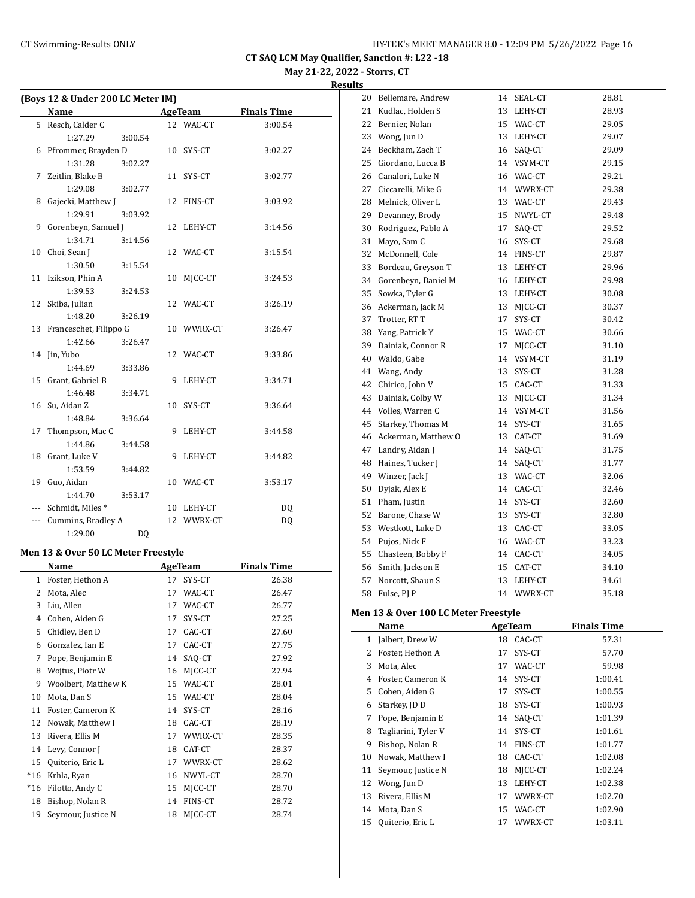**CT SAQ LCM May Qualifier, Sanction #: L22 -18 May 21-22, 2022 - Storrs, CT**

# **Results**

|     | (Boys 12 & Under 200 LC Meter IM) |                |   |            |                    |  |  |  |  |  |
|-----|-----------------------------------|----------------|---|------------|--------------------|--|--|--|--|--|
|     | <b>Name</b>                       |                |   | AgeTeam    | <b>Finals Time</b> |  |  |  |  |  |
|     | 5 Resch, Calder C                 |                |   | 12 WAC-CT  | 3:00.54            |  |  |  |  |  |
|     | 1:27.29                           | 3:00.54        |   |            |                    |  |  |  |  |  |
| 6   | Pfrommer, Brayden D               |                |   | 10 SYS-CT  | 3:02.27            |  |  |  |  |  |
|     | 1:31.28                           | 3:02.27        |   |            |                    |  |  |  |  |  |
| 7   | Zeitlin, Blake B                  |                |   | 11 SYS-CT  | 3:02.77            |  |  |  |  |  |
|     | 1:29.08                           | 3:02.77        |   |            |                    |  |  |  |  |  |
| 8   | Gajecki, Matthew J                |                |   | 12 FINS-CT | 3:03.92            |  |  |  |  |  |
|     | 1:29.91                           | 3:03.92        |   |            |                    |  |  |  |  |  |
| 9   | Gorenbeyn, Samuel J               |                |   | 12 LEHY-CT | 3:14.56            |  |  |  |  |  |
|     | 1:34.71                           | 3:14.56        |   |            |                    |  |  |  |  |  |
| 10  | Choi, Sean J                      |                |   | 12 WAC-CT  | 3:15.54            |  |  |  |  |  |
|     | 1:30.50                           | 3:15.54        |   |            |                    |  |  |  |  |  |
|     | 11 Izikson, Phin A                |                |   | 10 MJCC-CT | 3:24.53            |  |  |  |  |  |
|     | 1:39.53                           | 3:24.53        |   |            |                    |  |  |  |  |  |
| 12  | Skiba, Julian                     |                |   | 12 WAC-CT  | 3:26.19            |  |  |  |  |  |
|     | 1:48.20                           | 3:26.19        |   |            |                    |  |  |  |  |  |
|     | 13 Franceschet, Filippo G         |                |   | 10 WWRX-CT | 3:26.47            |  |  |  |  |  |
|     | 1:42.66                           | 3:26.47        |   |            |                    |  |  |  |  |  |
|     | 14 Jin, Yubo                      |                |   | 12 WAC-CT  | 3:33.86            |  |  |  |  |  |
|     | 1:44.69                           | 3:33.86        |   |            |                    |  |  |  |  |  |
|     | 15 Grant, Gabriel B               |                | 9 | LEHY-CT    | 3:34.71            |  |  |  |  |  |
|     | 1:46.48                           | 3:34.71        |   |            |                    |  |  |  |  |  |
|     | 16 Su, Aidan Z                    |                |   | 10 SYS-CT  | 3:36.64            |  |  |  |  |  |
|     | 1:48.84                           | 3:36.64        |   |            |                    |  |  |  |  |  |
| 17  | Thompson, Mac C                   |                | 9 | LEHY-CT    | 3:44.58            |  |  |  |  |  |
|     | 1:44.86                           | 3:44.58        |   |            |                    |  |  |  |  |  |
|     | 18 Grant, Luke V                  |                |   | 9 LEHY-CT  | 3:44.82            |  |  |  |  |  |
|     | 1:53.59                           | 3:44.82        |   |            |                    |  |  |  |  |  |
| 19  | Guo, Aidan                        |                |   | 10 WAC-CT  | 3:53.17            |  |  |  |  |  |
|     | 1:44.70                           | 3:53.17        |   |            |                    |  |  |  |  |  |
| --- | Schmidt, Miles*                   |                |   | 10 LEHY-CT | DQ                 |  |  |  |  |  |
| --- | Cummins, Bradley A                |                |   | 12 WWRX-CT | DQ                 |  |  |  |  |  |
|     | 1:29.00                           | D <sub>0</sub> |   |            |                    |  |  |  |  |  |

#### **Men 13 & Over 50 LC Meter Freestyle**

| Name  |                     | <b>AgeTeam</b> |         | <b>Finals Time</b> |
|-------|---------------------|----------------|---------|--------------------|
| 1     | Foster, Hethon A    | 17             | SYS-CT  | 26.38              |
| 2     | Mota, Alec          | 17             | WAC-CT  | 26.47              |
| 3     | Liu, Allen          | 17             | WAC-CT  | 26.77              |
| 4     | Cohen, Aiden G      | 17             | SYS-CT  | 27.25              |
| 5     | Chidley, Ben D      | 17             | CAC-CT  | 27.60              |
| 6     | Gonzalez, Ian E     | 17             | CAC-CT  | 27.75              |
| 7     | Pope, Benjamin E    | 14             | SAQ-CT  | 27.92              |
| 8     | Wojtus, Piotr W     | 16             | MJCC-CT | 27.94              |
| 9     | Woolbert, Matthew K | 15             | WAC-CT  | 28.01              |
| 10    | Mota, Dan S         | 15             | WAC-CT  | 28.04              |
| 11    | Foster, Cameron K   | 14             | SYS-CT  | 28.16              |
| 12    | Nowak, Matthew I    | 18             | CAC-CT  | 28.19              |
| 13    | Rivera, Ellis M     | 17             | WWRX-CT | 28.35              |
| 14    | Levy, Connor J      | 18             | CAT-CT  | 28.37              |
| 15    | Quiterio, Eric L    | 17             | WWRX-CT | 28.62              |
| $*16$ | Krhla, Ryan         | 16             | NWYL-CT | 28.70              |
| $*16$ | Filotto, Andy C     | 15             | MJCC-CT | 28.70              |
| 18    | Bishop, Nolan R     | 14             | FINS-CT | 28.72              |
| 19    | Seymour, Justice N  | 18             | MICC-CT | 28.74              |

| 20 | Bellemare, Andrew   | 14 | SEAL-CT | 28.81 |
|----|---------------------|----|---------|-------|
| 21 | Kudlac, Holden S    | 13 | LEHY-CT | 28.93 |
| 22 | Bernier, Nolan      | 15 | WAC-CT  | 29.05 |
| 23 | Wong, Jun D         | 13 | LEHY-CT | 29.07 |
| 24 | Beckham, Zach T     | 16 | SAQ-CT  | 29.09 |
| 25 | Giordano, Lucca B   | 14 | VSYM-CT | 29.15 |
| 26 | Canalori, Luke N    | 16 | WAC-CT  | 29.21 |
| 27 | Ciccarelli, Mike G  | 14 | WWRX-CT | 29.38 |
| 28 | Melnick, Oliver L   | 13 | WAC-CT  | 29.43 |
| 29 | Devanney, Brody     | 15 | NWYL-CT | 29.48 |
| 30 | Rodriguez, Pablo A  | 17 | SAQ-CT  | 29.52 |
| 31 | Mayo, Sam C         | 16 | SYS-CT  | 29.68 |
| 32 | McDonnell, Cole     | 14 | FINS-CT | 29.87 |
| 33 | Bordeau, Greyson T  | 13 | LEHY-CT | 29.96 |
| 34 | Gorenbeyn, Daniel M | 16 | LEHY-CT | 29.98 |
| 35 | Sowka, Tyler G      | 13 | LEHY-CT | 30.08 |
| 36 | Ackerman, Jack M    | 13 | MJCC-CT | 30.37 |
| 37 | Trotter, RT T       | 17 | SYS-CT  | 30.42 |
| 38 | Yang, Patrick Y     | 15 | WAC-CT  | 30.66 |
| 39 | Dainiak, Connor R   | 17 | MICC-CT | 31.10 |
| 40 | Waldo, Gabe         | 14 | VSYM-CT | 31.19 |
| 41 | Wang, Andy          | 13 | SYS-CT  | 31.28 |
| 42 | Chirico, John V     | 15 | CAC-CT  | 31.33 |
| 43 | Dainiak, Colby W    | 13 | MJCC-CT | 31.34 |
| 44 | Volles, Warren C    | 14 | VSYM-CT | 31.56 |
| 45 | Starkey, Thomas M   | 14 | SYS-CT  | 31.65 |
| 46 | Ackerman, Matthew O | 13 | CAT-CT  | 31.69 |
| 47 | Landry, Aidan J     | 14 | SAQ-CT  | 31.75 |
| 48 | Haines, Tucker J    | 14 | SAQ-CT  | 31.77 |
| 49 | Winzer, Jack J      | 13 | WAC-CT  | 32.06 |
| 50 | Dyjak, Alex E       | 14 | CAC-CT  | 32.46 |
| 51 | Pham, Justin        | 14 | SYS-CT  | 32.60 |
| 52 | Barone, Chase W     | 13 | SYS-CT  | 32.80 |
| 53 | Westkott, Luke D    | 13 | CAC-CT  | 33.05 |
| 54 | Pujos, Nick F       | 16 | WAC-CT  | 33.23 |
| 55 | Chasteen, Bobby F   | 14 | CAC-CT  | 34.05 |
| 56 | Smith, Jackson E    | 15 | CAT-CT  | 34.10 |
| 57 | Norcott, Shaun S    | 13 | LEHY-CT | 34.61 |
| 58 | Fulse, PJ P         | 14 | WWRX-CT | 35.18 |

# **Men 13 & Over 100 LC Meter Freestyle**

|    | Name                |    | AgeTeam | <b>Finals Time</b> |
|----|---------------------|----|---------|--------------------|
| 1  | Jalbert, Drew W     | 18 | CAC-CT  | 57.31              |
| 2  | Foster, Hethon A    | 17 | SYS-CT  | 57.70              |
| 3  | Mota, Alec          | 17 | WAC-CT  | 59.98              |
| 4  | Foster, Cameron K   | 14 | SYS-CT  | 1:00.41            |
| 5. | Cohen, Aiden G      | 17 | SYS-CT  | 1:00.55            |
| 6  | Starkey, JD D       | 18 | SYS-CT  | 1:00.93            |
| 7  | Pope, Benjamin E    | 14 | SAQ-CT  | 1:01.39            |
| 8  | Tagliarini, Tyler V | 14 | SYS-CT  | 1:01.61            |
| 9  | Bishop, Nolan R     | 14 | FINS-CT | 1:01.77            |
| 10 | Nowak, Matthew I    | 18 | CAC-CT  | 1:02.08            |
| 11 | Seymour, Justice N  | 18 | MICC-CT | 1:02.24            |
| 12 | Wong, Jun D         | 13 | LEHY-CT | 1:02.38            |
| 13 | Rivera, Ellis M     | 17 | WWRX-CT | 1:02.70            |
| 14 | Mota, Dan S         | 15 | WAC-CT  | 1:02.90            |
| 15 | Quiterio, Eric L    | 17 | WWRX-CT | 1:03.11            |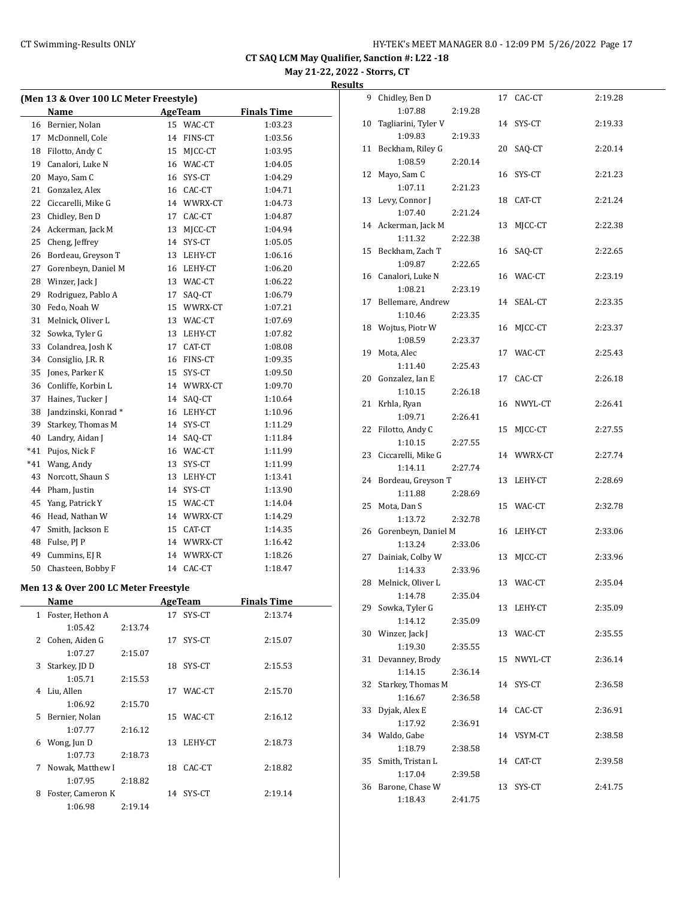**May 21-22, 2022 - Storrs, CT Results**

|              | (Men 13 & Over 100 LC Meter Freestyle) |         |                |            |                    |  |
|--------------|----------------------------------------|---------|----------------|------------|--------------------|--|
|              | Name                                   |         |                | AgeTeam    | <b>Finals Time</b> |  |
|              | 16 Bernier, Nolan                      |         |                | 15 WAC-CT  | 1:03.23            |  |
| 17           | McDonnell, Cole                        |         |                | 14 FINS-CT | 1:03.56            |  |
| 18           | Filotto, Andy C                        |         |                | 15 MJCC-CT | 1:03.95            |  |
| 19           | Canalori, Luke N                       |         |                | 16 WAC-CT  | 1:04.05            |  |
| 20           | Mayo, Sam C                            |         |                | 16 SYS-CT  | 1:04.29            |  |
| 21           | Gonzalez, Alex                         |         |                | 16 CAC-CT  | 1:04.71            |  |
| 22           | Ciccarelli, Mike G                     |         |                | 14 WWRX-CT | 1:04.73            |  |
| 23           | Chidley, Ben D                         |         |                | 17 CAC-CT  | 1:04.87            |  |
| 24           | Ackerman, Jack M                       |         | 13             | MJCC-CT    | 1:04.94            |  |
| 25           | Cheng, Jeffrey                         |         |                | 14 SYS-CT  | 1:05.05            |  |
| 26           | Bordeau, Greyson T                     |         |                | 13 LEHY-CT | 1:06.16            |  |
| 27           | Gorenbeyn, Daniel M                    |         |                | 16 LEHY-CT | 1:06.20            |  |
| 28           | Winzer, Jack J                         |         |                | 13 WAC-CT  | 1:06.22            |  |
| 29           | Rodriguez, Pablo A                     |         |                | 17 SAQ-CT  | 1:06.79            |  |
| 30           | Fedo, Noah W                           |         |                | 15 WWRX-CT | 1:07.21            |  |
| 31           | Melnick, Oliver L                      |         |                | 13 WAC-CT  | 1:07.69            |  |
| 32           | Sowka, Tyler G                         |         |                | 13 LEHY-CT | 1:07.82            |  |
| 33           | Colandrea, Josh K                      |         |                | 17 CAT-CT  |                    |  |
|              |                                        |         |                |            | 1:08.08            |  |
| 34           | Consiglio, J.R. R                      |         |                | 16 FINS-CT | 1:09.35            |  |
| 35           | Jones, Parker K                        |         |                | 15 SYS-CT  | 1:09.50            |  |
| 36           | Conliffe, Korbin L                     |         |                | 14 WWRX-CT | 1:09.70            |  |
| 37           | Haines, Tucker J                       |         |                | 14 SAQ-CT  | 1:10.64            |  |
| 38           | Jandzinski, Konrad*                    |         |                | 16 LEHY-CT | 1:10.96            |  |
| 39           | Starkey, Thomas M                      |         |                | 14 SYS-CT  | 1:11.29            |  |
| 40           | Landry, Aidan J                        |         |                | 14 SAQ-CT  | 1:11.84            |  |
| *41          | Pujos, Nick F                          |         |                | 16 WAC-CT  | 1:11.99            |  |
| *41          | Wang, Andy                             |         |                | 13 SYS-CT  | 1:11.99            |  |
| 43           | Norcott, Shaun S                       |         |                | 13 LEHY-CT | 1:13.41            |  |
| 44           | Pham, Justin                           |         |                | 14 SYS-CT  | 1:13.90            |  |
| 45           | Yang, Patrick Y                        |         |                | 15 WAC-CT  | 1:14.04            |  |
| 46           | Head, Nathan W                         |         |                | 14 WWRX-CT | 1:14.29            |  |
| 47           | Smith, Jackson E                       |         |                | 15 CAT-CT  | 1:14.35            |  |
| 48           | Fulse, PJ P                            |         |                | 14 WWRX-CT | 1:16.42            |  |
| 49           | Cummins, EJ R                          |         |                | 14 WWRX-CT | 1:18.26            |  |
| 50           | Chasteen, Bobby F                      |         |                | 14 CAC-CT  | 1:18.47            |  |
|              | Men 13 & Over 200 LC Meter Freestyle   |         |                |            |                    |  |
|              | Name                                   |         | <b>AgeTeam</b> |            | <u>Finals Time</u> |  |
| $\mathbf{1}$ | Foster, Hethon A                       |         | 17             | SYS-CT     | 2:13.74            |  |
|              | 1:05.42                                | 2:13.74 |                |            |                    |  |
| 2            | Cohen, Aiden G                         |         | 17             | SYS-CT     | 2:15.07            |  |
|              | 1:07.27                                | 2:15.07 |                |            |                    |  |
| 3            | Starkey, JD D                          |         | 18             | SYS-CT     | 2:15.53            |  |
|              | 1:05.71                                |         |                |            |                    |  |
| 4            | Liu, Allen                             | 2:15.53 |                | 17 WAC-CT  | 2:15.70            |  |
|              | 1:06.92                                |         |                |            |                    |  |
| 5            | Bernier, Nolan                         | 2:15.70 |                | 15 WAC-CT  | 2:16.12            |  |
|              | 1:07.77                                | 2:16.12 |                |            |                    |  |
| 6            | Wong, Jun D                            |         | 13             | LEHY-CT    | 2:18.73            |  |
|              | 1:07.73                                | 2:18.73 |                |            |                    |  |
| 7            | Nowak, Matthew I                       |         | 18             | CAC-CT     | 2:18.82            |  |
|              | 1:07.95                                | 2:18.82 |                |            |                    |  |
|              |                                        |         |                |            |                    |  |

8 Foster, Cameron K 14 SYS-CT 2:19.14

1:06.98 2:19.14

| 9  | Chidley, Ben D      |         | 17 | CAC-CT     | 2:19.28 |
|----|---------------------|---------|----|------------|---------|
|    | 1:07.88             | 2:19.28 |    |            |         |
| 10 | Tagliarini, Tyler V |         | 14 | SYS-CT     | 2:19.33 |
|    | 1:09.83             | 2:19.33 |    |            |         |
| 11 | Beckham, Riley G    |         | 20 | SAQ-CT     | 2:20.14 |
|    | 1:08.59             | 2:20.14 |    |            |         |
| 12 | Mayo, Sam C         |         | 16 | SYS-CT     | 2:21.23 |
|    | 1:07.11             | 2:21.23 |    |            |         |
| 13 | Levy, Connor J      |         | 18 | CAT-CT     | 2:21.24 |
|    | 1:07.40             | 2:21.24 |    |            |         |
| 14 | Ackerman, Jack M    |         | 13 | MJCC-CT    | 2:22.38 |
|    | 1:11.32             | 2:22.38 |    |            |         |
| 15 | Beckham, Zach T     |         | 16 | SAQ-CT     | 2:22.65 |
|    | 1:09.87             | 2:22.65 |    |            |         |
|    | 16 Canalori, Luke N |         |    | 16 WAC-CT  | 2:23.19 |
|    | 1:08.21             | 2:23.19 |    |            |         |
| 17 | Bellemare, Andrew   |         | 14 | SEAL-CT    | 2:23.35 |
|    | 1:10.46             | 2:23.35 |    |            |         |
| 18 | Wojtus, Piotr W     |         | 16 | MJCC-CT    | 2:23.37 |
|    | 1:08.59             | 2:23.37 |    |            |         |
| 19 | Mota, Alec          |         |    | 17 WAC-CT  | 2:25.43 |
|    | 1:11.40             | 2:25.43 |    |            |         |
| 20 | Gonzalez, Ian E     |         | 17 | CAC-CT     | 2:26.18 |
|    | 1:10.15             | 2:26.18 |    |            |         |
| 21 | Krhla, Ryan         |         | 16 | NWYL-CT    | 2:26.41 |
|    | 1:09.71             | 2:26.41 |    |            |         |
| 22 | Filotto, Andy C     |         | 15 | MJCC-CT    | 2:27.55 |
|    | 1:10.15             | 2:27.55 |    |            |         |
| 23 | Ciccarelli, Mike G  |         |    | 14 WWRX-CT | 2:27.74 |
|    | 1:14.11             | 2:27.74 |    |            |         |
| 24 | Bordeau, Greyson T  |         | 13 | LEHY-CT    | 2:28.69 |
|    | 1:11.88             | 2:28.69 |    |            |         |
| 25 | Mota, Dan S         |         |    | 15 WAC-CT  | 2:32.78 |
|    | 1:13.72             | 2:32.78 |    |            |         |
| 26 | Gorenbeyn, Daniel M |         |    | 16 LEHY-CT | 2:33.06 |
|    | 1:13.24             | 2:33.06 |    |            |         |
| 27 | Dainiak, Colby W    |         | 13 | MJCC-CT    | 2:33.96 |
|    | 1:14.33             | 2:33.96 |    |            |         |
| 28 | Melnick, Oliver L   |         |    | 13 WAC-CT  | 2:35.04 |
|    | 1:14.78             | 2:35.04 |    |            |         |
| 29 | Sowka, Tyler G      |         | 13 | LEHY-CT    | 2:35.09 |
|    | 1:14.12             | 2:35.09 |    |            |         |
| 30 | Winzer, Jack J      |         | 13 | WAC-CT     | 2:35.55 |
|    | 1:19.30             | 2:35.55 |    |            |         |
| 31 | Devanney, Brody     |         | 15 | NWYL-CT    | 2:36.14 |
|    | 1:14.15             | 2:36.14 |    |            |         |
| 32 | Starkey, Thomas M   |         | 14 | SYS-CT     | 2:36.58 |
|    | 1:16.67             | 2:36.58 |    |            |         |
| 33 | Dyjak, Alex E       |         |    | 14 CAC-CT  | 2:36.91 |
|    | 1:17.92             | 2:36.91 |    |            |         |
| 34 | Waldo, Gabe         |         | 14 | VSYM-CT    | 2:38.58 |
|    | 1:18.79             | 2:38.58 |    |            |         |
| 35 | Smith, Tristan L    |         | 14 | CAT-CT     | 2:39.58 |
|    | 1:17.04             | 2:39.58 |    |            |         |
| 36 | Barone, Chase W     |         | 13 | SYS-CT     | 2:41.75 |
|    | 1:18.43             | 2:41.75 |    |            |         |
|    |                     |         |    |            |         |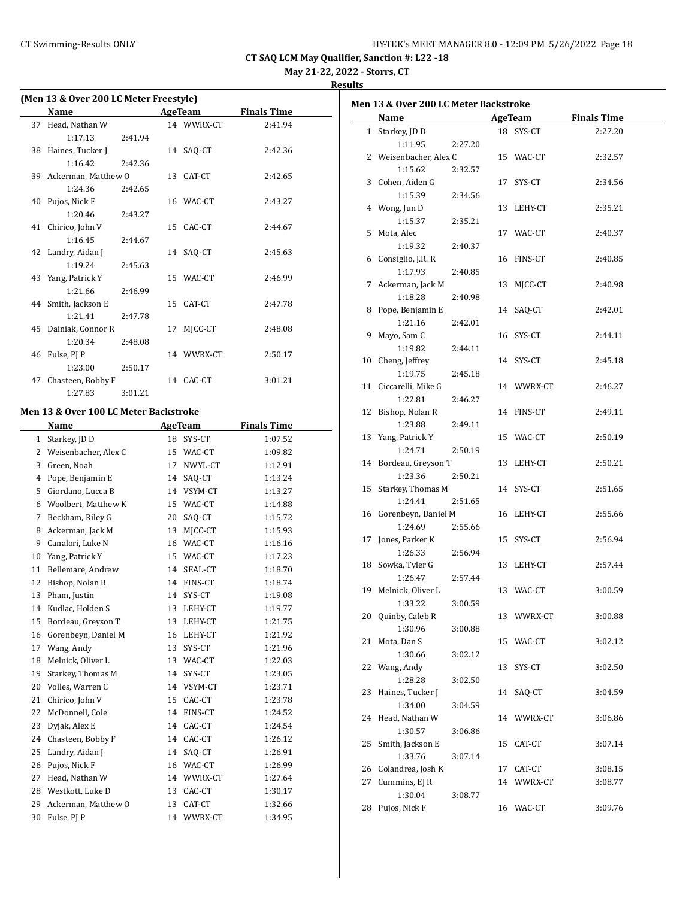| HY-TEK's MEET MANAGER 8.0 - 12:09 PM 5/26/2022 Page 18 |  |  |  |
|--------------------------------------------------------|--|--|--|
|--------------------------------------------------------|--|--|--|

**May 21-22, 2022 - Storrs, CT**

|    | (Men 13 & Over 200 LC Meter Freestyle) |    |                |                    |
|----|----------------------------------------|----|----------------|--------------------|
|    | Name                                   |    | AgeTeam        | <b>Finals Time</b> |
| 37 | Head, Nathan W                         |    | 14 WWRX-CT     | 2:41.94            |
|    | 1:17.13<br>2:41.94                     |    |                |                    |
| 38 | Haines, Tucker J                       | 14 | SAQ-CT         | 2:42.36            |
|    | 1:16.42<br>2:42.36                     |    |                |                    |
| 39 | Ackerman, Matthew O                    | 13 | CAT-CT         | 2:42.65            |
|    | 1:24.36<br>2:42.65                     |    |                |                    |
| 40 | Pujos, Nick F                          |    | 16 WAC-CT      | 2:43.27            |
|    | 1:20.46<br>2:43.27                     |    |                |                    |
| 41 | Chirico, John V                        | 15 | CAC-CT         | 2:44.67            |
|    | 1:16.45<br>2:44.67                     |    |                |                    |
| 42 | Landry, Aidan J                        | 14 | SAQ-CT         | 2:45.63            |
|    | 1:19.24<br>2:45.63                     |    |                |                    |
| 43 | Yang, Patrick Y                        | 15 | WAC-CT         | 2:46.99            |
|    | 1:21.66<br>2:46.99                     |    |                |                    |
| 44 | Smith, Jackson E                       | 15 | CAT-CT         | 2:47.78            |
|    | 1:21.41<br>2:47.78                     |    |                |                    |
| 45 | Dainiak, Connor R                      | 17 | MJCC-CT        | 2:48.08            |
|    | 1:20.34<br>2:48.08                     |    |                |                    |
| 46 | Fulse, PJ P                            |    | 14 WWRX-CT     | 2:50.17            |
|    | 1:23.00<br>2:50.17                     |    |                |                    |
| 47 | Chasteen, Bobby F                      |    | 14 CAC-CT      | 3:01.21            |
|    | 1:27.83<br>3:01.21                     |    |                |                    |
|    | Men 13 & Over 100 LC Meter Backstroke  |    |                |                    |
|    | Name                                   |    | <b>AgeTeam</b> | <b>Finals Time</b> |
|    | 1 Starkey, JD D                        |    | 18 SYS-CT      | 1:07.52            |
|    | 2 Weisenbacher, Alex C                 |    | 15 WAC-CT      | 1:09.82            |
| 3  | Green, Noah                            |    | 17 NWYL-CT     | 1:12.91            |
| 4  | Pope, Benjamin E                       |    | 14 SAQ-CT      | 1:13.24            |
| 5  | Giordano, Lucca B                      |    | 14 VSYM-CT     | 1:13.27            |
| 6  | Woolbert, Matthew K                    |    | 15 WAC-CT      | 1:14.88            |
| 7  | Beckham, Riley G                       |    | 20 SAQ-CT      | 1:15.72            |
| 8  | Ackerman, Jack M                       |    | 13 MJCC-CT     | 1:15.93            |
| 9  | Canalori, Luke N                       |    | 16 WAC-CT      | 1:16.16            |
| 10 | Yang, Patrick Y                        |    | 15 WAC-CT      | 1:17.23            |
| 11 | Bellemare, Andrew                      |    | 14 SEAL-CT     | 1:18.70            |
| 12 | Bishop, Nolan R                        |    | 14 FINS-CT     | 1:18.74            |
| 13 | Pham, Justin                           |    | 14 SYS-CT      | 1:19.08            |
| 14 | Kudlac, Holden S                       | 13 | LEHY-CT        | 1:19.77            |
| 15 | Bordeau, Greyson T                     | 13 | LEHY-CT        | 1:21.75            |
| 16 | Gorenbeyn, Daniel M                    | 16 | LEHY-CT        | 1:21.92            |
| 17 | Wang, Andy                             | 13 | SYS-CT         | 1:21.96            |
| 18 | Melnick, Oliver L                      | 13 | WAC-CT         | 1:22.03            |
| 19 | Starkey, Thomas M                      | 14 | SYS-CT         | 1:23.05            |
| 20 | Volles, Warren C                       | 14 | VSYM-CT        | 1:23.71            |
| 21 | Chirico, John V                        | 15 | CAC-CT         | 1:23.78            |
| 22 | McDonnell, Cole                        | 14 | FINS-CT        | 1:24.52            |
| 23 | Dyjak, Alex E                          | 14 | CAC-CT         | 1:24.54            |
| 24 | Chasteen, Bobby F                      | 14 | CAC-CT         | 1:26.12            |
| 25 | Landry, Aidan J                        | 14 | SAQ-CT         | 1:26.91            |
| 26 | Pujos, Nick F                          | 16 | WAC-CT         | 1:26.99            |
| 27 | Head, Nathan W                         | 14 | WWRX-CT        | 1:27.64            |
| 28 | Westkott, Luke D                       | 13 | CAC-CT         | 1:30.17            |
| 29 | Ackerman, Matthew O                    | 13 | CAT-CT         | 1:32.66            |
| 30 | Fulse, PJ P                            | 14 | WWRX-CT        | 1:34.95            |

|    | Men 13 & Over 200 LC Meter Backstroke |         |    |            | <b>Finals Time</b> |
|----|---------------------------------------|---------|----|------------|--------------------|
|    | Name                                  |         |    | AgeTeam    |                    |
|    | 1 Starkey, JD D                       |         |    | 18 SYS-CT  | 2:27.20            |
|    | 1:11.95                               | 2:27.20 |    |            |                    |
|    | 2 Weisenbacher, Alex C                |         |    | 15 WAC-CT  | 2:32.57            |
|    | 1:15.62                               | 2:32.57 |    |            |                    |
|    | 3 Cohen, Aiden G                      |         |    | 17 SYS-CT  | 2:34.56            |
|    | 1:15.39                               | 2:34.56 |    |            |                    |
|    | 4 Wong, Jun D                         |         |    | 13 LEHY-CT | 2:35.21            |
|    | 1:15.37                               | 2:35.21 |    |            |                    |
|    | 5 Mota, Alec                          |         |    | 17 WAC-CT  | 2:40.37            |
|    | 1:19.32                               | 2:40.37 |    |            |                    |
|    | 6 Consiglio, J.R. R                   |         |    | 16 FINS-CT | 2:40.85            |
|    | 1:17.93                               | 2:40.85 |    |            |                    |
|    | 7 Ackerman, Jack M                    |         |    | 13 MJCC-CT | 2:40.98            |
|    | 1:18.28                               | 2:40.98 |    |            |                    |
|    | 8 Pope, Benjamin E                    |         |    | 14 SAQ-CT  | 2:42.01            |
|    | 1:21.16                               | 2:42.01 |    |            |                    |
|    | 9 Mayo, Sam C                         |         |    | 16 SYS-CT  | 2:44.11            |
|    | 1:19.82                               | 2:44.11 |    |            |                    |
|    | 10 Cheng, Jeffrey                     |         |    | 14 SYS-CT  | 2:45.18            |
|    | 1:19.75                               | 2:45.18 |    |            |                    |
|    | 11 Ciccarelli, Mike G                 |         |    | 14 WWRX-CT | 2:46.27            |
|    | 1:22.81                               | 2:46.27 |    |            |                    |
|    | 12 Bishop, Nolan R                    |         |    | 14 FINS-CT | 2:49.11            |
|    | 1:23.88                               | 2:49.11 |    |            |                    |
|    | 13 Yang, Patrick Y                    |         |    | 15 WAC-CT  | 2:50.19            |
|    | 1:24.71                               | 2:50.19 |    |            |                    |
|    | 14 Bordeau, Greyson T                 |         |    | 13 LEHY-CT | 2:50.21            |
|    | 1:23.36                               | 2:50.21 |    |            |                    |
|    | 15 Starkey, Thomas M                  |         |    | 14 SYS-CT  | 2:51.65            |
|    | 1:24.41                               | 2:51.65 |    |            |                    |
|    | 16 Gorenbeyn, Daniel M                |         |    | 16 LEHY-CT | 2:55.66            |
|    | 1:24.69                               | 2:55.66 |    |            |                    |
|    | 17 Jones, Parker K                    |         |    | 15 SYS-CT  | 2:56.94            |
|    |                                       |         |    |            |                    |
|    | 1:26.33                               | 2:56.94 |    |            |                    |
|    | 18 Sowka, Tyler G                     |         |    | 13 LEHY-CT | 2:57.44            |
|    | 1:26.47                               | 2:57.44 |    |            |                    |
|    | 19 Melnick, Oliver L                  |         |    | 13 WAC-CT  | 3:00.59            |
|    | 1:33.22 3:00.59                       |         |    |            |                    |
|    | 20 Quinby, Caleb R                    |         |    | 13 WWRX-CT | 3:00.88            |
|    | 1:30.96                               | 3:00.88 |    |            |                    |
| 21 | Mota, Dan S                           |         |    | 15 WAC-CT  | 3:02.12            |
|    | 1:30.66                               | 3:02.12 |    |            |                    |
| 22 | Wang, Andy                            |         | 13 | SYS-CT     | 3:02.50            |
|    | 1:28.28                               | 3:02.50 |    |            |                    |
| 23 | Haines, Tucker J                      |         | 14 | SAQ-CT     | 3:04.59            |
|    | 1:34.00                               | 3:04.59 |    |            |                    |
| 24 | Head, Nathan W                        |         |    | 14 WWRX-CT | 3:06.86            |
|    | 1:30.57                               | 3:06.86 |    |            |                    |
| 25 | Smith, Jackson E                      |         | 15 | CAT-CT     | 3:07.14            |
|    | 1:33.76                               | 3:07.14 |    |            |                    |
|    | 26 Colandrea, Josh K                  |         |    | 17 CAT-CT  | 3:08.15            |
| 27 | Cummins, EJ R                         |         |    | 14 WWRX-CT | 3:08.77            |
|    | 1:30.04                               | 3:08.77 |    |            |                    |
|    | 28 Pujos, Nick F                      |         |    | 16 WAC-CT  | 3:09.76            |
|    |                                       |         |    |            |                    |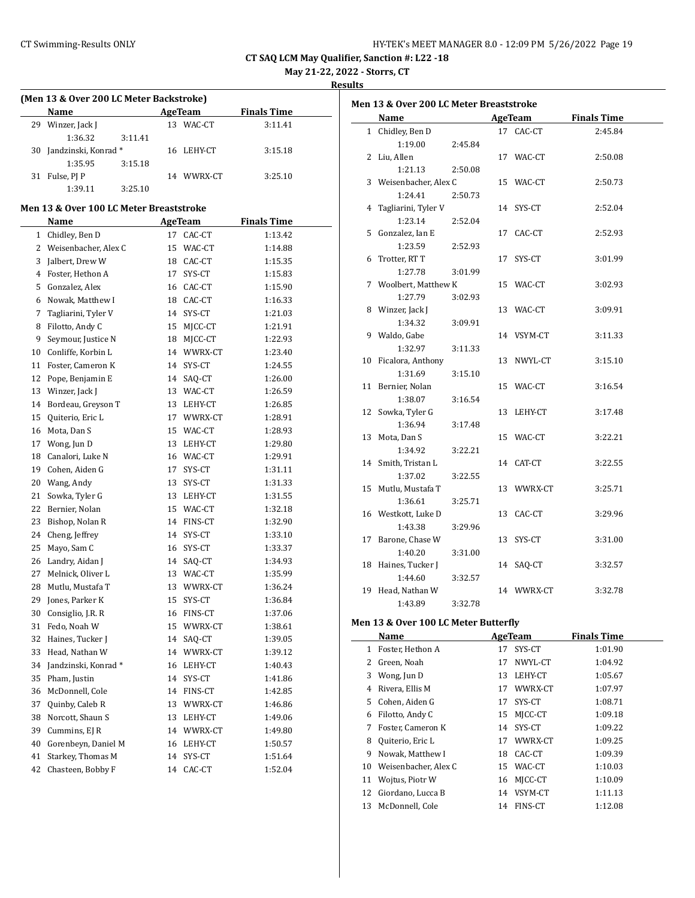$\overline{\phantom{a}}$ 

| HY-TEK's MEET MANAGER 8.0 - 12:09 PM 5/26/2022 Page 19 |  |
|--------------------------------------------------------|--|
|--------------------------------------------------------|--|

**CT SAQ LCM May Qualifier, Sanction #: L22 -18**

**May 21-22, 2022 - Storrs, CT**

**Results**

#### **(Men 13 & Over 200 LC Meter Backstroke)**

|    | Name                   |         |    | AgeTeam    | <b>Finals Time</b> |  |
|----|------------------------|---------|----|------------|--------------------|--|
| 29 | Winzer, Jack J         |         | 13 | WAC-CT     | 3:11.41            |  |
|    | 1:36.32                | 3:11.41 |    |            |                    |  |
|    | 30 Jandzinski, Konrad* |         |    | 16 LEHY-CT | 3:15.18            |  |
|    | 1:35.95                | 3:15.18 |    |            |                    |  |
| 31 | Fulse, PJ P            |         |    | 14 WWRX-CT | 3:25.10            |  |
|    | 1:39.11                | 3:25.10 |    |            |                    |  |

#### **Men 13 & Over 100 LC Meter Breaststroke**

|                | Name                 |    | <b>AgeTeam</b> | <u>Finals Time</u> |
|----------------|----------------------|----|----------------|--------------------|
| $\mathbf{1}$   | Chidley, Ben D       | 17 | CAC-CT         | 1:13.42            |
| $\overline{2}$ | Weisenbacher, Alex C | 15 | WAC-CT         | 1:14.88            |
| 3              | Jalbert, Drew W      | 18 | CAC-CT         | 1:15.35            |
| 4              | Foster, Hethon A     | 17 | SYS-CT         | 1:15.83            |
| 5              | Gonzalez, Alex       | 16 | CAC-CT         | 1:15.90            |
| 6              | Nowak, Matthew I     | 18 | CAC-CT         | 1:16.33            |
| 7              | Tagliarini, Tyler V  | 14 | SYS-CT         | 1:21.03            |
| 8              | Filotto, Andy C      | 15 | MJCC-CT        | 1:21.91            |
| 9              | Seymour, Justice N   | 18 | MJCC-CT        | 1:22.93            |
| 10             | Conliffe, Korbin L   | 14 | WWRX-CT        | 1:23.40            |
| 11             | Foster, Cameron K    | 14 | SYS-CT         | 1:24.55            |
| 12             | Pope, Benjamin E     | 14 | SAQ-CT         | 1:26.00            |
| 13             | Winzer, Jack J       | 13 | WAC-CT         | 1:26.59            |
| 14             | Bordeau, Greyson T   | 13 | LEHY-CT        | 1:26.85            |
| 15             | Quiterio, Eric L     | 17 | WWRX-CT        | 1:28.91            |
| 16             | Mota, Dan S          | 15 | WAC-CT         | 1:28.93            |
| 17             | Wong, Jun D          | 13 | LEHY-CT        | 1:29.80            |
| 18             | Canalori, Luke N     | 16 | WAC-CT         | 1:29.91            |
| 19             | Cohen, Aiden G       | 17 | SYS-CT         | 1:31.11            |
| 20             | Wang, Andy           | 13 | SYS-CT         | 1:31.33            |
| 21             | Sowka, Tyler G       | 13 | LEHY-CT        | 1:31.55            |
| 22             | Bernier, Nolan       | 15 | WAC-CT         | 1:32.18            |
| 23             | Bishop, Nolan R      | 14 | FINS-CT        | 1:32.90            |
| 24             | Cheng, Jeffrey       | 14 | SYS-CT         | 1:33.10            |
| 25             | Mayo, Sam C          | 16 | SYS-CT         | 1:33.37            |
| 26             | Landry, Aidan J      | 14 | SAO-CT         | 1:34.93            |
| 27             | Melnick, Oliver L    | 13 | WAC-CT         | 1:35.99            |
| 28             | Mutlu, Mustafa T     | 13 | WWRX-CT        | 1:36.24            |
| 29             | Jones, Parker K      | 15 | SYS-CT         | 1:36.84            |
| 30             | Consiglio, J.R. R    | 16 | FINS-CT        | 1:37.06            |
| 31             | Fedo, Noah W         | 15 | WWRX-CT        | 1:38.61            |
| 32             | Haines, Tucker J     | 14 | SAQ-CT         | 1:39.05            |
| 33             | Head, Nathan W       | 14 | WWRX-CT        | 1:39.12            |
| 34             | Jandzinski, Konrad*  | 16 | LEHY-CT        | 1:40.43            |
| 35             | Pham, Justin         | 14 | SYS-CT         | 1:41.86            |
| 36             | McDonnell, Cole      | 14 | FINS-CT        | 1:42.85            |
| 37             | Quinby, Caleb R      | 13 | WWRX-CT        | 1:46.86            |
| 38             | Norcott, Shaun S     | 13 | LEHY-CT        | 1:49.06            |
| 39             | Cummins, EJ R        | 14 | WWRX-CT        | 1:49.80            |
| 40             | Gorenbeyn, Daniel M  | 16 | LEHY-CT        | 1:50.57            |
| 41             | Starkey, Thomas M    | 14 | SYS-CT         | 1:51.64            |
| 42             | Chasteen, Bobby F    | 14 | CAC-CT         | 1:52.04            |

| Men 13 & Over 200 LC Meter Breaststroke |         |            |                    |
|-----------------------------------------|---------|------------|--------------------|
| Name                                    |         | AgeTeam    | <b>Finals Time</b> |
| 1 Chidley, Ben D                        |         | 17 CAC-CT  | 2:45.84            |
| 1:19.00                                 | 2:45.84 |            |                    |
| 2 Liu, Allen                            |         | 17 WAC-CT  | 2:50.08            |
| 1:21.13                                 | 2:50.08 |            |                    |
| 3 Weisenbacher, Alex C                  |         | 15 WAC-CT  | 2:50.73            |
| 1:24.41                                 | 2:50.73 |            |                    |
| 4 Tagliarini, Tyler V                   |         | 14 SYS-CT  | 2:52.04            |
| 1:23.14                                 | 2:52.04 |            |                    |
| 5 Gonzalez, Ian E                       |         | 17 CAC-CT  | 2:52.93            |
| 1:23.59                                 | 2:52.93 |            |                    |
| 6 Trotter, RT T                         |         | 17 SYS-CT  | 3:01.99            |
| 1:27.78                                 | 3:01.99 |            |                    |
| 7 Woolbert, Matthew K                   |         | 15 WAC-CT  | 3:02.93            |
| 1:27.79                                 | 3:02.93 |            |                    |
| 8 Winzer, Jack J                        |         | 13 WAC-CT  | 3:09.91            |
| 1:34.32                                 | 3:09.91 |            |                    |
| 9 Waldo, Gabe                           |         | 14 VSYM-CT | 3:11.33            |
| 1:32.97                                 | 3:11.33 |            |                    |
| 10 Ficalora, Anthony                    |         | 13 NWYL-CT | 3:15.10            |
| 1:31.69                                 | 3:15.10 |            |                    |
| 11 Bernier, Nolan                       |         | 15 WAC-CT  | 3:16.54            |
| 1:38.07                                 | 3:16.54 |            |                    |
| 12 Sowka, Tyler G                       |         | 13 LEHY-CT | 3:17.48            |
| 1:36.94                                 | 3:17.48 |            |                    |
| 13 Mota, Dan S                          |         | 15 WAC-CT  | 3:22.21            |
| 1:34.92                                 | 3:22.21 |            |                    |
| 14 Smith, Tristan L                     |         | 14 CAT-CT  | 3:22.55            |
| 1:37.02                                 | 3:22.55 |            |                    |
| 15 Mutlu, Mustafa T                     |         | 13 WWRX-CT | 3:25.71            |
| 1:36.61                                 | 3:25.71 |            |                    |
| 16 Westkott, Luke D                     |         | 13 CAC-CT  | 3:29.96            |
| 1:43.38                                 | 3:29.96 |            |                    |
| 17 Barone, Chase W                      |         | 13 SYS-CT  | 3:31.00            |
| 1:40.20                                 | 3:31.00 |            |                    |
| 18 Haines, Tucker J                     |         | 14 SAQ-CT  | 3:32.57            |
| 1:44.60                                 | 3:32.57 |            |                    |
| 19 Head, Nathan W                       |         | 14 WWRX-CT | 3:32.78            |
| 1:43.89                                 | 3:32.78 |            |                    |

#### **Men 13 & Over 100 LC Meter Butterfly**

|    | Name                 |    | AgeTeam    | <b>Finals Time</b> |  |
|----|----------------------|----|------------|--------------------|--|
| 1  | Foster, Hethon A     | 17 | SYS-CT     | 1:01.90            |  |
| 2  | Green, Noah          | 17 | NWYL-CT    | 1:04.92            |  |
| 3  | Wong, Jun D          | 13 | LEHY-CT    | 1:05.67            |  |
| 4  | Rivera, Ellis M      | 17 | WWRX-CT    | 1:07.97            |  |
| 5. | Cohen, Aiden G       | 17 | SYS-CT     | 1:08.71            |  |
| 6  | Filotto, Andy C      | 15 | MICC-CT    | 1:09.18            |  |
| 7  | Foster, Cameron K    | 14 | SYS-CT     | 1:09.22            |  |
| 8  | Quiterio, Eric L     | 17 | WWRX-CT    | 1:09.25            |  |
| 9  | Nowak, Matthew I     | 18 | CAC-CT     | 1:09.39            |  |
| 10 | Weisenbacher, Alex C | 15 | WAC-CT     | 1:10.03            |  |
| 11 | Wojtus, Piotr W      |    | 16 MJCC-CT | 1:10.09            |  |
| 12 | Giordano, Lucca B    | 14 | VSYM-CT    | 1:11.13            |  |
| 13 | McDonnell, Cole      | 14 | FINS-CT    | 1:12.08            |  |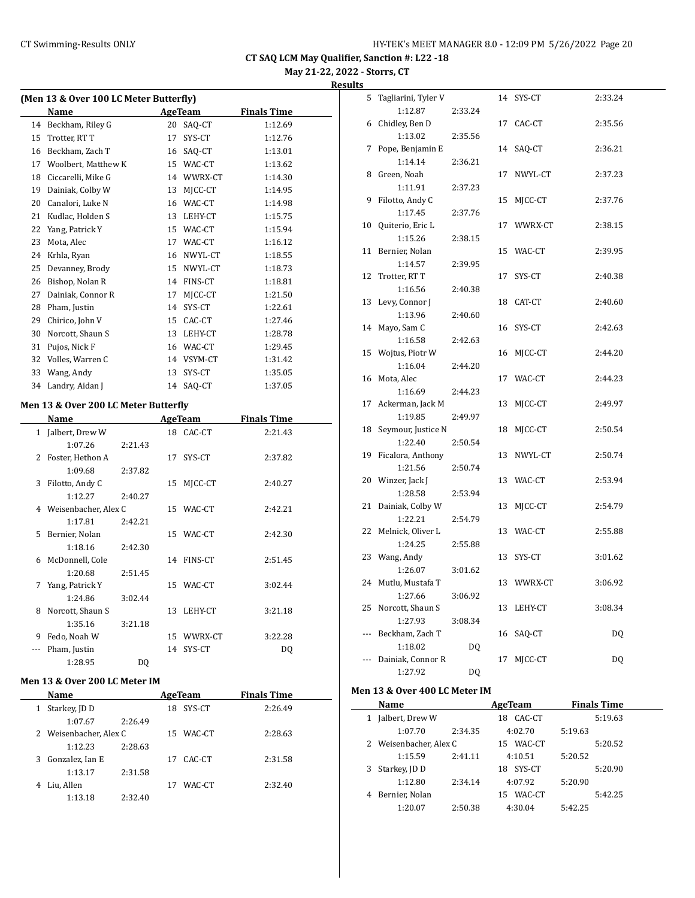**May 21-22, 2022 - Storrs, CT Results**

| (Men 13 & Over 100 LC Meter Butterfly) |                     |    |         |                    |  |  |
|----------------------------------------|---------------------|----|---------|--------------------|--|--|
|                                        | Name                |    | AgeTeam | <b>Finals Time</b> |  |  |
| 14                                     | Beckham, Riley G    | 20 | SAQ-CT  | 1:12.69            |  |  |
| 15                                     | Trotter, RT T       | 17 | SYS-CT  | 1:12.76            |  |  |
| 16                                     | Beckham, Zach T     | 16 | SAQ-CT  | 1:13.01            |  |  |
| 17                                     | Woolbert, Matthew K | 15 | WAC-CT  | 1:13.62            |  |  |
| 18                                     | Ciccarelli, Mike G  | 14 | WWRX-CT | 1:14.30            |  |  |
| 19                                     | Dainiak, Colby W    | 13 | MJCC-CT | 1:14.95            |  |  |
| 20                                     | Canalori, Luke N    | 16 | WAC-CT  | 1:14.98            |  |  |
| 21                                     | Kudlac, Holden S    | 13 | LEHY-CT | 1:15.75            |  |  |
| 22                                     | Yang, Patrick Y     | 15 | WAC-CT  | 1:15.94            |  |  |
| 23                                     | Mota, Alec          | 17 | WAC-CT  | 1:16.12            |  |  |
| 24                                     | Krhla, Ryan         | 16 | NWYL-CT | 1:18.55            |  |  |
| 25                                     | Devanney, Brody     | 15 | NWYL-CT | 1:18.73            |  |  |
| 26                                     | Bishop, Nolan R     | 14 | FINS-CT | 1:18.81            |  |  |
| 27                                     | Dainiak, Connor R   | 17 | MICC-CT | 1:21.50            |  |  |
| 28                                     | Pham, Justin        | 14 | SYS-CT  | 1:22.61            |  |  |
| 29                                     | Chirico, John V     | 15 | CAC-CT  | 1:27.46            |  |  |
| 30                                     | Norcott, Shaun S    | 13 | LEHY-CT | 1:28.78            |  |  |
| 31                                     | Pujos, Nick F       | 16 | WAC-CT  | 1:29.45            |  |  |
| 32                                     | Volles, Warren C    | 14 | VSYM-CT | 1:31.42            |  |  |
| 33                                     | Wang, Andy          | 13 | SYS-CT  | 1:35.05            |  |  |
| 34                                     | Landry, Aidan J     | 14 | SAQ-CT  | 1:37.05            |  |  |

# **Men 13 & Over 200 LC Meter Butterfly**

| Name |                        | <b>AgeTeam</b> |    |            | <b>Finals Time</b> |  |
|------|------------------------|----------------|----|------------|--------------------|--|
|      | 1 Jalbert, Drew W      |                |    | 18 CAC-CT  | 2:21.43            |  |
|      | 1:07.26                | 2:21.43        |    |            |                    |  |
| 2    | Foster, Hethon A       |                | 17 | SYS-CT     | 2:37.82            |  |
|      | 1:09.68                | 2:37.82        |    |            |                    |  |
| 3    | Filotto, Andy C        |                | 15 | MICC-CT    | 2:40.27            |  |
|      | 1:12.27                | 2:40.27        |    |            |                    |  |
|      | 4 Weisenbacher, Alex C |                |    | 15 WAC-CT  | 2:42.21            |  |
|      | 1:17.81                | 2:42.21        |    |            |                    |  |
| 5.   | Bernier, Nolan         |                |    | 15 WAC-CT  | 2:42.30            |  |
|      | 1:18.16                | 2:42.30        |    |            |                    |  |
| 6    | McDonnell, Cole        |                |    | 14 FINS-CT | 2:51.45            |  |
|      | 1:20.68                | 2:51.45        |    |            |                    |  |
| 7    | Yang, Patrick Y        |                |    | 15 WAC-CT  | 3:02.44            |  |
|      | 1:24.86                | 3:02.44        |    |            |                    |  |
| 8    | Norcott, Shaun S       |                | 13 | LEHY-CT    | 3:21.18            |  |
|      | 1:35.16                | 3:21.18        |    |            |                    |  |
| 9    | Fedo, Noah W           |                | 15 | WWRX-CT    | 3:22.28            |  |
| ---  | Pham, Justin           |                | 14 | SYS-CT     | DQ                 |  |
|      | 1:28.95                | DO             |    |            |                    |  |

## **Men 13 & Over 200 LC Meter IM**

| Name                 |                        | AgeTeam |        | <b>Finals Time</b> |  |
|----------------------|------------------------|---------|--------|--------------------|--|
| Starkey, JD D<br>1   |                        | 18      | SYS-CT | 2:26.49            |  |
| 1:07.67              | 2:26.49                |         |        |                    |  |
|                      | 2 Weisenbacher, Alex C |         | WAC-CT | 2:28.63            |  |
| 1:12.23              | 2:28.63                |         |        |                    |  |
| Gonzalez, Ian E<br>3 |                        | 17      | CAC-CT | 2:31.58            |  |
| 1:13.17              | 2:31.58                |         |        |                    |  |
| Liu, Allen<br>4      |                        | 17      | WAC-CT | 2:32.40            |  |
| 1:13.18              | 2:32.40                |         |        |                    |  |

| 5                        | Tagliarini, Tyler V  |         | 14 | SYS-CT     | 2:33.24 |
|--------------------------|----------------------|---------|----|------------|---------|
|                          | 1:12.87              | 2:33.24 |    |            |         |
| 6                        | Chidley, Ben D       |         | 17 | CAC-CT     | 2:35.56 |
|                          | 1:13.02              | 2:35.56 |    |            |         |
| 7                        | Pope, Benjamin E     |         | 14 | SAQ-CT     | 2:36.21 |
|                          | 1:14.14              | 2:36.21 |    |            |         |
| 8                        | Green, Noah          |         | 17 | NWYL-CT    | 2:37.23 |
|                          | 1:11.91              | 2:37.23 |    |            |         |
| 9                        | Filotto, Andy C      |         | 15 | MJCC-CT    | 2:37.76 |
|                          | 1:17.45              | 2:37.76 |    |            |         |
| 10                       | Quiterio, Eric L     |         | 17 | WWRX-CT    | 2:38.15 |
|                          | 1:15.26              | 2:38.15 |    |            |         |
| 11                       | Bernier, Nolan       |         |    | 15 WAC-CT  | 2:39.95 |
|                          | 1:14.57              | 2:39.95 |    |            |         |
| 12                       | Trotter, RT T        |         | 17 | SYS-CT     | 2:40.38 |
|                          | 1:16.56              | 2:40.38 |    |            |         |
| 13                       | Levy, Connor J       |         | 18 | CAT-CT     | 2:40.60 |
|                          | 1:13.96              | 2:40.60 |    |            |         |
| 14                       | Mayo, Sam C          |         | 16 | SYS-CT     | 2:42.63 |
|                          | 1:16.58              | 2:42.63 |    |            |         |
| 15                       | Wojtus, Piotr W      |         | 16 | MJCC-CT    | 2:44.20 |
|                          | 1:16.04              | 2:44.20 |    |            |         |
|                          | 16 Mota, Alec        |         |    | 17 WAC-CT  | 2:44.23 |
|                          | 1:16.69              | 2:44.23 |    |            |         |
| 17                       | Ackerman, Jack M     |         | 13 | MJCC-CT    | 2:49.97 |
|                          | 1:19.85              | 2:49.97 |    |            |         |
| 18                       | Seymour, Justice N   |         | 18 | MJCC-CT    | 2:50.54 |
|                          | 1:22.40              | 2:50.54 |    |            |         |
|                          | 19 Ficalora, Anthony |         | 13 | NWYL-CT    | 2:50.74 |
|                          | 1:21.56              | 2:50.74 |    |            |         |
|                          | 20 Winzer, Jack J    |         | 13 | WAC-CT     | 2:53.94 |
|                          | 1:28.58              | 2:53.94 |    |            |         |
| 21                       | Dainiak, Colby W     |         | 13 | MJCC-CT    | 2:54.79 |
|                          | 1:22.21              | 2:54.79 |    |            |         |
| 22                       | Melnick, Oliver L    |         | 13 | WAC-CT     | 2:55.88 |
|                          | 1:24.25              | 2:55.88 |    |            |         |
|                          | 23 Wang, Andy        |         | 13 | SYS-CT     | 3:01.62 |
|                          | 1:26.07              | 3:01.62 |    |            |         |
|                          | 24 Mutlu, Mustafa T  |         |    | 13 WWRX-CT | 3:06.92 |
|                          | 1:27.66              | 3:06.92 |    |            |         |
| 25                       | Norcott, Shaun S     |         | 13 | LEHY-CT    | 3:08.34 |
|                          | 1:27.93              | 3:08.34 |    |            |         |
| $\overline{\phantom{a}}$ | Beckham, Zach T      |         | 16 | SAQ-CT     | DQ      |
|                          | 1:18.02              | DO.     |    |            |         |
| ---                      | Dainiak, Connor R    |         | 17 | MJCC-CT    | DQ      |
|                          | 1:27.92              | DQ      |    |            |         |

#### **Men 13 & Over 400 LC Meter IM**

|   | Name                   |         | AgeTeam       | <b>Finals Time</b> |  |
|---|------------------------|---------|---------------|--------------------|--|
| 1 | Jalbert, Drew W        |         | CAC-CT<br>18  | 5:19.63            |  |
|   | 1:07.70                | 2:34.35 | 4:02.70       | 5:19.63            |  |
|   | 2 Weisenbacher, Alex C |         | WAC-CT<br>15. | 5:20.52            |  |
|   | 1:15.59                | 2:41.11 | 4:10.51       | 5:20.52            |  |
| 3 | Starkey, JD D          |         | SYS-CT<br>18. | 5:20.90            |  |
|   | 1:12.80                | 2:34.14 | 4:07.92       | 5:20.90            |  |
|   | Bernier, Nolan         |         | WAC-CT<br>15  | 5:42.25            |  |
|   | 1:20.07                | 2:50.38 | 4:30.04       | 5:42.25            |  |